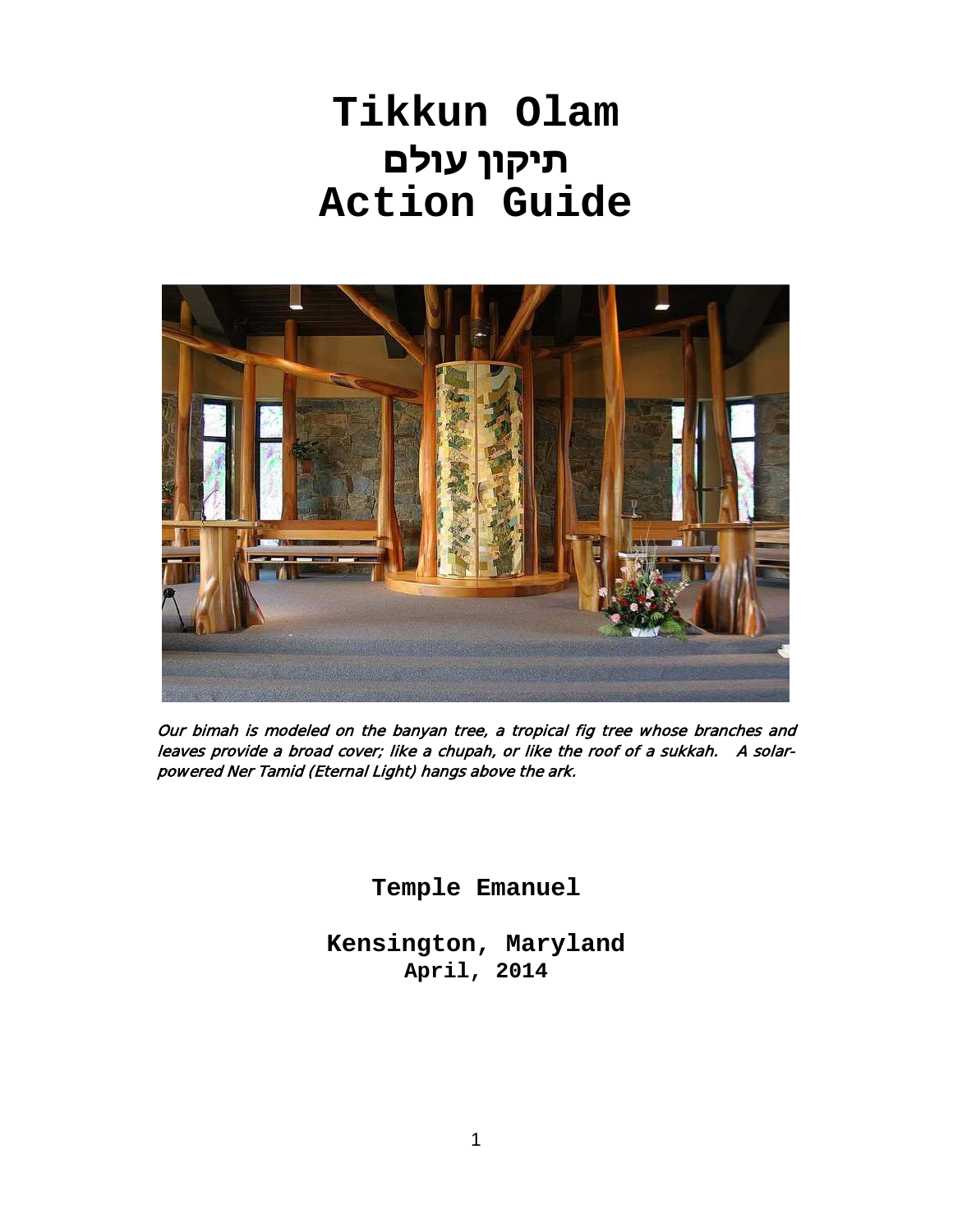# **Tikkun Olam תיקון עולם Action Guide**



Our bimah is modeled on the banyan tree, a tropical fig tree whose branches and leaves provide a broad cover; like a chupah, or like the roof of a sukkah. A solarpowered Ner Tamid (Eternal Light) hangs above the ark.

**Temple Emanuel**

**Kensington, Maryland April, 2014**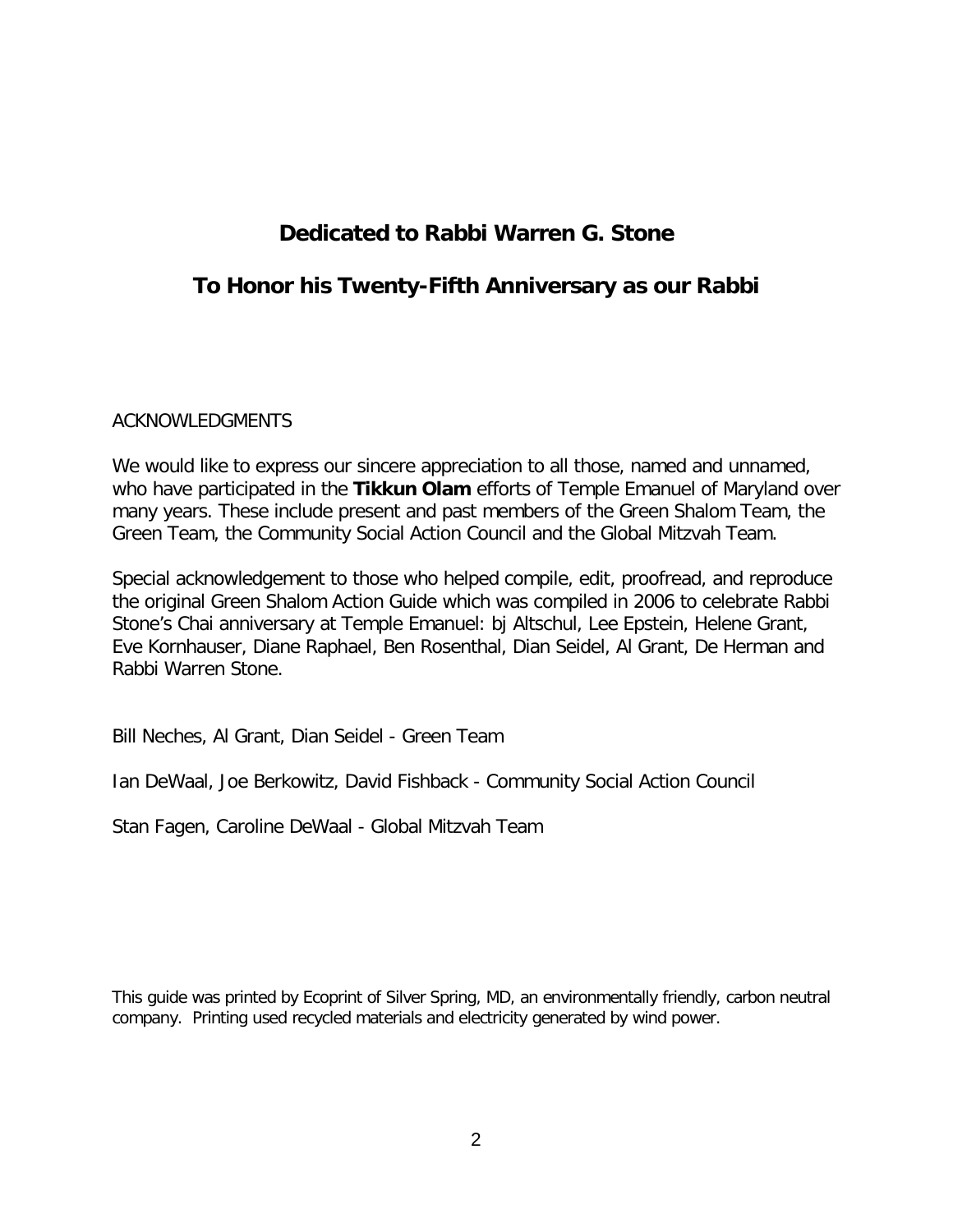## **Dedicated to Rabbi Warren G. Stone**

### **To Honor his Twenty-Fifth Anniversary as our Rabbi**

#### ACKNOWLEDGMENTS

We would like to express our sincere appreciation to all those, named and unnamed, who have participated in the **Tikkun Olam** efforts of Temple Emanuel of Maryland over many years. These include present and past members of the Green Shalom Team, the Green Team, the Community Social Action Council and the Global Mitzvah Team.

Special acknowledgement to those who helped compile, edit, proofread, and reproduce the original Green Shalom Action Guide which was compiled in 2006 to celebrate Rabbi Stone's Chai anniversary at Temple Emanuel: bj Altschul, Lee Epstein, Helene Grant, Eve Kornhauser, Diane Raphael, Ben Rosenthal, Dian Seidel, Al Grant, De Herman and Rabbi Warren Stone.

Bill Neches, Al Grant, Dian Seidel - Green Team

Ian DeWaal, Joe Berkowitz, David Fishback - Community Social Action Council

Stan Fagen, Caroline DeWaal - Global Mitzvah Team

This guide was printed by Ecoprint of Silver Spring, MD, an environmentally friendly, carbon neutral company. Printing used recycled materials and electricity generated by wind power.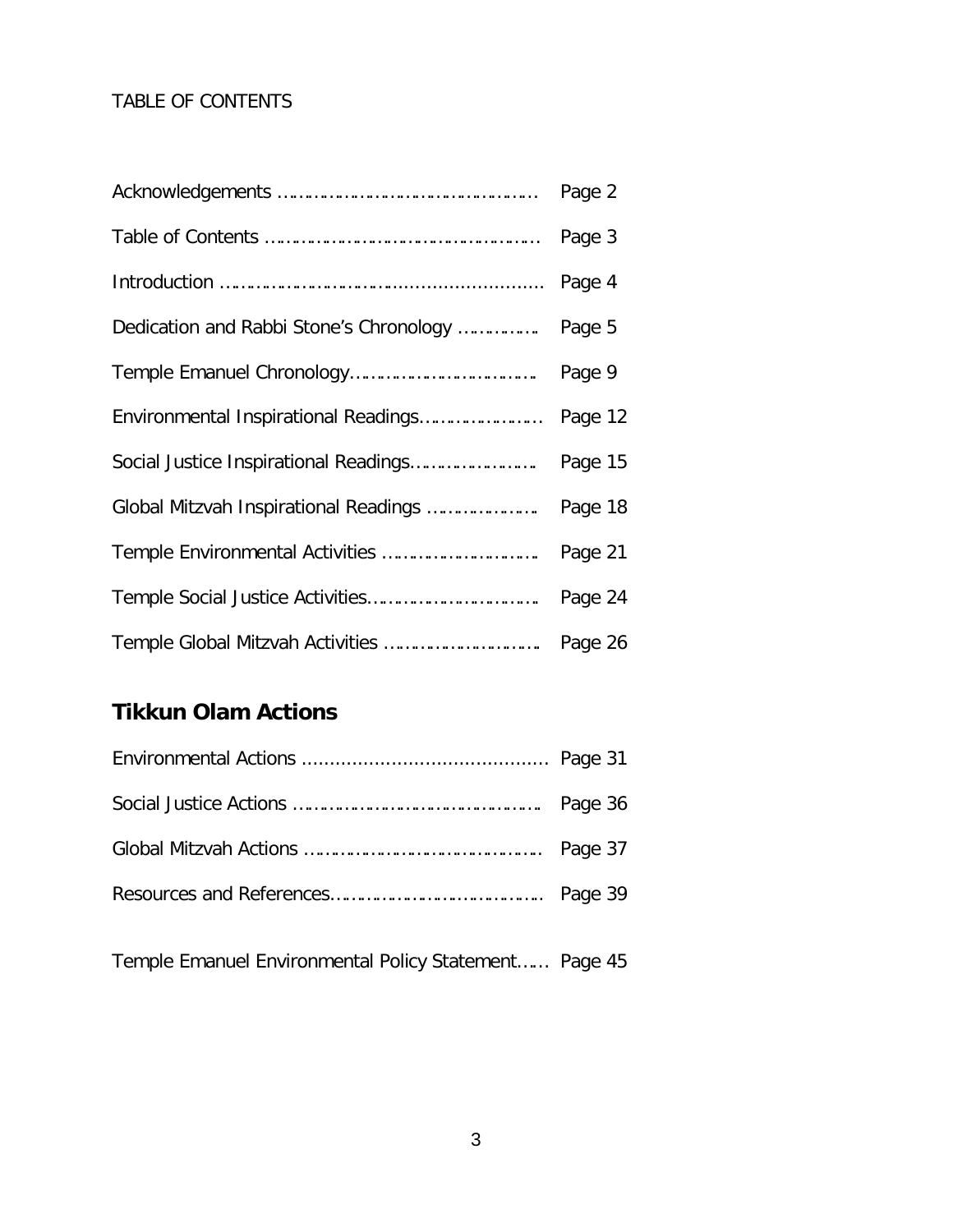### TABLE OF CONTENTS

|                                                 | Page 2  |
|-------------------------------------------------|---------|
|                                                 | Page 3  |
|                                                 | Page 4  |
| Dedication and Rabbi Stone's Chronology  Page 5 |         |
|                                                 | Page 9  |
|                                                 | Page 12 |
|                                                 | Page 15 |
| Global Mitzvah Inspirational Readings  Page 18  |         |
|                                                 | Page 21 |
|                                                 | Page 24 |
|                                                 | Page 26 |

## **Tikkun Olam Actions**

Temple Emanuel Environmental Policy Statement…… Page 45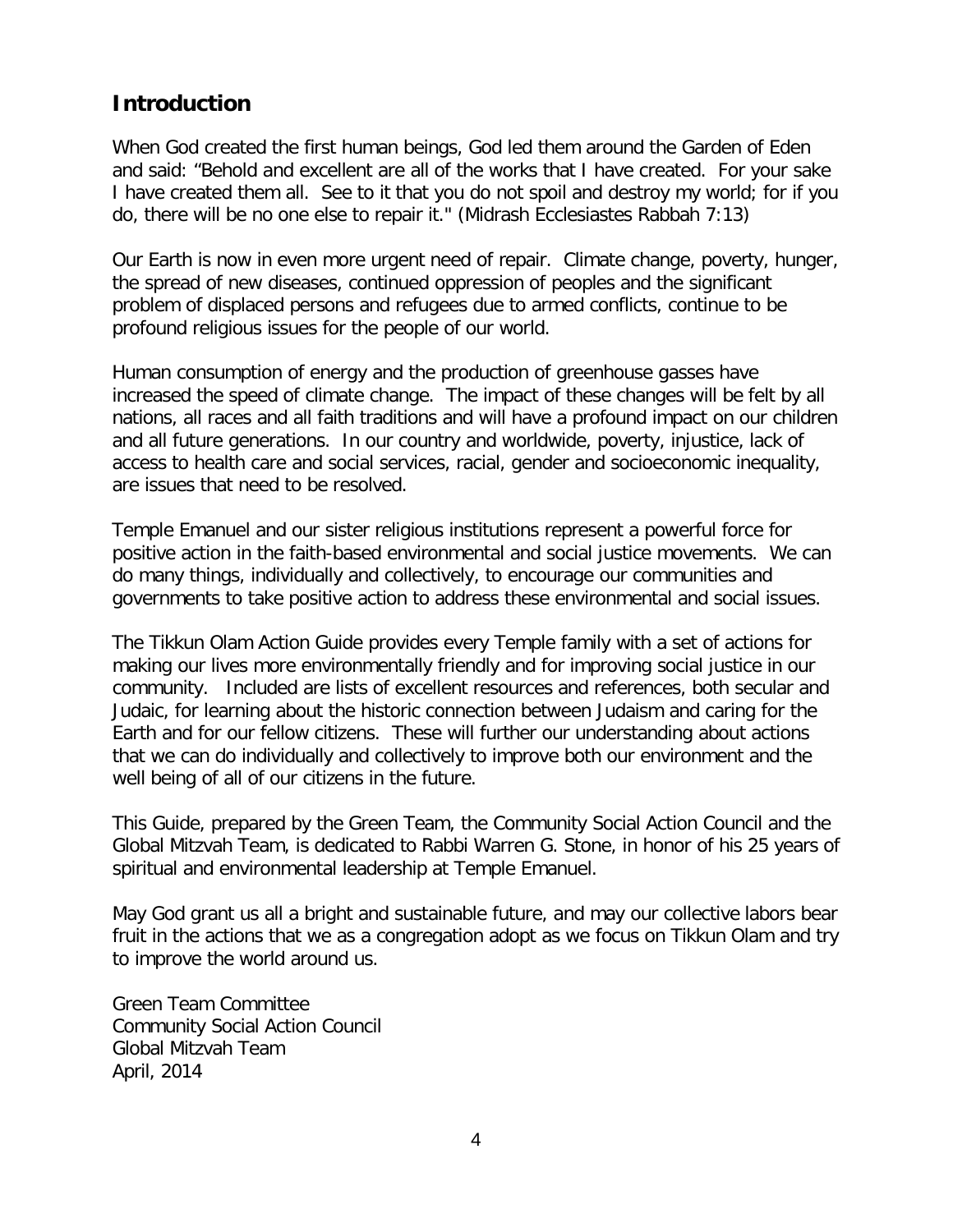### **Introduction**

When God created the first human beings, God led them around the Garden of Eden and said: "Behold and excellent are all of the works that I have created. For your sake I have created them all. See to it that you do not spoil and destroy my world; for if you do, there will be no one else to repair it." (Midrash Ecclesiastes Rabbah 7:13)

Our Earth is now in even more urgent need of repair. Climate change, poverty, hunger, the spread of new diseases, continued oppression of peoples and the significant problem of displaced persons and refugees due to armed conflicts, continue to be profound religious issues for the people of our world.

Human consumption of energy and the production of greenhouse gasses have increased the speed of climate change. The impact of these changes will be felt by all nations, all races and all faith traditions and will have a profound impact on our children and all future generations. In our country and worldwide, poverty, injustice, lack of access to health care and social services, racial, gender and socioeconomic inequality, are issues that need to be resolved.

Temple Emanuel and our sister religious institutions represent a powerful force for positive action in the faith-based environmental and social justice movements. We can do many things, individually and collectively, to encourage our communities and governments to take positive action to address these environmental and social issues.

The Tikkun Olam Action Guide provides every Temple family with a set of actions for making our lives more environmentally friendly and for improving social justice in our community. Included are lists of excellent resources and references, both secular and Judaic, for learning about the historic connection between Judaism and caring for the Earth and for our fellow citizens. These will further our understanding about actions that we can do individually and collectively to improve both our environment and the well being of all of our citizens in the future.

This Guide, prepared by the Green Team, the Community Social Action Council and the Global Mitzvah Team, is dedicated to Rabbi Warren G. Stone, in honor of his 25 years of spiritual and environmental leadership at Temple Emanuel.

May God grant us all a bright and sustainable future, and may our collective labors bear fruit in the actions that we as a congregation adopt as we focus on Tikkun Olam and try to improve the world around us.

Green Team Committee Community Social Action Council Global Mitzvah Team April, 2014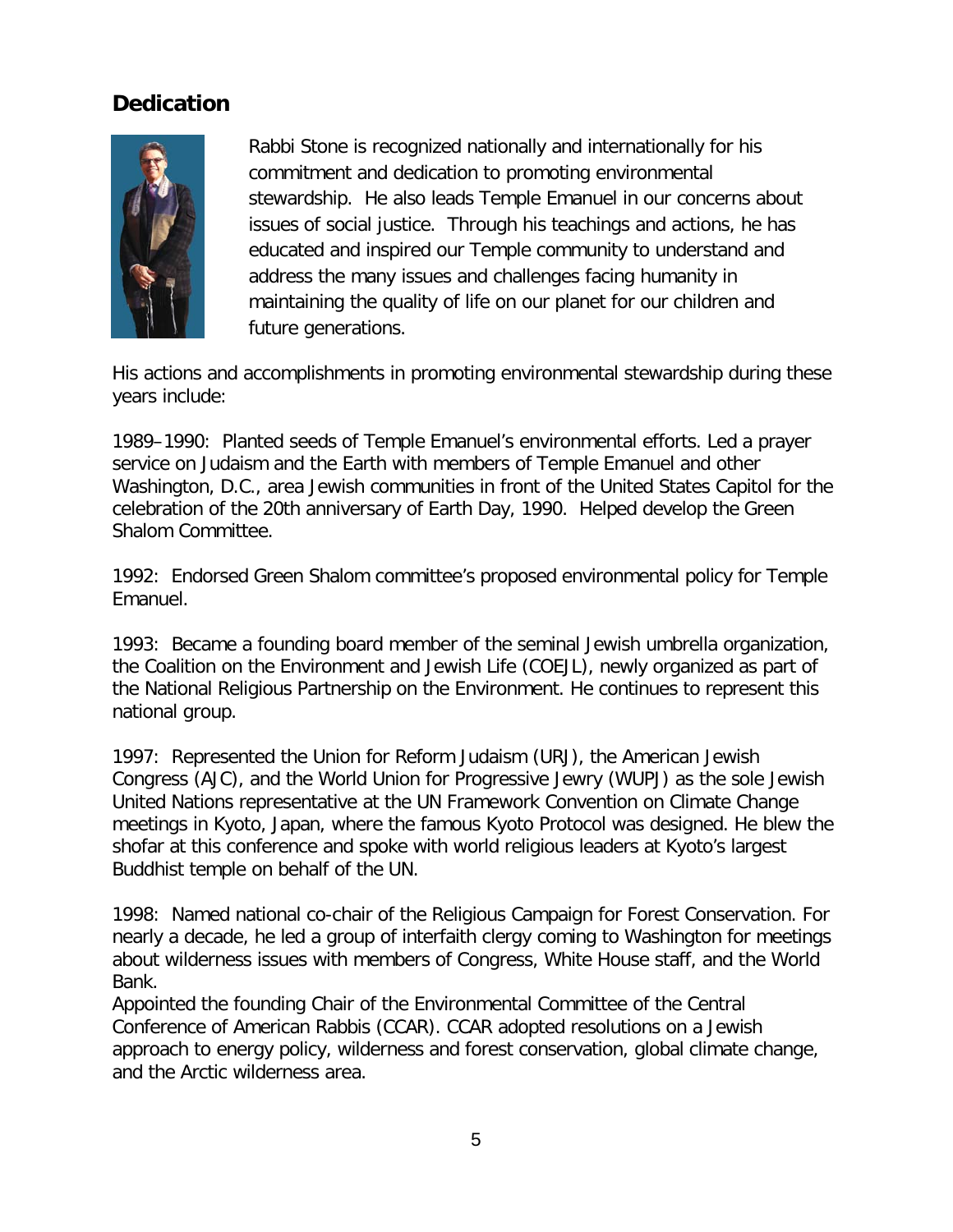### **Dedication**



Rabbi Stone is recognized nationally and internationally for his commitment and dedication to promoting environmental stewardship. He also leads Temple Emanuel in our concerns about issues of social justice. Through his teachings and actions, he has educated and inspired our Temple community to understand and address the many issues and challenges facing humanity in maintaining the quality of life on our planet for our children and future generations.

His actions and accomplishments in promoting environmental stewardship during these years include:

1989–1990: Planted seeds of Temple Emanuel's environmental efforts. Led a prayer service on Judaism and the Earth with members of Temple Emanuel and other Washington, D.C., area Jewish communities in front of the United States Capitol for the celebration of the 20th anniversary of Earth Day, 1990. Helped develop the Green Shalom Committee.

1992: Endorsed Green Shalom committee's proposed environmental policy for Temple Emanuel.

1993: Became a founding board member of the seminal Jewish umbrella organization, the Coalition on the Environment and Jewish Life (COEJL), newly organized as part of the National Religious Partnership on the Environment. He continues to represent this national group.

1997: Represented the Union for Reform Judaism (URJ), the American Jewish Congress (AJC), and the World Union for Progressive Jewry (WUPJ) as the sole Jewish United Nations representative at the UN Framework Convention on Climate Change meetings in Kyoto, Japan, where the famous Kyoto Protocol was designed. He blew the shofar at this conference and spoke with world religious leaders at Kyoto's largest Buddhist temple on behalf of the UN.

1998: Named national co-chair of the Religious Campaign for Forest Conservation. For nearly a decade, he led a group of interfaith clergy coming to Washington for meetings about wilderness issues with members of Congress, White House staff, and the World Bank.

Appointed the founding Chair of the Environmental Committee of the Central Conference of American Rabbis (CCAR). CCAR adopted resolutions on a Jewish approach to energy policy, wilderness and forest conservation, global climate change, and the Arctic wilderness area.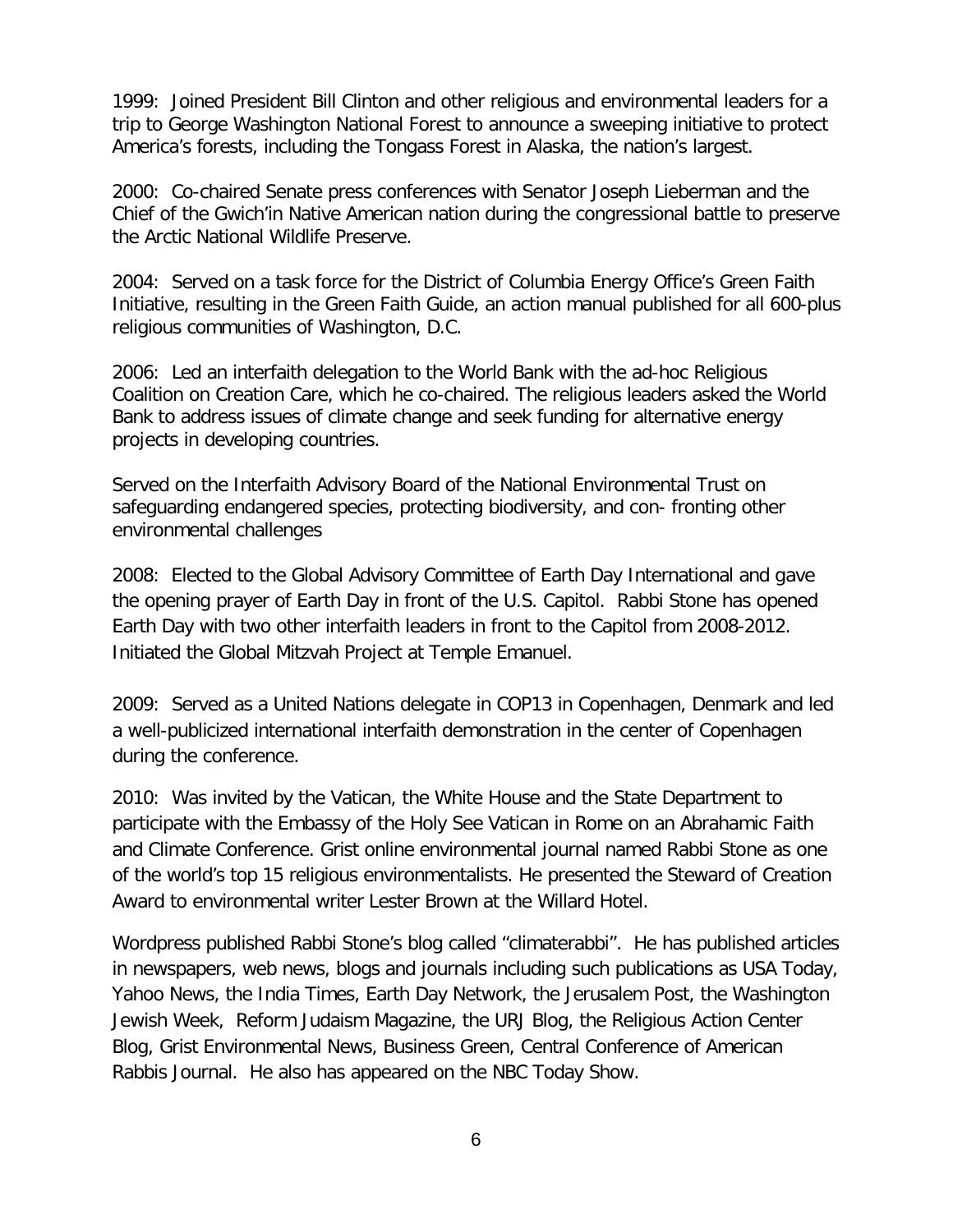1999: Joined President Bill Clinton and other religious and environmental leaders for a trip to George Washington National Forest to announce a sweeping initiative to protect America's forests, including the Tongass Forest in Alaska, the nation's largest.

2000: Co-chaired Senate press conferences with Senator Joseph Lieberman and the Chief of the Gwich'in Native American nation during the congressional battle to preserve the Arctic National Wildlife Preserve.

2004: Served on a task force for the District of Columbia Energy Office's Green Faith Initiative, resulting in the Green Faith Guide, an action manual published for all 600-plus religious communities of Washington, D.C.

2006: Led an interfaith delegation to the World Bank with the ad-hoc Religious Coalition on Creation Care, which he co-chaired. The religious leaders asked the World Bank to address issues of climate change and seek funding for alternative energy projects in developing countries.

Served on the Interfaith Advisory Board of the National Environmental Trust on safeguarding endangered species, protecting biodiversity, and con- fronting other environmental challenges

2008: Elected to the Global Advisory Committee of Earth Day International and gave the opening prayer of Earth Day in front of the U.S. Capitol. Rabbi Stone has opened Earth Day with two other interfaith leaders in front to the Capitol from 2008-2012. Initiated the Global Mitzvah Project at Temple Emanuel.

2009: Served as a United Nations delegate in COP13 in Copenhagen, Denmark and led a well-publicized international interfaith demonstration in the center of Copenhagen during the conference.

2010: Was invited by the Vatican, the White House and the State Department to participate with the Embassy of the Holy See Vatican in Rome on an Abrahamic Faith and Climate Conference. Grist online environmental journal named Rabbi Stone as one of the world's top 15 religious environmentalists. He presented the Steward of Creation Award to environmental writer Lester Brown at the Willard Hotel.

Wordpress published Rabbi Stone's blog called "climaterabbi". He has published articles in newspapers, web news, blogs and journals including such publications as USA Today, Yahoo News, the India Times, Earth Day Network, the Jerusalem Post, the Washington Jewish Week, Reform Judaism Magazine, the URJ Blog, the Religious Action Center Blog, Grist Environmental News, Business Green, Central Conference of American Rabbis Journal. He also has appeared on the NBC Today Show.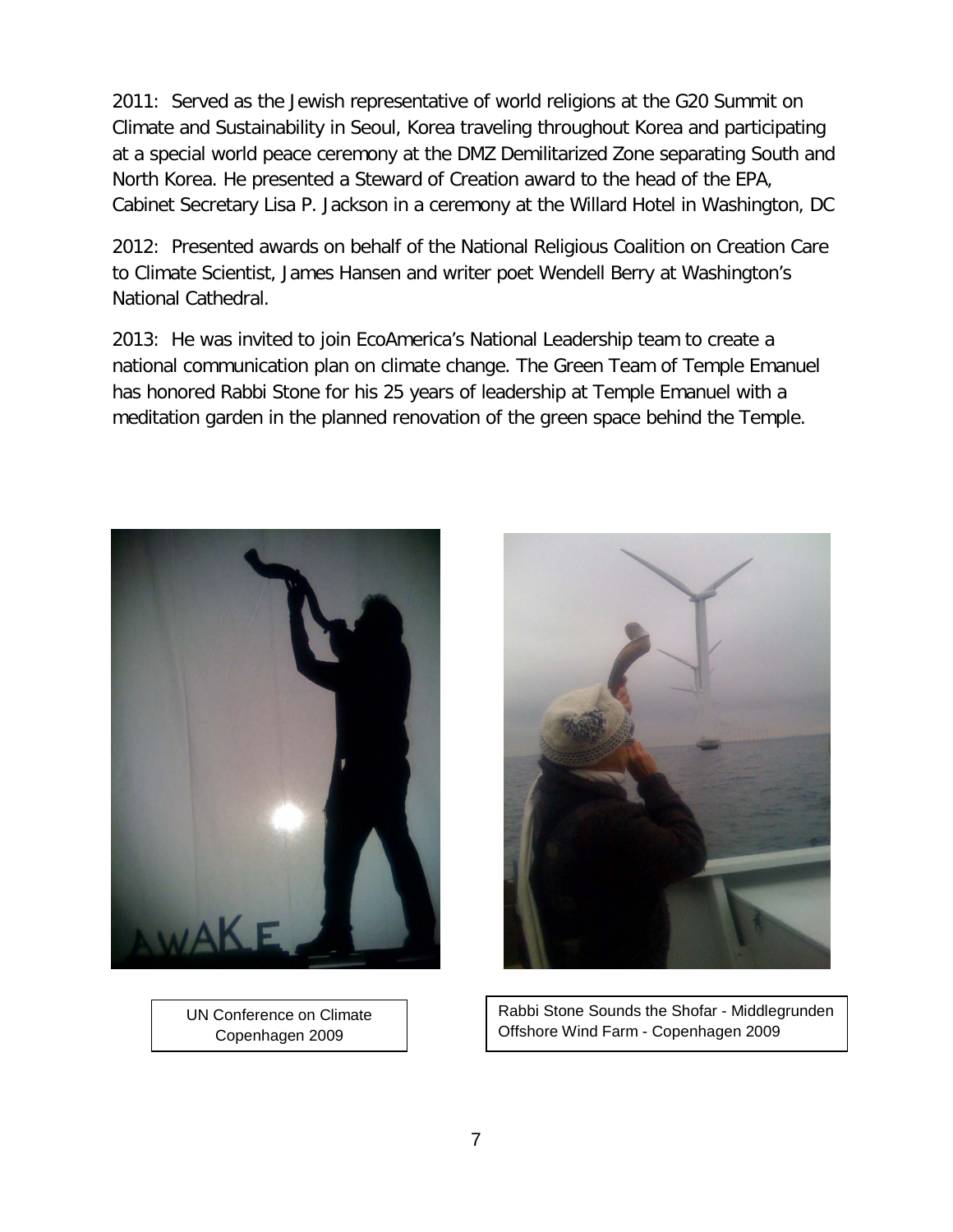2011: Served as the Jewish representative of world religions at the G20 Summit on Climate and Sustainability in Seoul, Korea traveling throughout Korea and participating at a special world peace ceremony at the DMZ Demilitarized Zone separating South and North Korea. He presented a Steward of Creation award to the head of the EPA, Cabinet Secretary Lisa P. Jackson in a ceremony at the Willard Hotel in Washington, DC

2012: Presented awards on behalf of the National Religious Coalition on Creation Care to Climate Scientist, James Hansen and writer poet Wendell Berry at Washington's National Cathedral.

2013: He was invited to join EcoAmerica's National Leadership team to create a national communication plan on climate change. The Green Team of Temple Emanuel has honored Rabbi Stone for his 25 years of leadership at Temple Emanuel with a meditation garden in the planned renovation of the green space behind the Temple.



UN Conference on Climate Copenhagen 2009



Rabbi Stone Sounds the Shofar - Middlegrunden Offshore Wind Farm - Copenhagen 2009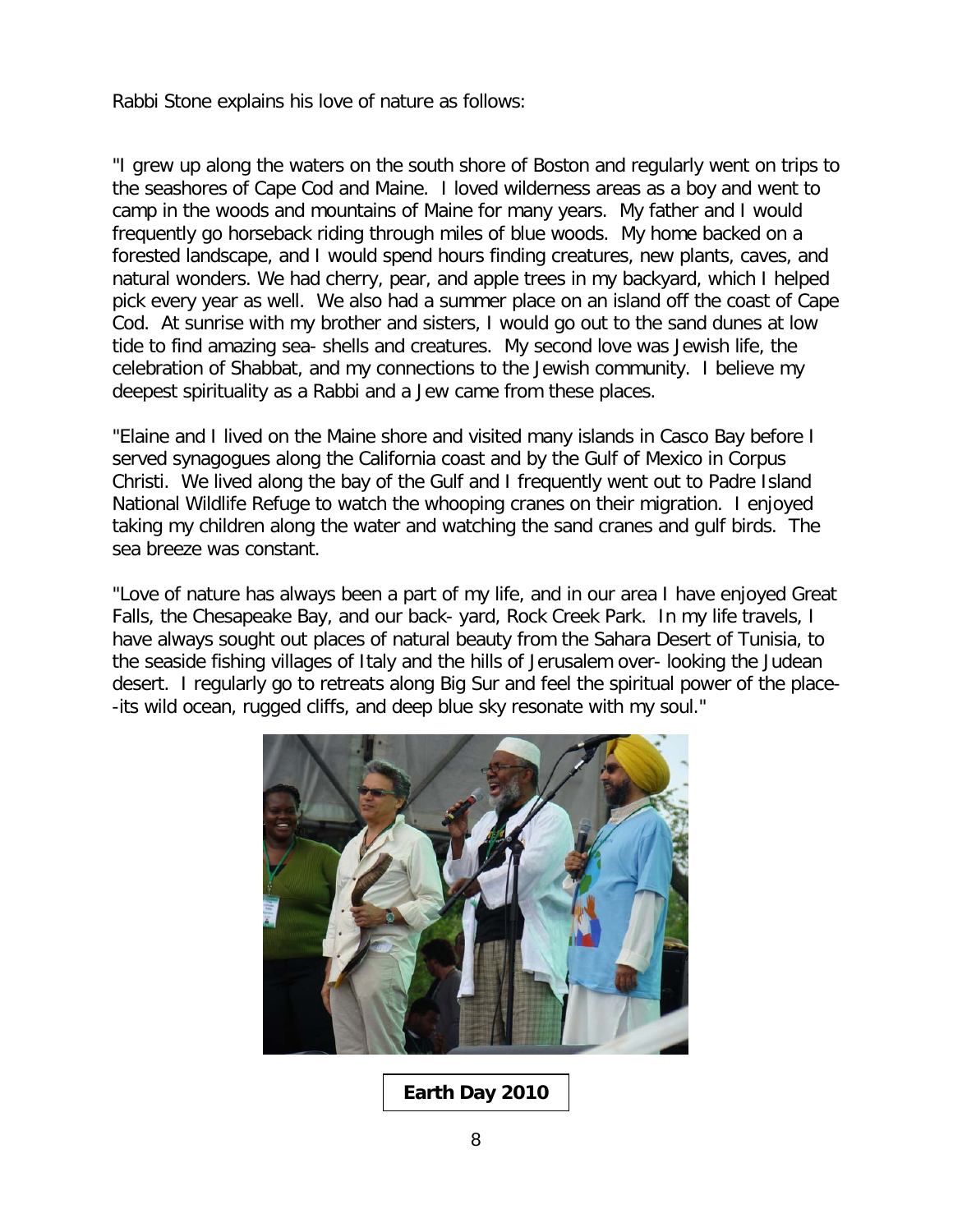Rabbi Stone explains his love of nature as follows:

"I grew up along the waters on the south shore of Boston and regularly went on trips to the seashores of Cape Cod and Maine. I loved wilderness areas as a boy and went to camp in the woods and mountains of Maine for many years. My father and I would frequently go horseback riding through miles of blue woods. My home backed on a forested landscape, and I would spend hours finding creatures, new plants, caves, and natural wonders. We had cherry, pear, and apple trees in my backyard, which I helped pick every year as well. We also had a summer place on an island off the coast of Cape Cod. At sunrise with my brother and sisters, I would go out to the sand dunes at low tide to find amazing sea- shells and creatures. My second love was Jewish life, the celebration of Shabbat, and my connections to the Jewish community. I believe my deepest spirituality as a Rabbi and a Jew came from these places.

"Elaine and I lived on the Maine shore and visited many islands in Casco Bay before I served synagogues along the California coast and by the Gulf of Mexico in Corpus Christi. We lived along the bay of the Gulf and I frequently went out to Padre Island National Wildlife Refuge to watch the whooping cranes on their migration. I enjoyed taking my children along the water and watching the sand cranes and gulf birds. The sea breeze was constant.

"Love of nature has always been a part of my life, and in our area I have enjoyed Great Falls, the Chesapeake Bay, and our back- yard, Rock Creek Park. In my life travels, I have always sought out places of natural beauty from the Sahara Desert of Tunisia, to the seaside fishing villages of Italy and the hills of Jerusalem over- looking the Judean desert. I regularly go to retreats along Big Sur and feel the spiritual power of the place- -its wild ocean, rugged cliffs, and deep blue sky resonate with my soul."



**Earth Day 2010**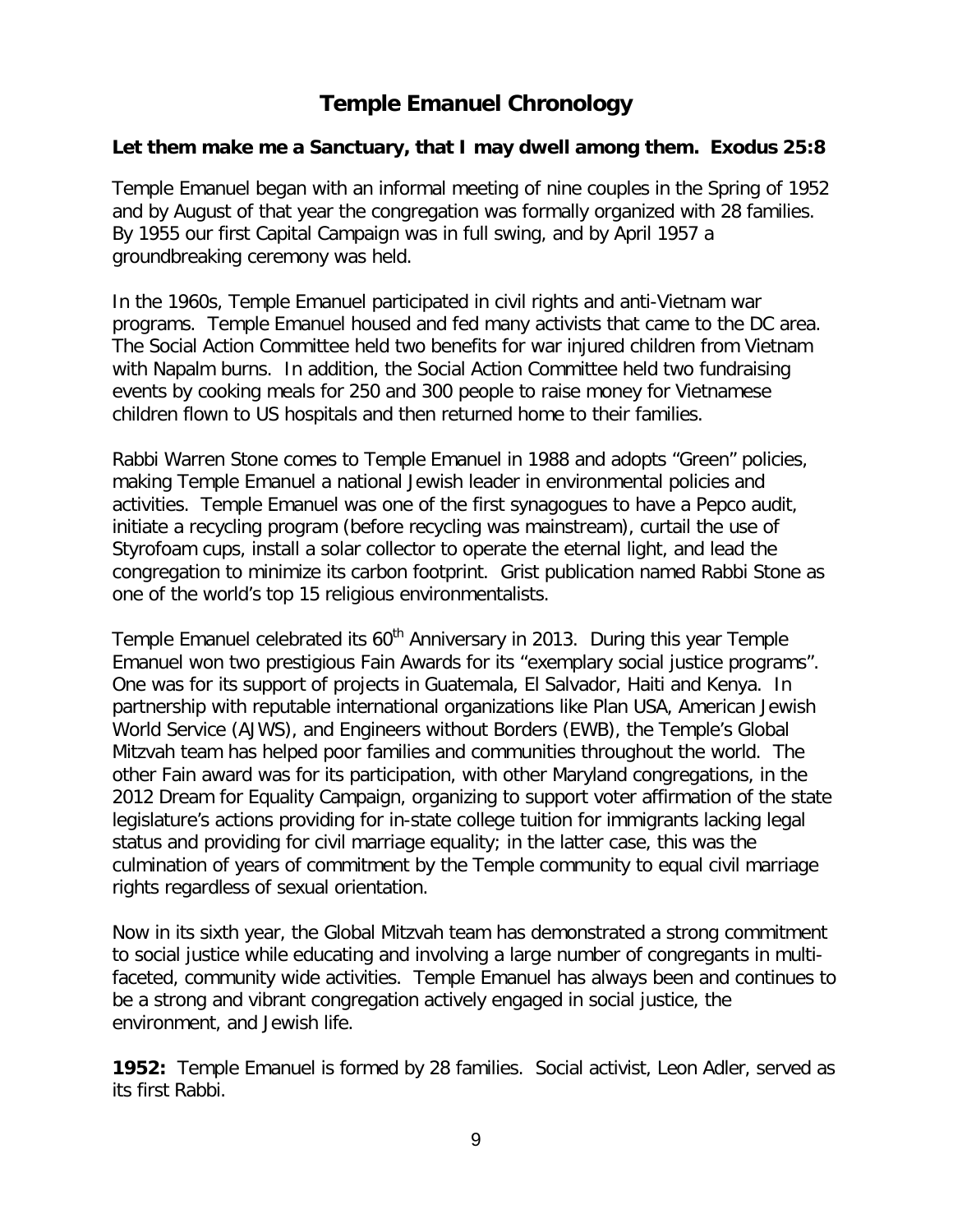## **Temple Emanuel Chronology**

#### **Let them make me a Sanctuary, that I may dwell among them. Exodus 25:8**

Temple Emanuel began with an informal meeting of nine couples in the Spring of 1952 and by August of that year the congregation was formally organized with 28 families. By 1955 our first Capital Campaign was in full swing, and by April 1957 a groundbreaking ceremony was held.

In the 1960s, Temple Emanuel participated in civil rights and anti-Vietnam war programs. Temple Emanuel housed and fed many activists that came to the DC area. The Social Action Committee held two benefits for war injured children from Vietnam with Napalm burns. In addition, the Social Action Committee held two fundraising events by cooking meals for 250 and 300 people to raise money for Vietnamese children flown to US hospitals and then returned home to their families.

Rabbi Warren Stone comes to Temple Emanuel in 1988 and adopts "Green" policies, making Temple Emanuel a national Jewish leader in environmental policies and activities. Temple Emanuel was one of the first synagogues to have a Pepco audit, initiate a recycling program (before recycling was mainstream), curtail the use of Styrofoam cups, install a solar collector to operate the eternal light, and lead the congregation to minimize its carbon footprint. Grist publication named Rabbi Stone as one of the world's top 15 religious environmentalists.

Temple Emanuel celebrated its 60<sup>th</sup> Anniversary in 2013. During this year Temple Emanuel won two prestigious Fain Awards for its "exemplary social justice programs". One was for its support of projects in Guatemala, El Salvador, Haiti and Kenya. In partnership with reputable international organizations like Plan USA, American Jewish World Service (AJWS), and Engineers without Borders (EWB), the Temple's Global Mitzvah team has helped poor families and communities throughout the world. The other Fain award was for its participation, with other Maryland congregations, in the 2012 Dream for Equality Campaign, organizing to support voter affirmation of the state legislature's actions providing for in-state college tuition for immigrants lacking legal status and providing for civil marriage equality; in the latter case, this was the culmination of years of commitment by the Temple community to equal civil marriage rights regardless of sexual orientation.

Now in its sixth year, the Global Mitzvah team has demonstrated a strong commitment to social justice while educating and involving a large number of congregants in multifaceted, community wide activities. Temple Emanuel has always been and continues to be a strong and vibrant congregation actively engaged in social justice, the environment, and Jewish life.

**1952:** Temple Emanuel is formed by 28 families. Social activist, Leon Adler, served as its first Rabbi.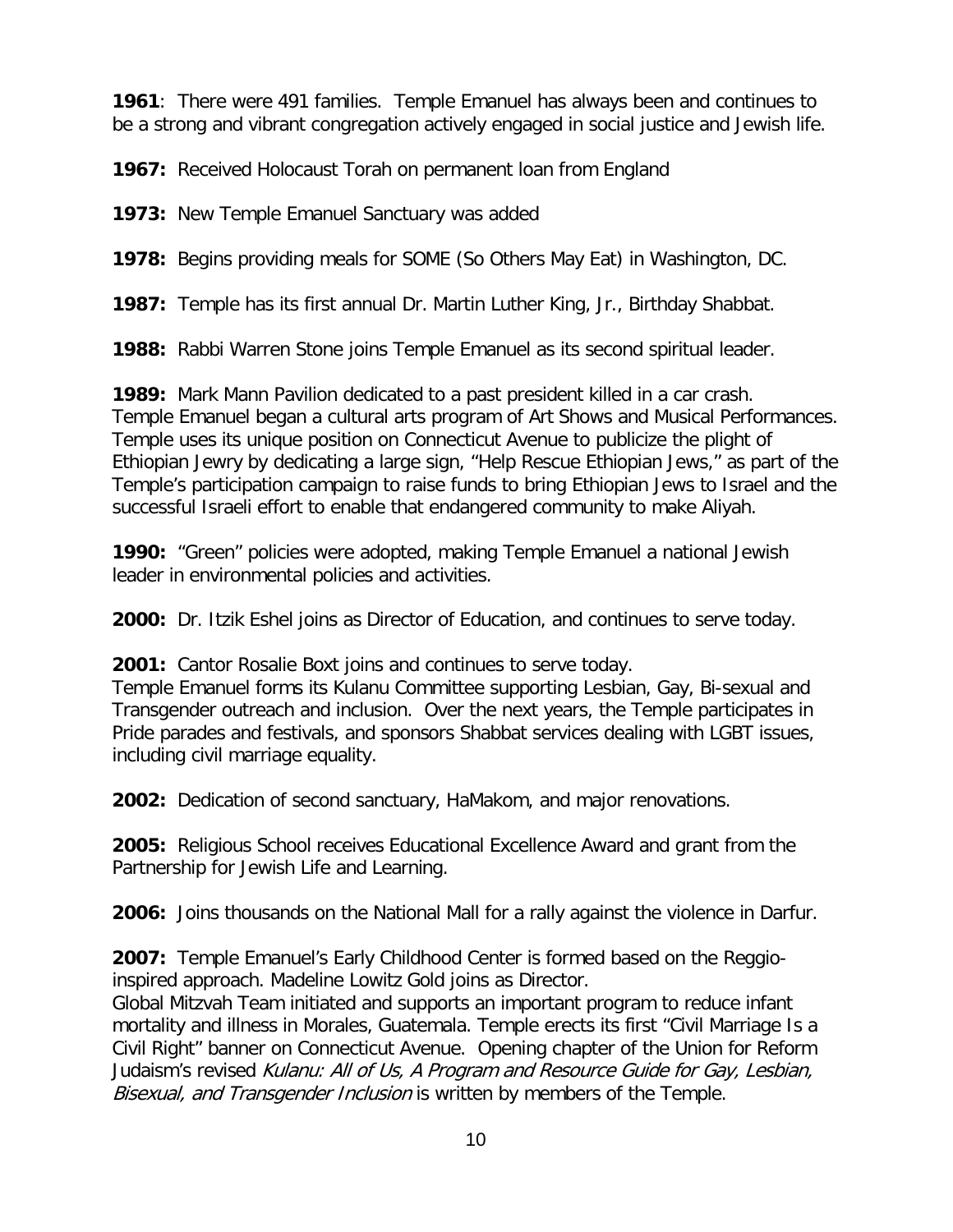**1961**: There were 491 families. Temple Emanuel has always been and continues to be a strong and vibrant congregation actively engaged in social justice and Jewish life.

**1967:** Received Holocaust Torah on permanent loan from England

**1973:** New Temple Emanuel Sanctuary was added

**1978:** Begins providing meals for SOME (So Others May Eat) in Washington, DC.

**1987:** Temple has its first annual Dr. Martin Luther King, Jr., Birthday Shabbat.

**1988:** Rabbi Warren Stone joins Temple Emanuel as its second spiritual leader.

**1989:** Mark Mann Pavilion dedicated to a past president killed in a car crash. Temple Emanuel began a cultural arts program of Art Shows and Musical Performances. Temple uses its unique position on Connecticut Avenue to publicize the plight of Ethiopian Jewry by dedicating a large sign, "Help Rescue Ethiopian Jews," as part of the Temple's participation campaign to raise funds to bring Ethiopian Jews to Israel and the successful Israeli effort to enable that endangered community to make Aliyah.

**1990:** "Green" policies were adopted, making Temple Emanuel a national Jewish leader in environmental policies and activities.

**2000:** Dr. Itzik Eshel joins as Director of Education, and continues to serve today.

**2001:** Cantor Rosalie Boxt joins and continues to serve today.

Temple Emanuel forms its Kulanu Committee supporting Lesbian, Gay, Bi-sexual and Transgender outreach and inclusion. Over the next years, the Temple participates in Pride parades and festivals, and sponsors Shabbat services dealing with LGBT issues, including civil marriage equality.

**2002:** Dedication of second sanctuary, HaMakom, and major renovations.

**2005:** Religious School receives Educational Excellence Award and grant from the Partnership for Jewish Life and Learning.

**2006:** Joins thousands on the National Mall for a rally against the violence in Darfur.

**2007:** Temple Emanuel's Early Childhood Center is formed based on the Reggioinspired approach. Madeline Lowitz Gold joins as Director.

Global Mitzvah Team initiated and supports an important program to reduce infant mortality and illness in Morales, Guatemala. Temple erects its first "Civil Marriage Is a Civil Right" banner on Connecticut Avenue. Opening chapter of the Union for Reform Judaism's revised Kulanu: All of Us, A Program and Resource Guide for Gay, Lesbian, Bisexual, and Transgender Inclusion is written by members of the Temple.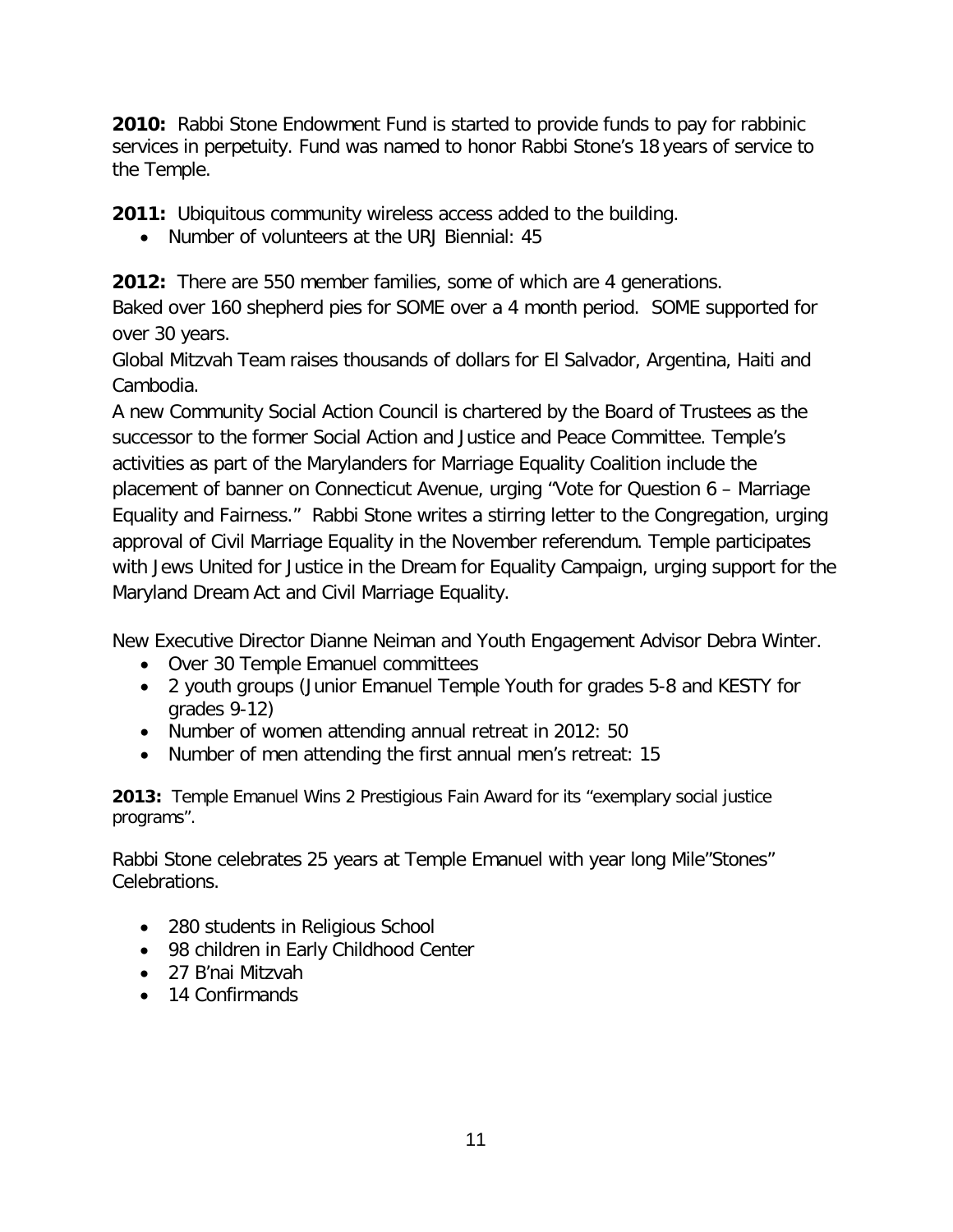**2010:** Rabbi Stone Endowment Fund is started to provide funds to pay for rabbinic services in perpetuity. Fund was named to honor Rabbi Stone's 18 years of service to the Temple.

**2011:** Ubiquitous community wireless access added to the building.

• Number of volunteers at the URJ Biennial: 45

**2012:** There are 550 member families, some of which are 4 generations.

Baked over 160 shepherd pies for SOME over a 4 month period. SOME supported for over 30 years.

Global Mitzvah Team raises thousands of dollars for El Salvador, Argentina, Haiti and Cambodia.

A new Community Social Action Council is chartered by the Board of Trustees as the successor to the former Social Action and Justice and Peace Committee. Temple's activities as part of the Marylanders for Marriage Equality Coalition include the placement of banner on Connecticut Avenue, urging "Vote for Question 6 – Marriage Equality and Fairness." Rabbi Stone writes a stirring letter to the Congregation, urging approval of Civil Marriage Equality in the November referendum. Temple participates with Jews United for Justice in the Dream for Equality Campaign, urging support for the Maryland Dream Act and Civil Marriage Equality.

New Executive Director Dianne Neiman and Youth Engagement Advisor Debra Winter.

- Over 30 Temple Emanuel committees
- 2 youth groups (Junior Emanuel Temple Youth for grades 5-8 and KESTY for grades 9-12)
- Number of women attending annual retreat in 2012: 50
- Number of men attending the first annual men's retreat: 15

**2013:** Temple Emanuel Wins 2 Prestigious Fain Award for its "exemplary social justice programs".

Rabbi Stone celebrates 25 years at Temple Emanuel with year long Mile"Stones" Celebrations.

- 280 students in Religious School
- 98 children in Early Childhood Center
- 27 B'nai Mitzvah
- 14 Confirmands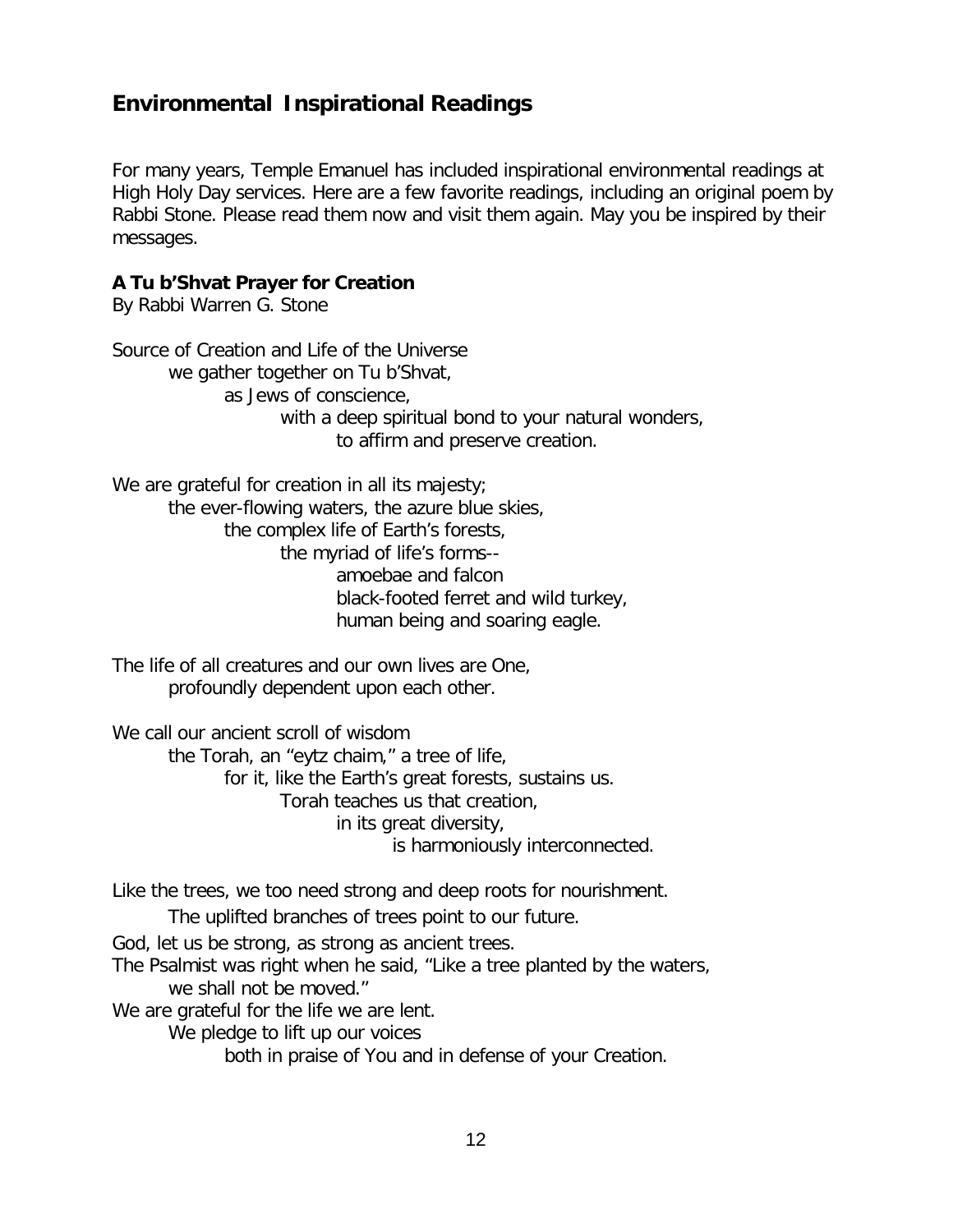### **Environmental Inspirational Readings**

For many years, Temple Emanuel has included inspirational environmental readings at High Holy Day services. Here are a few favorite readings, including an original poem by Rabbi Stone. Please read them now and visit them again. May you be inspired by their messages.

#### **A Tu b'Shvat Prayer for Creation**

By Rabbi Warren G. Stone

Source of Creation and Life of the Universe we gather together on Tu b'Shvat, as Jews of conscience, with a deep spiritual bond to your natural wonders, to affirm and preserve creation.

We are grateful for creation in all its majesty; the ever-flowing waters, the azure blue skies, the complex life of Earth's forests, the myriad of life's forms- amoebae and falcon black-footed ferret and wild turkey, human being and soaring eagle.

The life of all creatures and our own lives are One, profoundly dependent upon each other.

We call our ancient scroll of wisdom

the Torah, an "eytz chaim," a tree of life, for it, like the Earth's great forests, sustains us. Torah teaches us that creation, in its great diversity, is harmoniously interconnected.

Like the trees, we too need strong and deep roots for nourishment.

The uplifted branches of trees point to our future.

God, let us be strong, as strong as ancient trees.

The Psalmist was right when he said, "Like a tree planted by the waters, we shall not be moved."

We are grateful for the life we are lent.

We pledge to lift up our voices

both in praise of You and in defense of your Creation.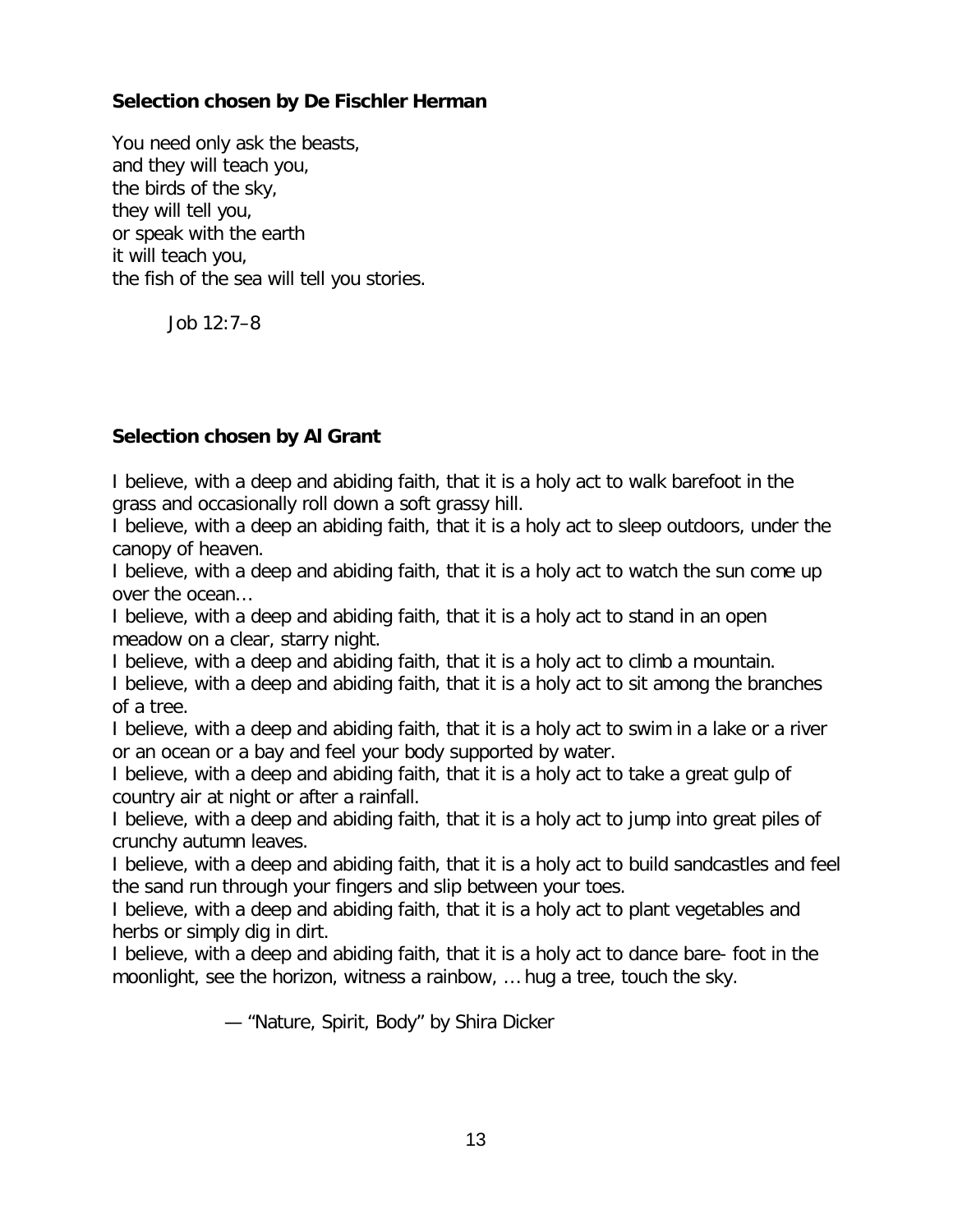#### **Selection chosen by De Fischler Herman**

You need only ask the beasts, and they will teach you, the birds of the sky, they will tell you, or speak with the earth it will teach you, the fish of the sea will tell you stories.

Job 12:7–8

#### **Selection chosen by Al Grant**

I believe, with a deep and abiding faith, that it is a holy act to walk barefoot in the grass and occasionally roll down a soft grassy hill.

I believe, with a deep an abiding faith, that it is a holy act to sleep outdoors, under the canopy of heaven.

I believe, with a deep and abiding faith, that it is a holy act to watch the sun come up over the ocean…

I believe, with a deep and abiding faith, that it is a holy act to stand in an open meadow on a clear, starry night.

I believe, with a deep and abiding faith, that it is a holy act to climb a mountain. I believe, with a deep and abiding faith, that it is a holy act to sit among the branches of a tree.

I believe, with a deep and abiding faith, that it is a holy act to swim in a lake or a river or an ocean or a bay and feel your body supported by water.

I believe, with a deep and abiding faith, that it is a holy act to take a great gulp of country air at night or after a rainfall.

I believe, with a deep and abiding faith, that it is a holy act to jump into great piles of crunchy autumn leaves.

I believe, with a deep and abiding faith, that it is a holy act to build sandcastles and feel the sand run through your fingers and slip between your toes.

I believe, with a deep and abiding faith, that it is a holy act to plant vegetables and herbs or simply dig in dirt.

I believe, with a deep and abiding faith, that it is a holy act to dance bare- foot in the moonlight, see the horizon, witness a rainbow, … hug a tree, touch the sky.

— "Nature, Spirit, Body" by Shira Dicker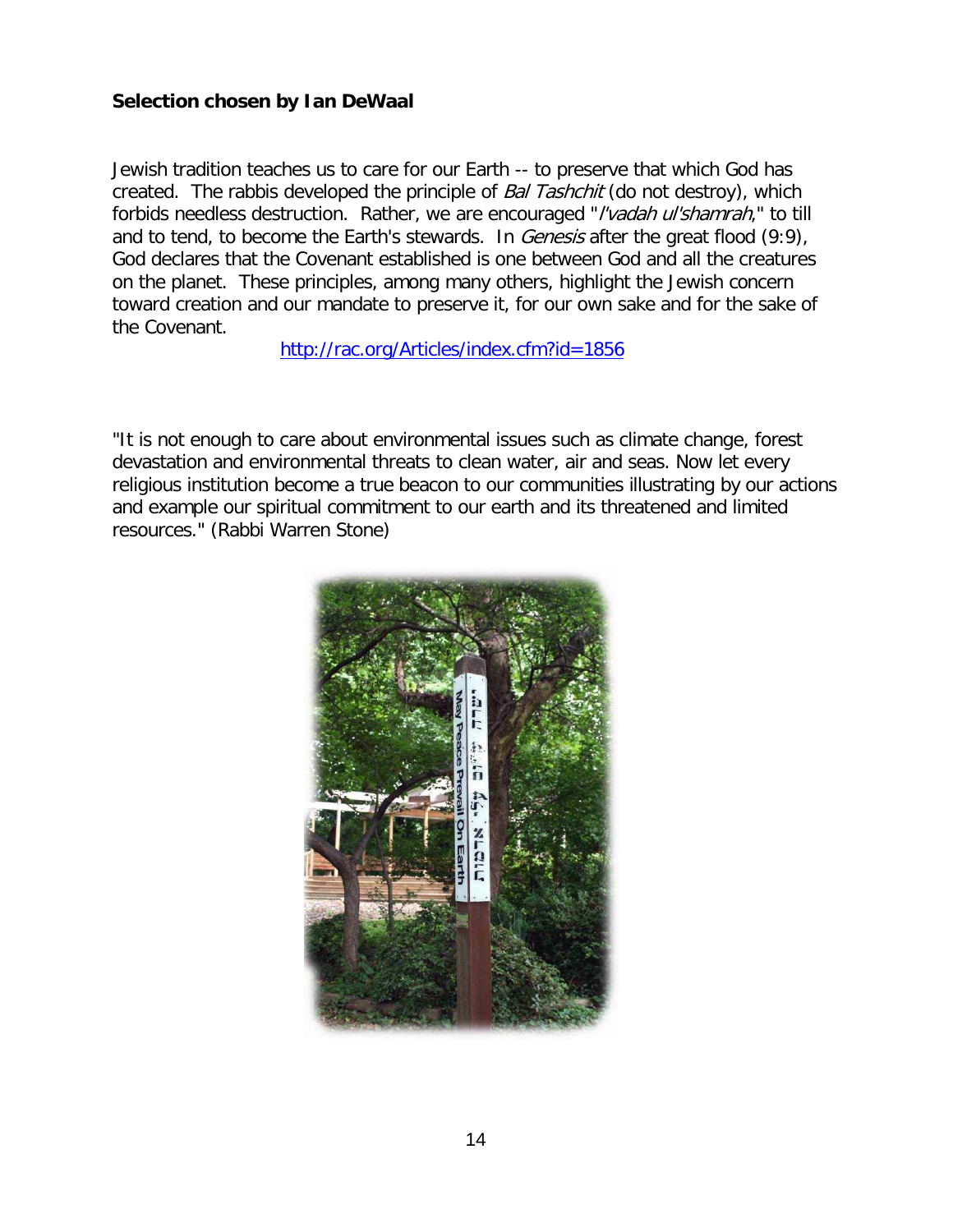#### **Selection chosen by Ian DeWaal**

Jewish tradition teaches us to care for our Earth -- to preserve that which God has created. The rabbis developed the principle of Bal Tashchit (do not destroy), which forbids needless destruction. Rather, we are encouraged "*l'vadah ul'shamrah*," to till and to tend, to become the Earth's stewards. In *Genesis* after the great flood (9:9), God declares that the Covenant established is one between God and all the creatures on the planet. These principles, among many others, highlight the Jewish concern toward creation and our mandate to preserve it, for our own sake and for the sake of the Covenant.

<http://rac.org/Articles/index.cfm?id=1856>

"It is not enough to care about environmental issues such as climate change, forest devastation and environmental threats to clean water, air and seas. Now let every religious institution become a true beacon to our communities illustrating by our actions and example our spiritual commitment to our earth and its threatened and limited resources." (Rabbi Warren Stone)

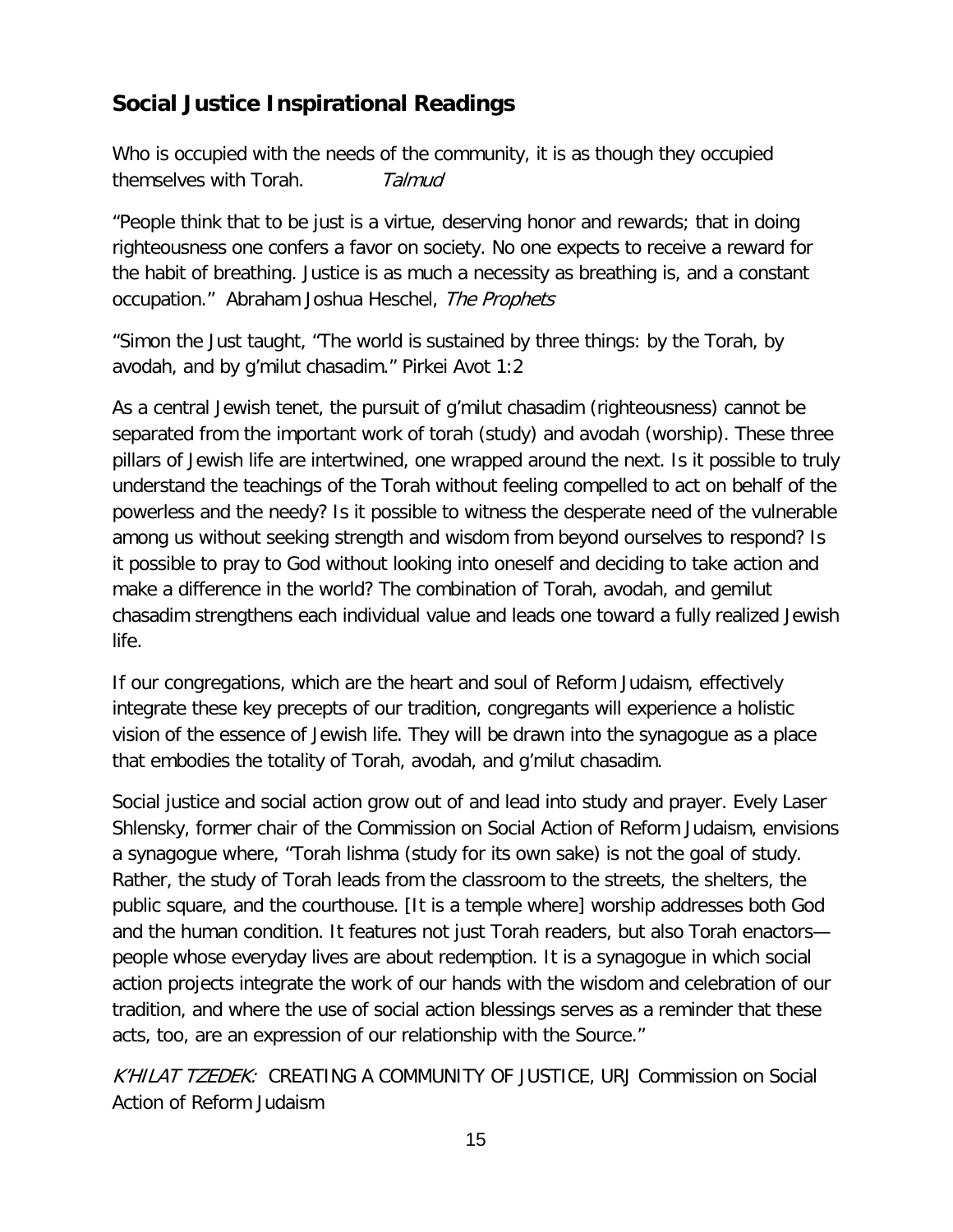## **Social Justice Inspirational Readings**

Who is occupied with the needs of the community, it is as though they occupied themselves with Torah. Talmud

"People think that to be just is a virtue, deserving honor and rewards; that in doing righteousness one confers a favor on society. No one expects to receive a reward for the habit of breathing. Justice is as much a necessity as breathing is, and a constant occupation." Abraham Joshua Heschel, The Prophets

"Simon the Just taught, "The world is sustained by three things: by the Torah, by avodah, and by g'milut chasadim." Pirkei Avot 1:2

As a central Jewish tenet, the pursuit of g'milut chasadim (righteousness) cannot be separated from the important work of torah (study) and avodah (worship). These three pillars of Jewish life are intertwined, one wrapped around the next. Is it possible to truly understand the teachings of the Torah without feeling compelled to act on behalf of the powerless and the needy? Is it possible to witness the desperate need of the vulnerable among us without seeking strength and wisdom from beyond ourselves to respond? Is it possible to pray to God without looking into oneself and deciding to take action and make a difference in the world? The combination of Torah, avodah, and gemilut chasadim strengthens each individual value and leads one toward a fully realized Jewish life.

If our congregations, which are the heart and soul of Reform Judaism, effectively integrate these key precepts of our tradition, congregants will experience a holistic vision of the essence of Jewish life. They will be drawn into the synagogue as a place that embodies the totality of Torah, avodah, and g'milut chasadim.

Social justice and social action grow out of and lead into study and prayer. Evely Laser Shlensky, former chair of the Commission on Social Action of Reform Judaism, envisions a synagogue where, "Torah lishma (study for its own sake) is not the goal of study. Rather, the study of Torah leads from the classroom to the streets, the shelters, the public square, and the courthouse. [It is a temple where] worship addresses both God and the human condition. It features not just Torah readers, but also Torah enactors people whose everyday lives are about redemption. It is a synagogue in which social action projects integrate the work of our hands with the wisdom and celebration of our tradition, and where the use of social action blessings serves as a reminder that these acts, too, are an expression of our relationship with the Source."

K'HILAT TZEDEK: CREATING A COMMUNITY OF JUSTICE, URJ Commission on Social Action of Reform Judaism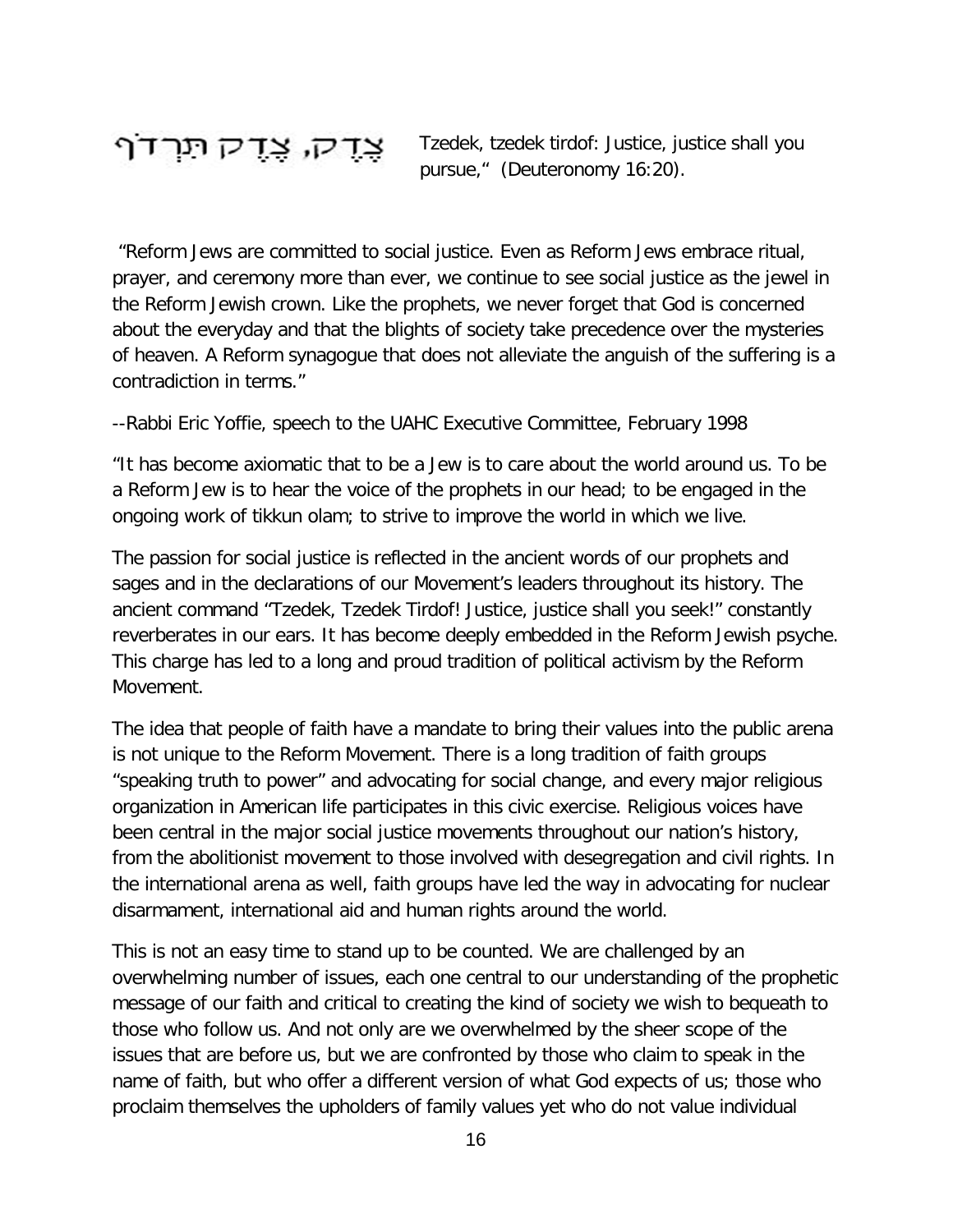## צֶדֶק, צֶדֶק תִּרְדֹף

Tzedek, tzedek tirdof: Justice, justice shall you pursue," (Deuteronomy 16:20).

"Reform Jews are committed to social justice. Even as Reform Jews embrace ritual, prayer, and ceremony more than ever, we continue to see social justice as the jewel in the Reform Jewish crown. Like the prophets, we never forget that God is concerned about the everyday and that the blights of society take precedence over the mysteries of heaven. A Reform synagogue that does not alleviate the anguish of the suffering is a contradiction in terms."

--Rabbi Eric Yoffie, speech to the UAHC Executive Committee, February 1998

"It has become axiomatic that to be a Jew is to care about the world around us. To be a Reform Jew is to hear the voice of the prophets in our head; to be engaged in the ongoing work of tikkun olam; to strive to improve the world in which we live.

The passion for social justice is reflected in the ancient words of our prophets and sages and in the declarations of our Movement's leaders throughout its history. The ancient command "Tzedek, Tzedek Tirdof! Justice, justice shall you seek!" constantly reverberates in our ears. It has become deeply embedded in the Reform Jewish psyche. This charge has led to a long and proud tradition of political activism by the Reform Movement.

The idea that people of faith have a mandate to bring their values into the public arena is not unique to the Reform Movement. There is a long tradition of faith groups "speaking truth to power" and advocating for social change, and every major religious organization in American life participates in this civic exercise. Religious voices have been central in the major social justice movements throughout our nation's history, from the abolitionist movement to those involved with desegregation and civil rights. In the international arena as well, faith groups have led the way in advocating for nuclear disarmament, international aid and human rights around the world.

This is not an easy time to stand up to be counted. We are challenged by an overwhelming number of issues, each one central to our understanding of the prophetic message of our faith and critical to creating the kind of society we wish to bequeath to those who follow us. And not only are we overwhelmed by the sheer scope of the issues that are before us, but we are confronted by those who claim to speak in the name of faith, but who offer a different version of what God expects of us; those who proclaim themselves the upholders of family values yet who do not value individual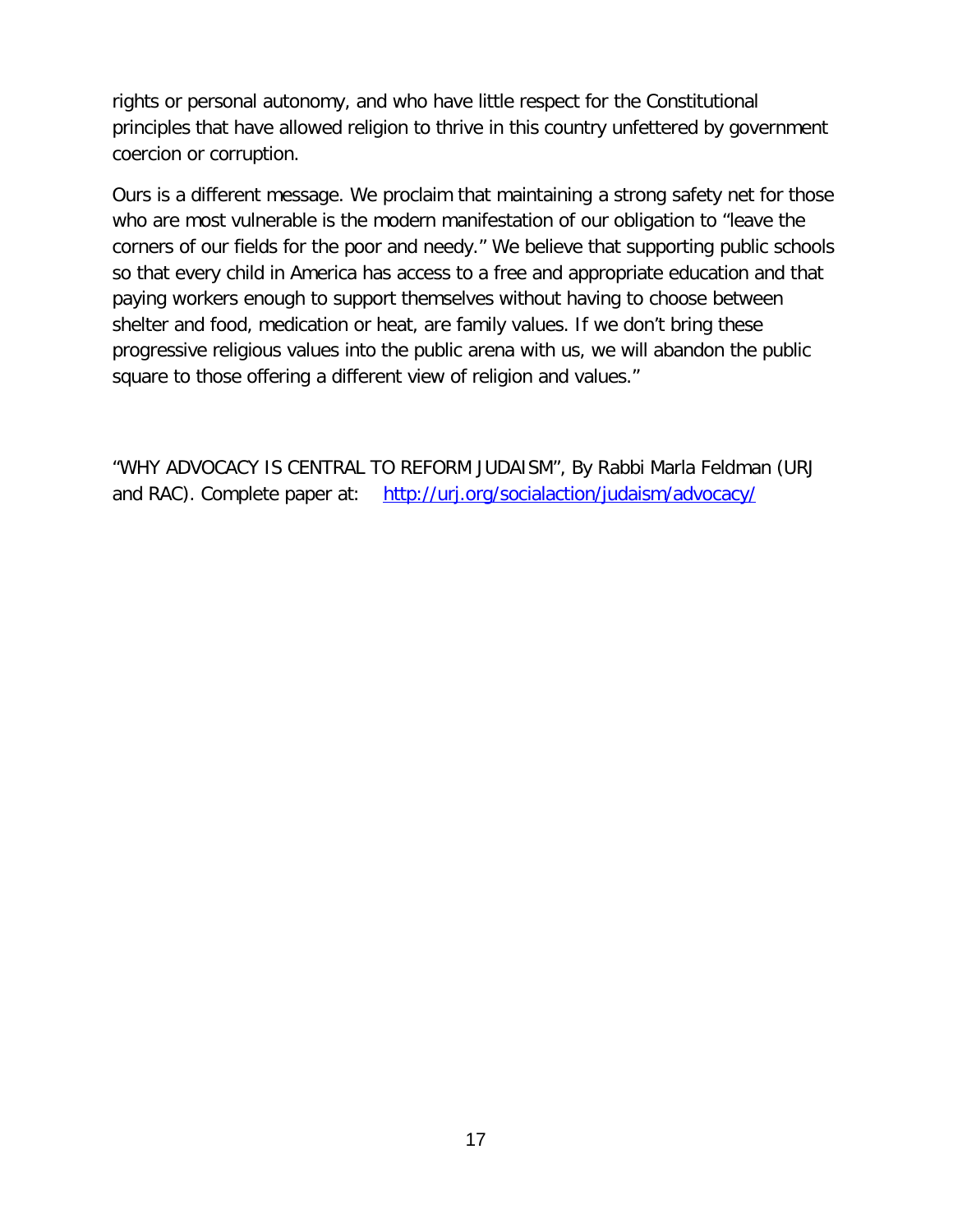rights or personal autonomy, and who have little respect for the Constitutional principles that have allowed religion to thrive in this country unfettered by government coercion or corruption.

Ours is a different message. We proclaim that maintaining a strong safety net for those who are most vulnerable is the modern manifestation of our obligation to "leave the corners of our fields for the poor and needy." We believe that supporting public schools so that every child in America has access to a free and appropriate education and that paying workers enough to support themselves without having to choose between shelter and food, medication or heat, are family values. If we don't bring these progressive religious values into the public arena with us, we will abandon the public square to those offering a different view of religion and values."

"WHY ADVOCACY IS CENTRAL TO REFORM JUDAISM", By Rabbi Marla Feldman (URJ and RAC). Complete paper at: <http://urj.org/socialaction/judaism/advocacy/>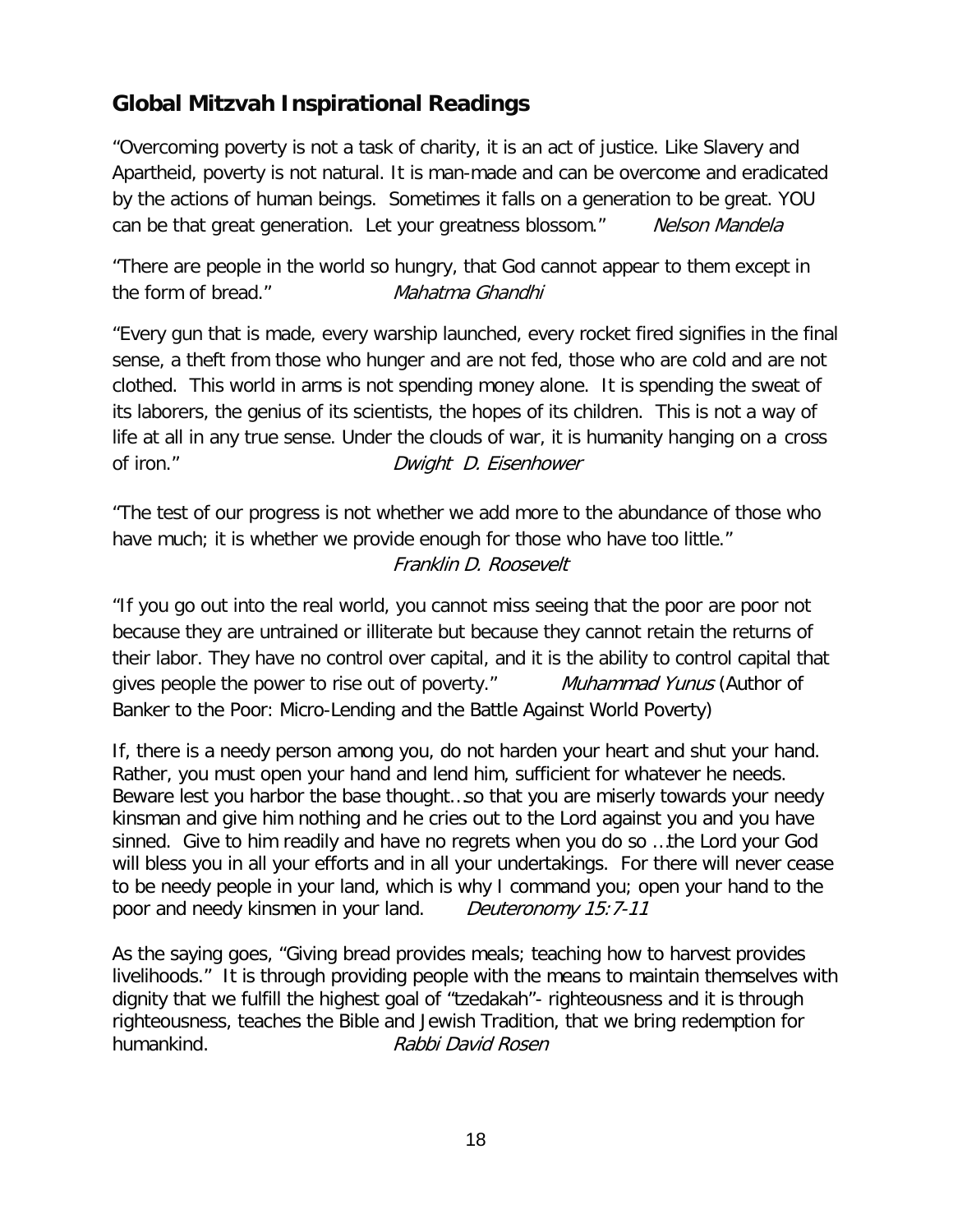## **Global Mitzvah Inspirational Readings**

"Overcoming poverty is not a task of charity, it is an act of justice. Like Slavery and Apartheid, poverty is not natural. It is man-made and can be overcome and eradicated by the actions of human beings. Sometimes it falls on a generation to be great. YOU can be that great generation. Let your greatness blossom." Nelson Mandela

"There are people in the world so hungry, that God cannot appear to them except in the form of bread." Mahatma Ghandhi

"Every gun that is made, every warship launched, every rocket fired signifies in the final sense, a theft from those who hunger and are not fed, those who are cold and are not clothed. This world in arms is not spending money alone. It is spending the sweat of its laborers, the genius of its scientists, the hopes of its children. This is not a way of life at all in any true sense. Under the clouds of war, it is humanity hanging on a cross of iron." Dwight D. Eisenhower

"The test of our progress is not whether we add more to the abundance of those who have much; it is whether we provide enough for those who have too little." Franklin D. Roosevelt

"If you go out into the real world, you cannot miss seeing that the poor are poor not because they are untrained or illiterate but because they cannot retain the returns of their labor. They have no control over capital, and it is the ability to control capital that gives people the power to rise out of poverty." Muhammad Yunus (Author of Banker to the Poor: Micro-Lending and the Battle Against World Poverty)

If, there is a needy person among you, do not harden your heart and shut your hand. Rather, you must open your hand and lend him, sufficient for whatever he needs. Beware lest you harbor the base thought…so that you are miserly towards your needy kinsman and give him nothing and he cries out to the Lord against you and you have sinned. Give to him readily and have no regrets when you do so …the Lord your God will bless you in all your efforts and in all your undertakings. For there will never cease to be needy people in your land, which is why I command you; open your hand to the poor and needy kinsmen in your land. Deuteronomy 15:7-11

As the saying goes, "Giving bread provides meals; teaching how to harvest provides livelihoods." It is through providing people with the means to maintain themselves with dignity that we fulfill the highest goal of "tzedakah"- righteousness and it is through righteousness, teaches the Bible and Jewish Tradition, that we bring redemption for humankind. Rabbi David Rosen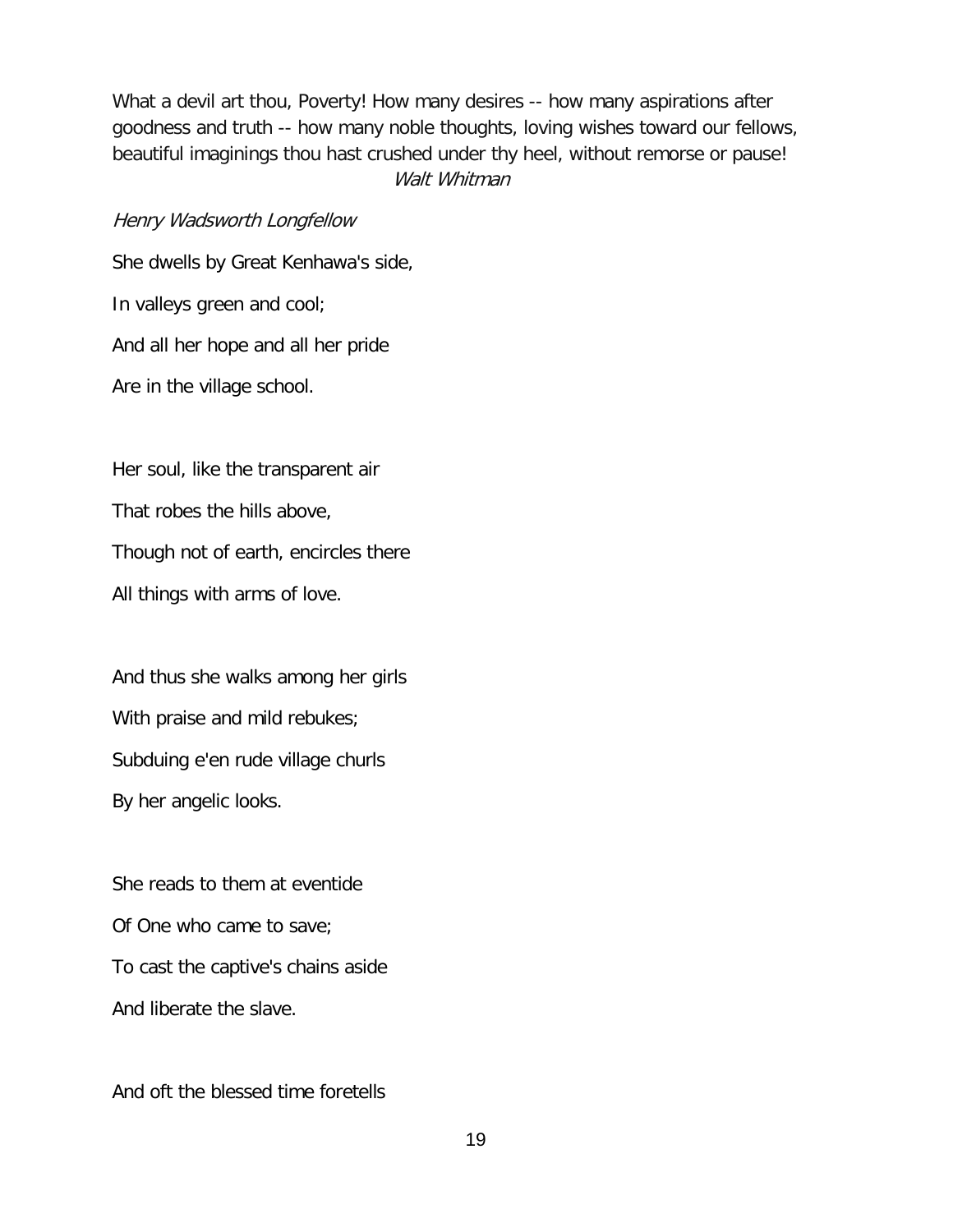What a devil art thou, Poverty! How many desires -- how many aspirations after goodness and truth -- how many noble thoughts, loving wishes toward our fellows, beautiful imaginings thou hast crushed under thy heel, without remorse or pause! Walt Whitman

#### Henry Wadsworth Longfellow

She dwells by Great Kenhawa's side, In valleys green and cool; And all her hope and all her pride Are in the village school.

Her soul, like the transparent air

That robes the hills above,

Though not of earth, encircles there

All things with arms of love.

And thus she walks among her girls With praise and mild rebukes; Subduing e'en rude village churls By her angelic looks.

She reads to them at eventide Of One who came to save; To cast the captive's chains aside And liberate the slave.

And oft the blessed time foretells

19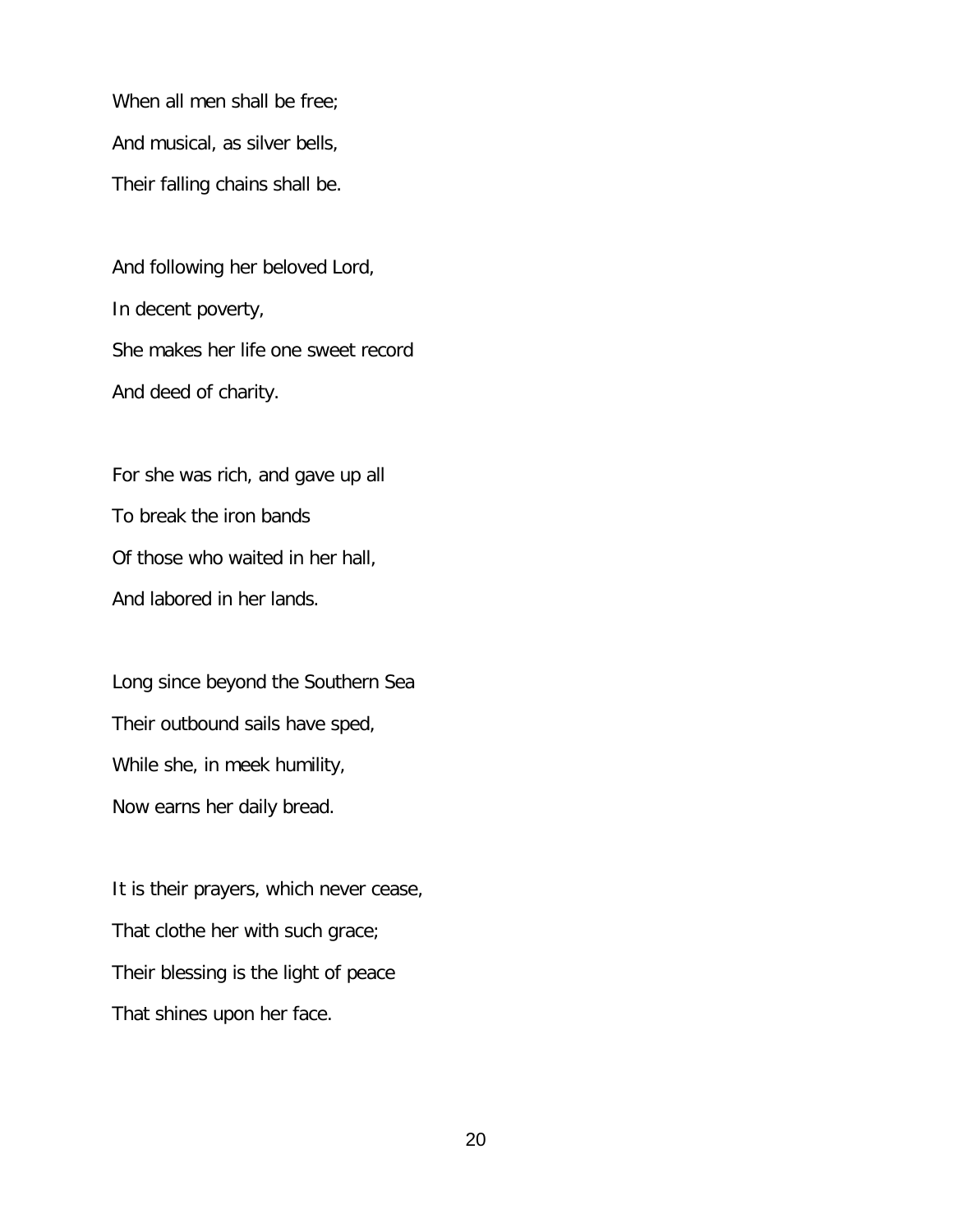When all men shall be free; And musical, as silver bells, Their falling chains shall be.

And following her beloved Lord, In decent poverty, She makes her life one sweet record And deed of charity.

For she was rich, and gave up all To break the iron bands Of those who waited in her hall, And labored in her lands.

Long since beyond the Southern Sea Their outbound sails have sped, While she, in meek humility, Now earns her daily bread.

It is their prayers, which never cease, That clothe her with such grace; Their blessing is the light of peace That shines upon her face.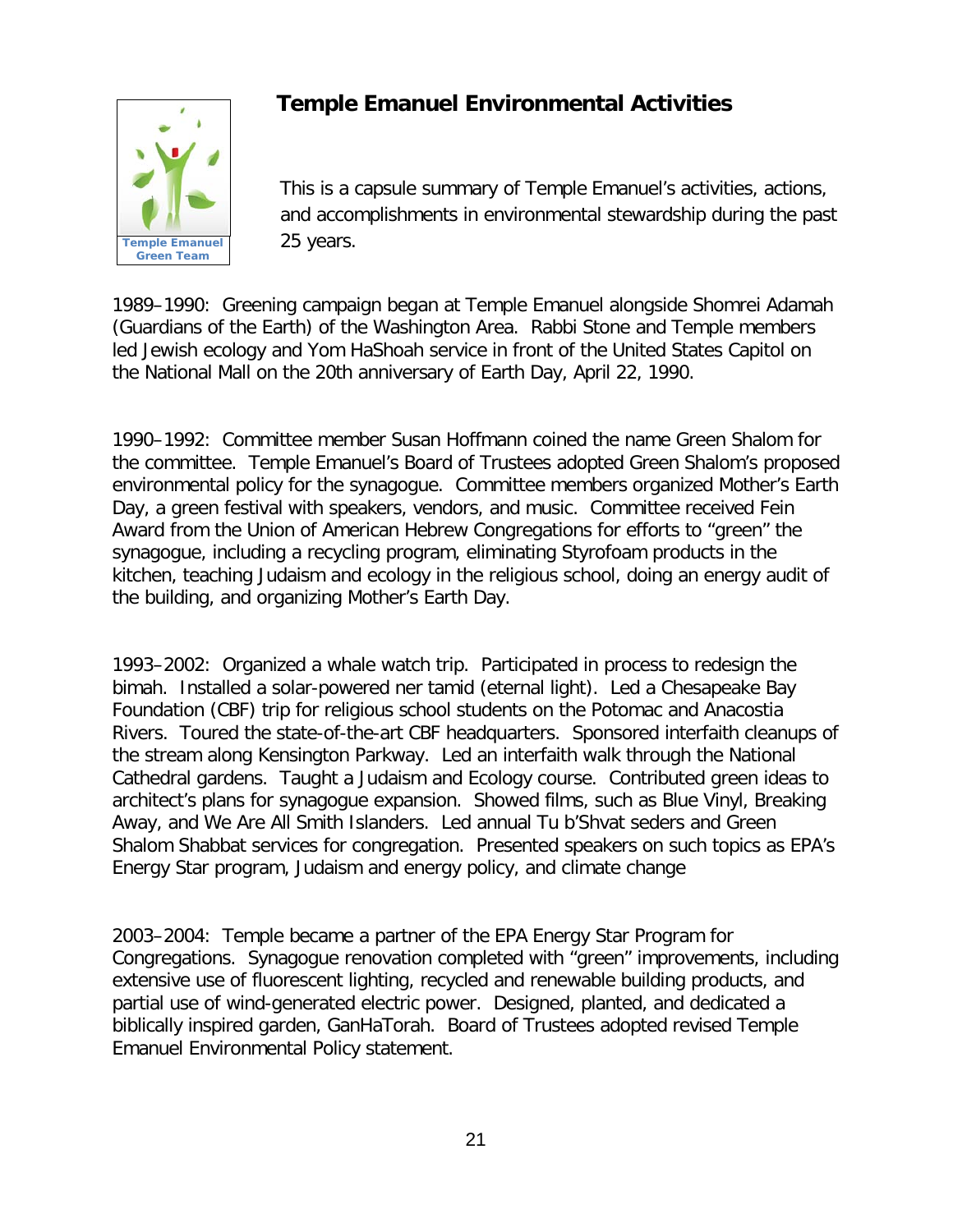

## **Temple Emanuel Environmental Activities**

This is a capsule summary of Temple Emanuel's activities, actions, and accomplishments in environmental stewardship during the past 25 years.

1989–1990: Greening campaign began at Temple Emanuel alongside Shomrei Adamah (Guardians of the Earth) of the Washington Area. Rabbi Stone and Temple members led Jewish ecology and Yom HaShoah service in front of the United States Capitol on the National Mall on the 20th anniversary of Earth Day, April 22, 1990.

1990–1992: Committee member Susan Hoffmann coined the name Green Shalom for the committee. Temple Emanuel's Board of Trustees adopted Green Shalom's proposed environmental policy for the synagogue. Committee members organized Mother's Earth Day, a green festival with speakers, vendors, and music. Committee received Fein Award from the Union of American Hebrew Congregations for efforts to "green" the synagogue, including a recycling program, eliminating Styrofoam products in the kitchen, teaching Judaism and ecology in the religious school, doing an energy audit of the building, and organizing Mother's Earth Day.

1993–2002: Organized a whale watch trip. Participated in process to redesign the bimah. Installed a solar-powered ner tamid (eternal light). Led a Chesapeake Bay Foundation (CBF) trip for religious school students on the Potomac and Anacostia Rivers. Toured the state-of-the-art CBF headquarters. Sponsored interfaith cleanups of the stream along Kensington Parkway. Led an interfaith walk through the National Cathedral gardens. Taught a Judaism and Ecology course. Contributed green ideas to architect's plans for synagogue expansion. Showed films, such as Blue Vinyl, Breaking Away, and We Are All Smith Islanders. Led annual Tu b'Shvat seders and Green Shalom Shabbat services for congregation. Presented speakers on such topics as EPA's Energy Star program, Judaism and energy policy, and climate change

2003–2004: Temple became a partner of the EPA Energy Star Program for Congregations. Synagogue renovation completed with "green" improvements, including extensive use of fluorescent lighting, recycled and renewable building products, and partial use of wind-generated electric power. Designed, planted, and dedicated a biblically inspired garden, GanHaTorah. Board of Trustees adopted revised Temple Emanuel Environmental Policy statement.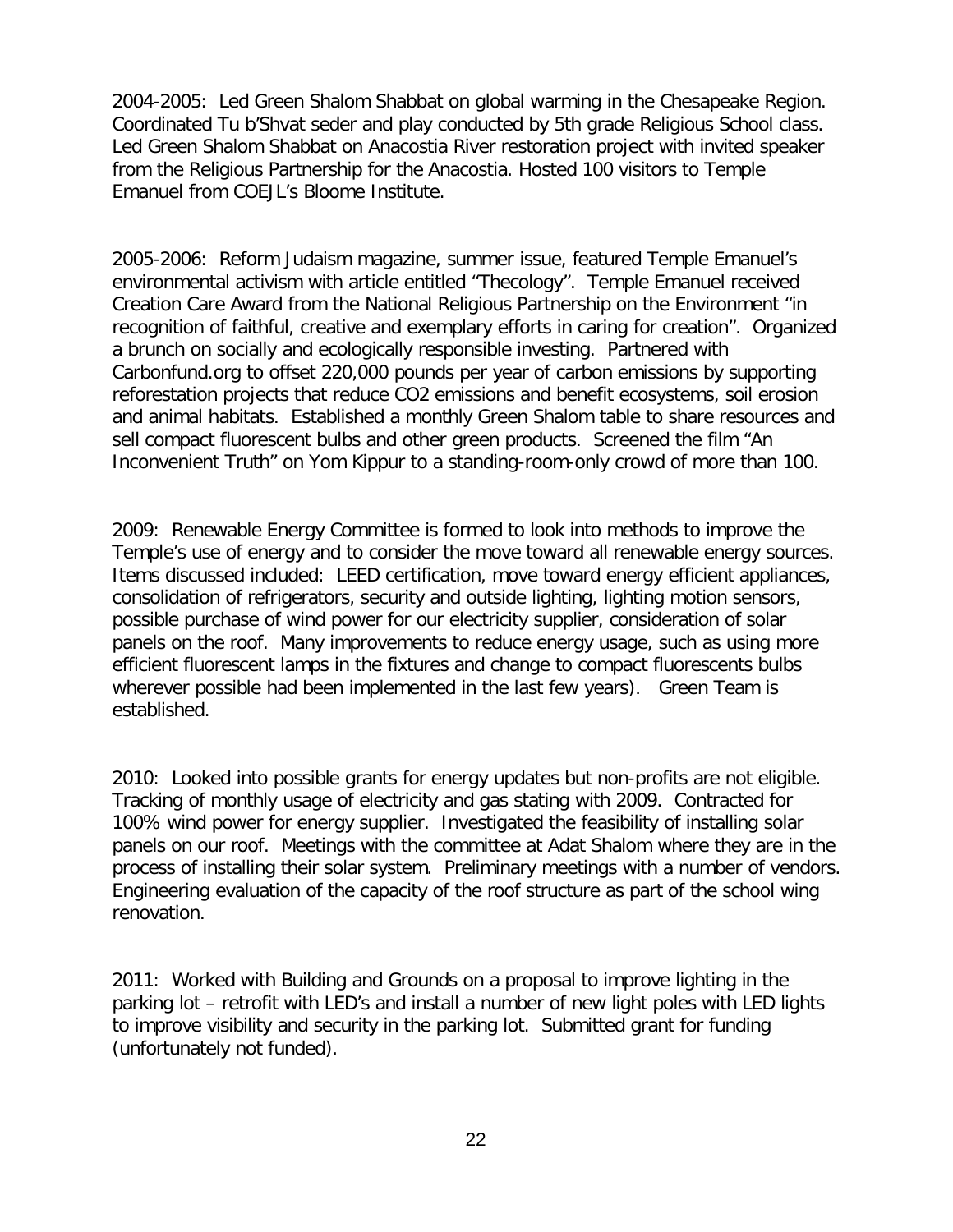2004-2005: Led Green Shalom Shabbat on global warming in the Chesapeake Region. Coordinated Tu b'Shvat seder and play conducted by 5th grade Religious School class. Led Green Shalom Shabbat on Anacostia River restoration project with invited speaker from the Religious Partnership for the Anacostia. Hosted 100 visitors to Temple Emanuel from COEJL's Bloome Institute.

2005-2006: Reform Judaism magazine, summer issue, featured Temple Emanuel's environmental activism with article entitled "Thecology". Temple Emanuel received Creation Care Award from the National Religious Partnership on the Environment "in recognition of faithful, creative and exemplary efforts in caring for creation". Organized a brunch on socially and ecologically responsible investing. Partnered with Carbonfund.org to offset 220,000 pounds per year of carbon emissions by supporting reforestation projects that reduce CO2 emissions and benefit ecosystems, soil erosion and animal habitats. Established a monthly Green Shalom table to share resources and sell compact fluorescent bulbs and other green products. Screened the film "An Inconvenient Truth" on Yom Kippur to a standing-room-only crowd of more than 100.

2009: Renewable Energy Committee is formed to look into methods to improve the Temple's use of energy and to consider the move toward all renewable energy sources. Items discussed included: LEED certification, move toward energy efficient appliances, consolidation of refrigerators, security and outside lighting, lighting motion sensors, possible purchase of wind power for our electricity supplier, consideration of solar panels on the roof. Many improvements to reduce energy usage, such as using more efficient fluorescent lamps in the fixtures and change to compact fluorescents bulbs wherever possible had been implemented in the last few years). Green Team is established.

2010: Looked into possible grants for energy updates but non-profits are not eligible. Tracking of monthly usage of electricity and gas stating with 2009. Contracted for 100% wind power for energy supplier. Investigated the feasibility of installing solar panels on our roof. Meetings with the committee at Adat Shalom where they are in the process of installing their solar system. Preliminary meetings with a number of vendors. Engineering evaluation of the capacity of the roof structure as part of the school wing renovation.

2011: Worked with Building and Grounds on a proposal to improve lighting in the parking lot – retrofit with LED's and install a number of new light poles with LED lights to improve visibility and security in the parking lot. Submitted grant for funding (unfortunately not funded).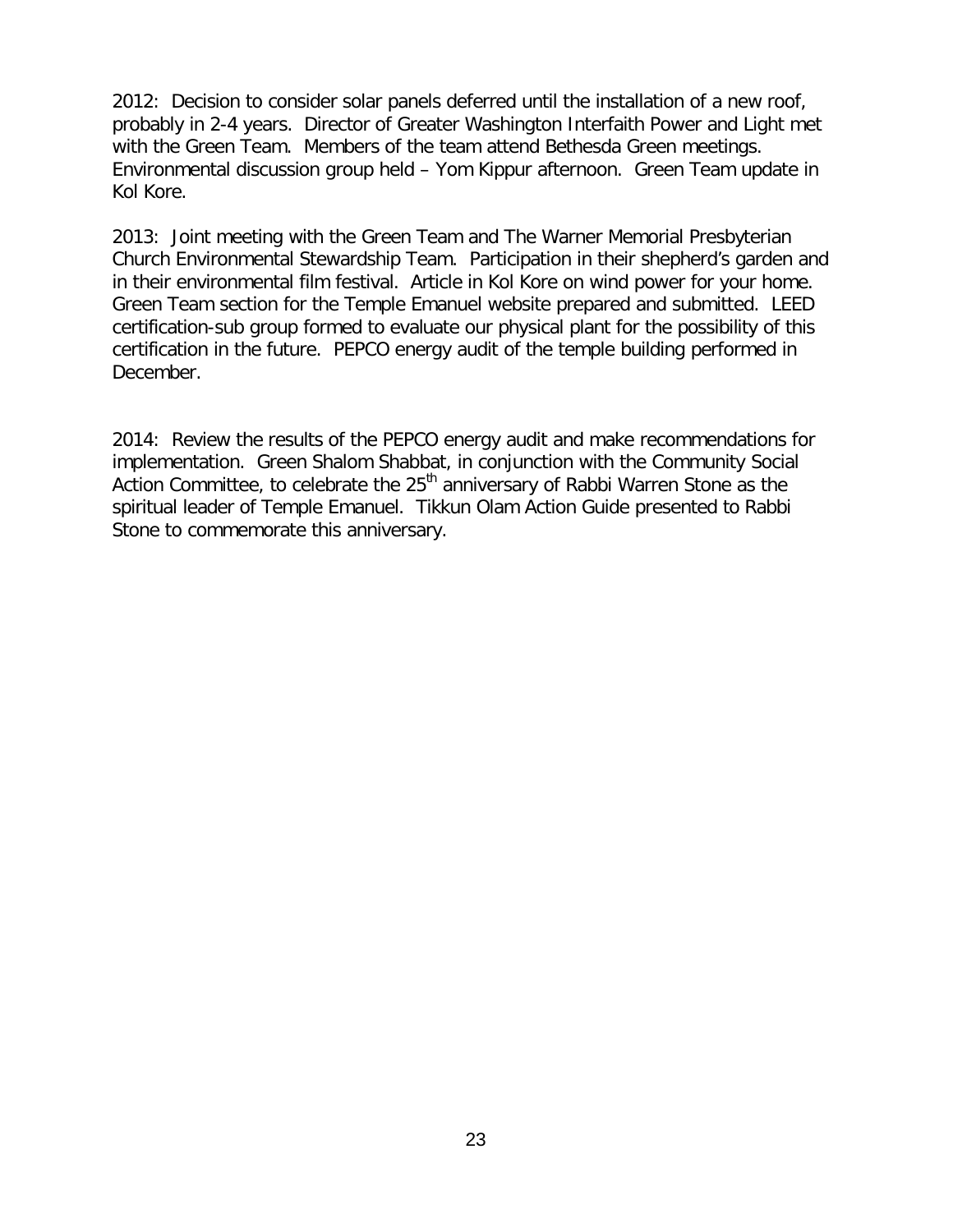2012: Decision to consider solar panels deferred until the installation of a new roof, probably in 2-4 years. Director of Greater Washington Interfaith Power and Light met with the Green Team. Members of the team attend Bethesda Green meetings. Environmental discussion group held – Yom Kippur afternoon. Green Team update in Kol Kore.

2013: Joint meeting with the Green Team and The Warner Memorial Presbyterian Church Environmental Stewardship Team. Participation in their shepherd's garden and in their environmental film festival. Article in Kol Kore on wind power for your home. Green Team section for the Temple Emanuel website prepared and submitted. LEED certification-sub group formed to evaluate our physical plant for the possibility of this certification in the future. PEPCO energy audit of the temple building performed in December.

2014: Review the results of the PEPCO energy audit and make recommendations for implementation. Green Shalom Shabbat, in conjunction with the Community Social Action Committee, to celebrate the  $25<sup>th</sup>$  anniversary of Rabbi Warren Stone as the spiritual leader of Temple Emanuel. Tikkun Olam Action Guide presented to Rabbi Stone to commemorate this anniversary.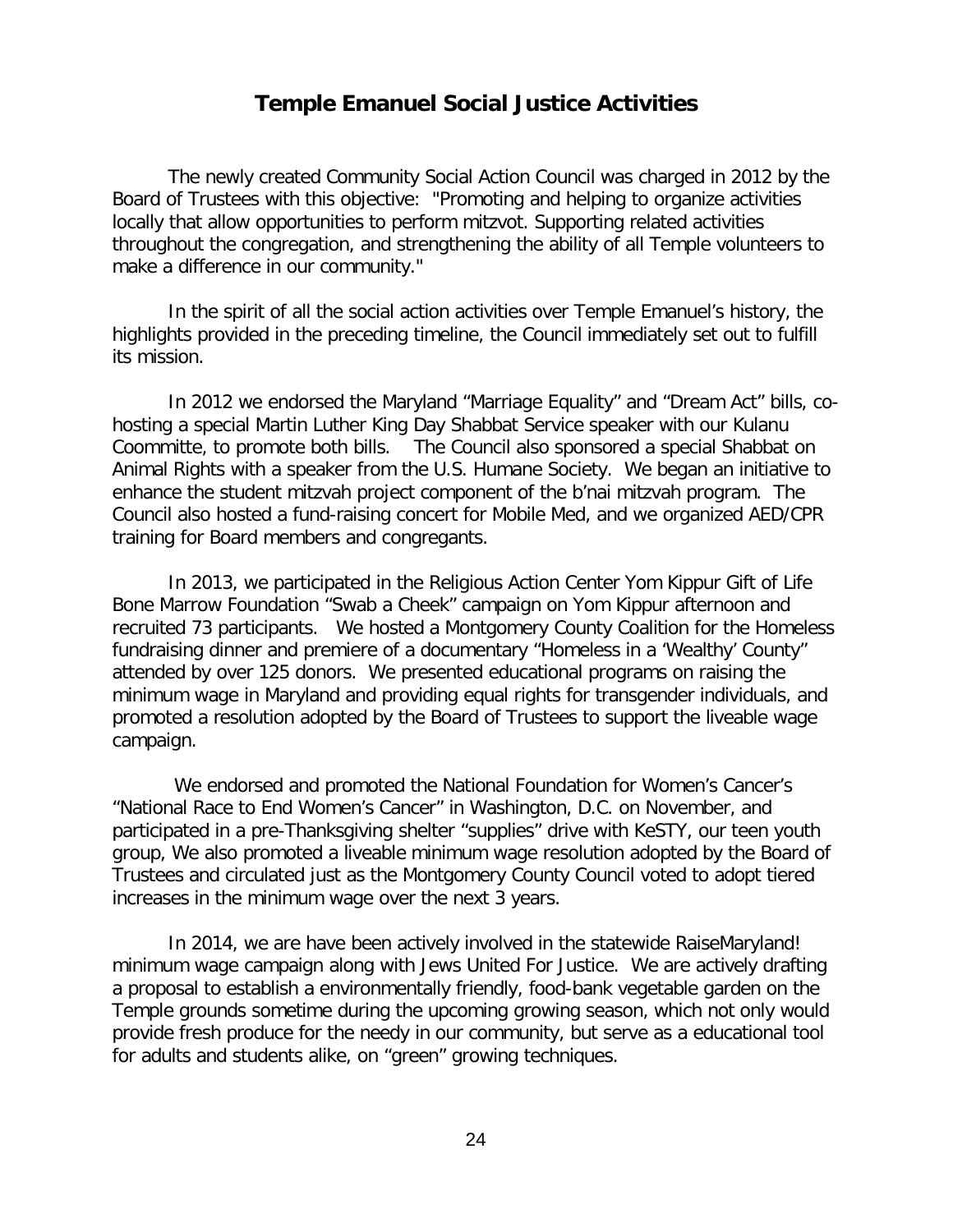#### **Temple Emanuel Social Justice Activities**

The newly created Community Social Action Council was charged in 2012 by the Board of Trustees with this objective: "Promoting and helping to organize activities locally that allow opportunities to perform mitzvot. Supporting related activities throughout the congregation, and strengthening the ability of all Temple volunteers to make a difference in our community."

In the spirit of all the social action activities over Temple Emanuel's history, the highlights provided in the preceding timeline, the Council immediately set out to fulfill its mission.

In 2012 we endorsed the Maryland "Marriage Equality" and "Dream Act" bills, cohosting a special Martin Luther King Day Shabbat Service speaker with our Kulanu Coommitte, to promote both bills. The Council also sponsored a special Shabbat on Animal Rights with a speaker from the U.S. Humane Society. We began an initiative to enhance the student mitzvah project component of the b'nai mitzvah program. The Council also hosted a fund-raising concert for Mobile Med, and we organized AED/CPR training for Board members and congregants.

In 2013, we participated in the Religious Action Center Yom Kippur Gift of Life Bone Marrow Foundation "Swab a Cheek" campaign on Yom Kippur afternoon and recruited 73 participants. We hosted a Montgomery County Coalition for the Homeless fundraising dinner and premiere of a documentary "Homeless in a 'Wealthy' County" attended by over 125 donors. We presented educational programs on raising the minimum wage in Maryland and providing equal rights for transgender individuals, and promoted a resolution adopted by the Board of Trustees to support the liveable wage campaign.

We endorsed and promoted the National Foundation for Women's Cancer's "National Race to End Women's Cancer" in Washington, D.C. on November, and participated in a pre-Thanksgiving shelter "supplies" drive with KeSTY, our teen youth group, We also promoted a liveable minimum wage resolution adopted by the Board of Trustees and circulated just as the Montgomery County Council voted to adopt tiered increases in the minimum wage over the next 3 years.

In 2014, we are have been actively involved in the statewide RaiseMaryland! minimum wage campaign along with Jews United For Justice. We are actively drafting a proposal to establish a environmentally friendly, food-bank vegetable garden on the Temple grounds sometime during the upcoming growing season, which not only would provide fresh produce for the needy in our community, but serve as a educational tool for adults and students alike, on "green" growing techniques.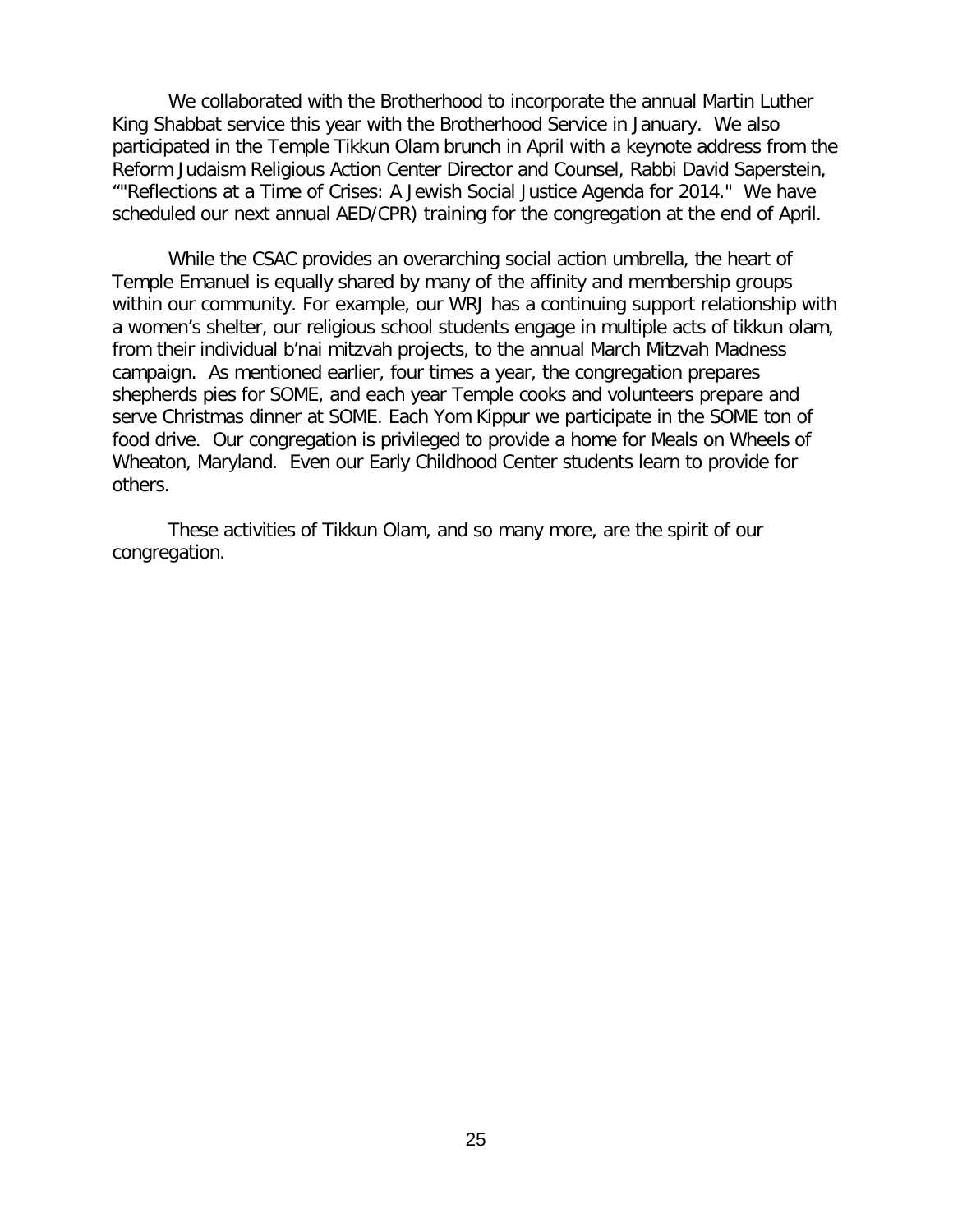We collaborated with the Brotherhood to incorporate the annual Martin Luther King Shabbat service this year with the Brotherhood Service in January. We also participated in the Temple Tikkun Olam brunch in April with a keynote address from the Reform Judaism Religious Action Center Director and Counsel, Rabbi David Saperstein, ""Reflections at a Time of Crises: A Jewish Social Justice Agenda for 2014." We have scheduled our next annual AED/CPR) training for the congregation at the end of April.

While the CSAC provides an overarching social action umbrella, the heart of Temple Emanuel is equally shared by many of the affinity and membership groups within our community. For example, our WRJ has a continuing support relationship with a women's shelter, our religious school students engage in multiple acts of tikkun olam, from their individual b'nai mitzvah projects, to the annual March Mitzvah Madness campaign. As mentioned earlier, four times a year, the congregation prepares shepherds pies for SOME, and each year Temple cooks and volunteers prepare and serve Christmas dinner at SOME. Each Yom Kippur we participate in the SOME ton of food drive. Our congregation is privileged to provide a home for Meals on Wheels of Wheaton, Maryland. Even our Early Childhood Center students learn to provide for others.

These activities of Tikkun Olam, and so many more, are the spirit of our congregation.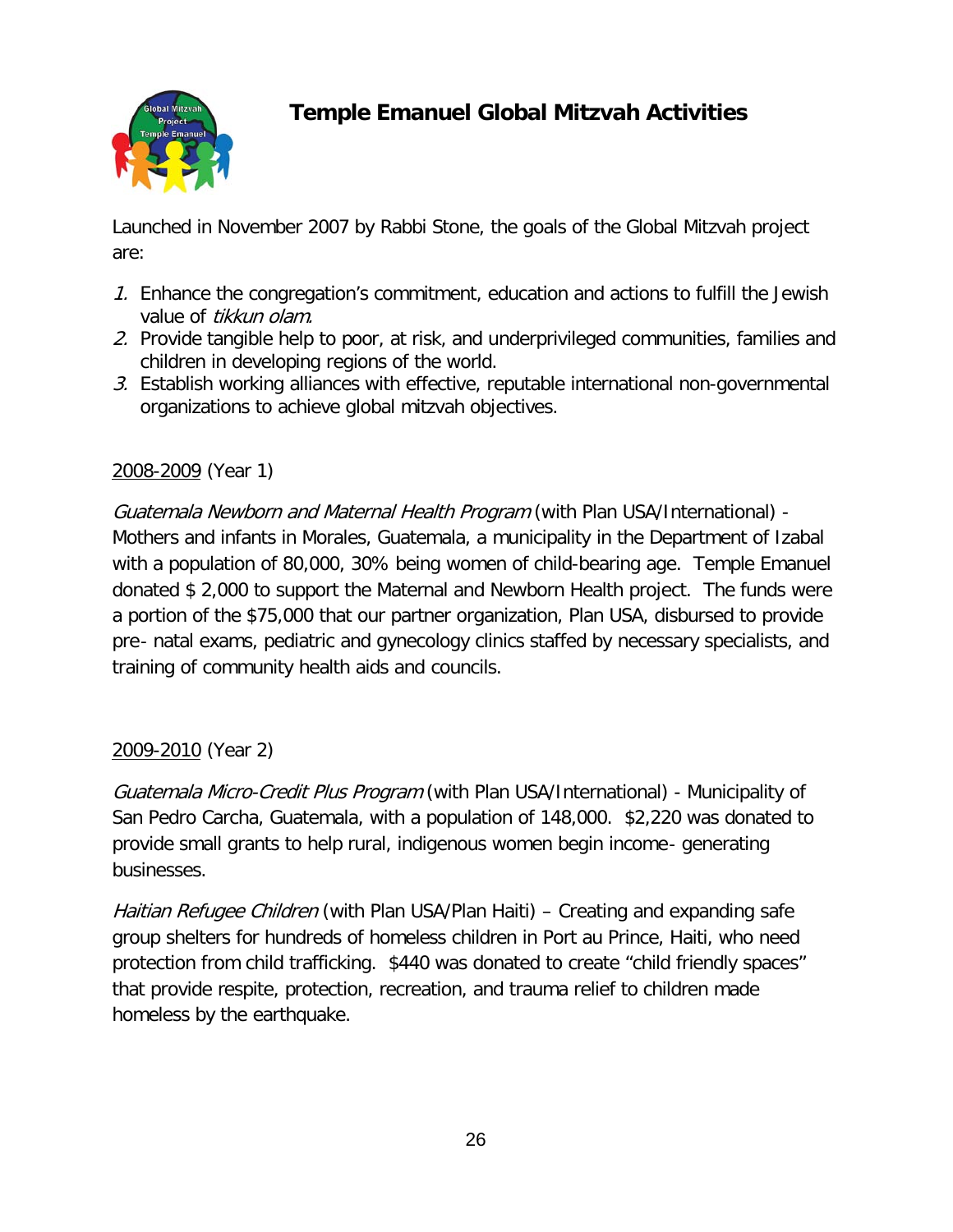

## **Temple Emanuel Global Mitzvah Activities**

Launched in November 2007 by Rabbi Stone, the goals of the Global Mitzvah project are:

- 1. Enhance the congregation's commitment, education and actions to fulfill the Jewish value of tikkun olam.
- 2. Provide tangible help to poor, at risk, and underprivileged communities, families and children in developing regions of the world.
- 3. Establish working alliances with effective, reputable international non-governmental organizations to achieve global mitzvah objectives.

#### 2008-2009 (Year 1)

Guatemala Newborn and Maternal Health Program (with Plan USA/International) - Mothers and infants in Morales, Guatemala, a municipality in the Department of Izabal with a population of 80,000, 30% being women of child-bearing age. Temple Emanuel donated \$ 2,000 to support the Maternal and Newborn Health project. The funds were a portion of the \$75,000 that our partner organization, Plan USA, disbursed to provide pre‐ natal exams, pediatric and gynecology clinics staffed by necessary specialists, and training of community health aids and councils.

#### 2009-2010 (Year 2)

Guatemala Micro-Credit Plus Program (with Plan USA/International) - Municipality of San Pedro Carcha, Guatemala, with a population of 148,000. \$2,220 was donated to provide small grants to help rural, indigenous women begin income‐ generating businesses.

Haitian Refugee Children (with Plan USA/Plan Haiti) – Creating and expanding safe group shelters for hundreds of homeless children in Port au Prince, Haiti, who need protection from child trafficking. \$440 was donated to create "child friendly spaces" that provide respite, protection, recreation, and trauma relief to children made homeless by the earthquake.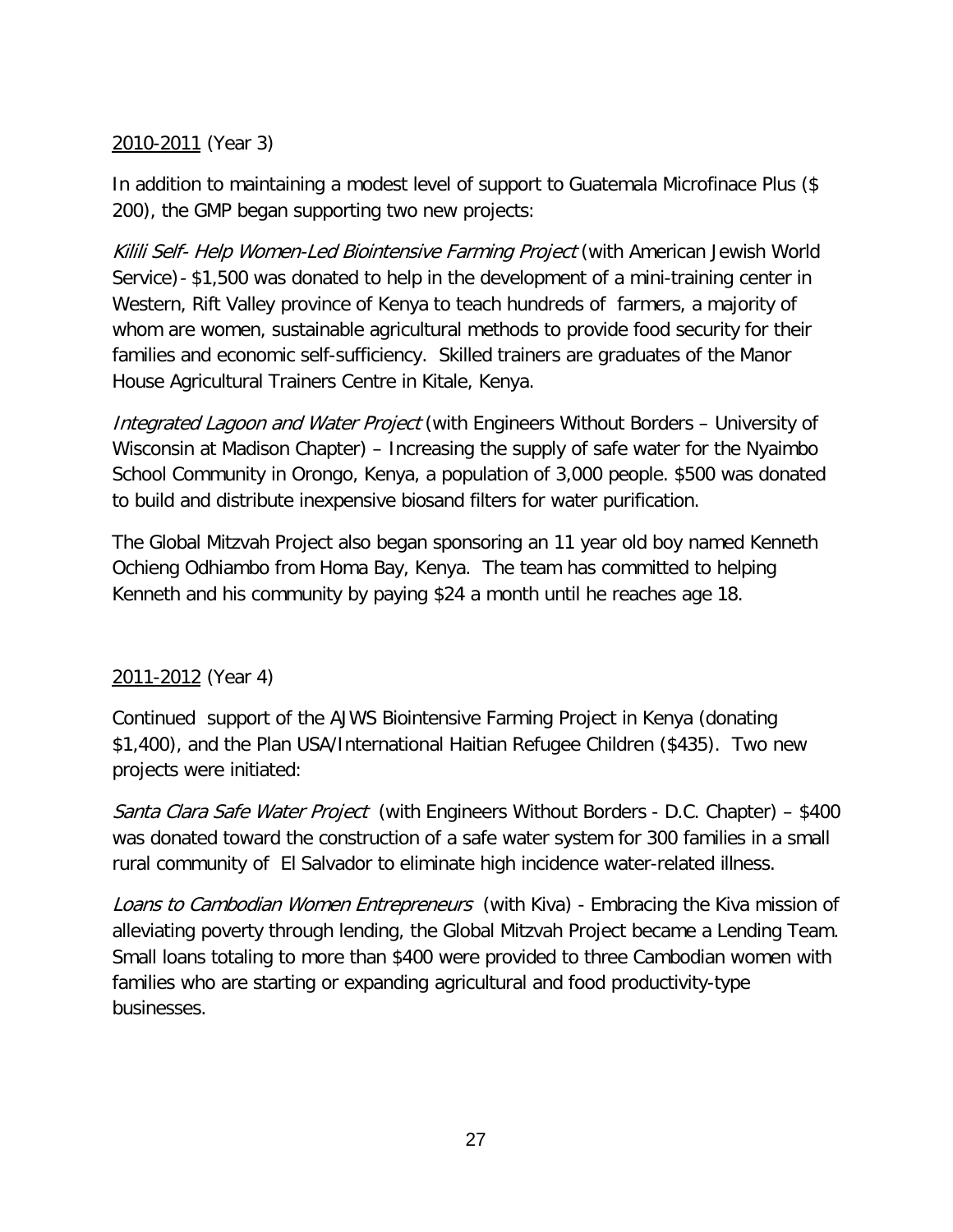#### 2010-2011 (Year 3)

In addition to maintaining a modest level of support to Guatemala Microfinace Plus (\$ 200), the GMP began supporting two new projects:

Kilili Self- Help Women-Led Biointensive Farming Project (with American Jewish World Service)- \$1,500 was donated to help in the development of a mini-training center in Western, Rift Valley province of Kenya to teach hundreds of farmers, a majority of whom are women, sustainable agricultural methods to provide food security for their families and economic self-sufficiency. Skilled trainers are graduates of the Manor House Agricultural Trainers Centre in Kitale, Kenya.

Integrated Lagoon and Water Project (with Engineers Without Borders – University of Wisconsin at Madison Chapter) – Increasing the supply of safe water for the Nyaimbo School Community in Orongo, Kenya, a population of 3,000 people. \$500 was donated to build and distribute inexpensive biosand filters for water purification.

The Global Mitzvah Project also began sponsoring an 11 year old boy named Kenneth Ochieng Odhiambo from Homa Bay, Kenya. The team has committed to helping Kenneth and his community by paying \$24 a month until he reaches age 18.

#### 2011-2012 (Year 4)

Continued support of the AJWS Biointensive Farming Project in Kenya (donating \$1,400), and the Plan USA/International Haitian Refugee Children (\$435). Two new projects were initiated:

Santa Clara Safe Water Project (with Engineers Without Borders - D.C. Chapter) – \$400 was donated toward the construction of a safe water system for 300 families in a small rural community of El Salvador to eliminate high incidence water-related illness.

Loans to Cambodian Women Entrepreneurs (with Kiva) - Embracing the Kiva mission of alleviating poverty through lending, the Global Mitzvah Project became a Lending Team. Small loans totaling to more than \$400 were provided to three Cambodian women with families who are starting or expanding agricultural and food productivity-type businesses.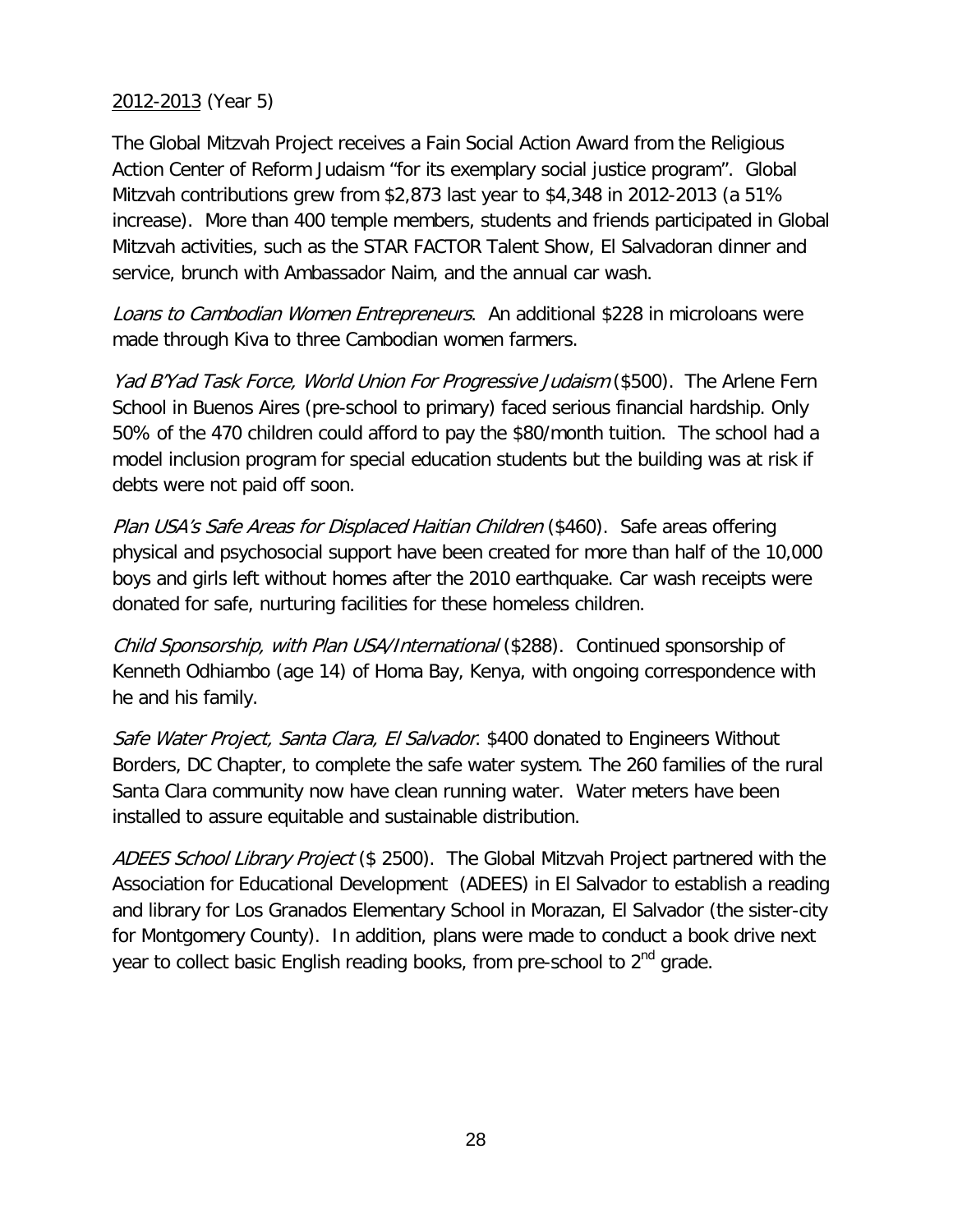#### 2012-2013 (Year 5)

The Global Mitzvah Project receives a Fain Social Action Award from the Religious Action Center of Reform Judaism "for its exemplary social justice program". Global Mitzvah contributions grew from \$2,873 last year to \$4,348 in 2012-2013 (a 51% increase). More than 400 temple members, students and friends participated in Global Mitzvah activities, such as the STAR FACTOR Talent Show, El Salvadoran dinner and service, brunch with Ambassador Naim, and the annual car wash.

Loans to Cambodian Women Entrepreneurs. An additional \$228 in microloans were made through Kiva to three Cambodian women farmers.

Yad B'Yad Task Force, World Union For Progressive Judaism (\$500). The Arlene Fern School in Buenos Aires (pre-school to primary) faced serious financial hardship. Only 50% of the 470 children could afford to pay the \$80/month tuition. The school had a model inclusion program for special education students but the building was at risk if debts were not paid off soon.

Plan USA's Safe Areas for Displaced Haitian Children (\$460). Safe areas offering physical and psychosocial support have been created for more than half of the 10,000 boys and girls left without homes after the 2010 earthquake. Car wash receipts were donated for safe, nurturing facilities for these homeless children.

Child Sponsorship, with Plan USA/International (\$288). Continued sponsorship of Kenneth Odhiambo (age 14) of Homa Bay, Kenya, with ongoing correspondence with he and his family.

Safe Water Project, Santa Clara, El Salvador. \$400 donated to Engineers Without Borders, DC Chapter, to complete the safe water system. The 260 families of the rural Santa Clara community now have clean running water. Water meters have been installed to assure equitable and sustainable distribution.

ADEES School Library Project (\$ 2500). The Global Mitzvah Project partnered with the Association for Educational Development (ADEES) in El Salvador to establish a reading and library for Los Granados Elementary School in Morazan, El Salvador (the sister-city for Montgomery County). In addition, plans were made to conduct a book drive next year to collect basic English reading books, from pre-school to  $2<sup>nd</sup>$  grade.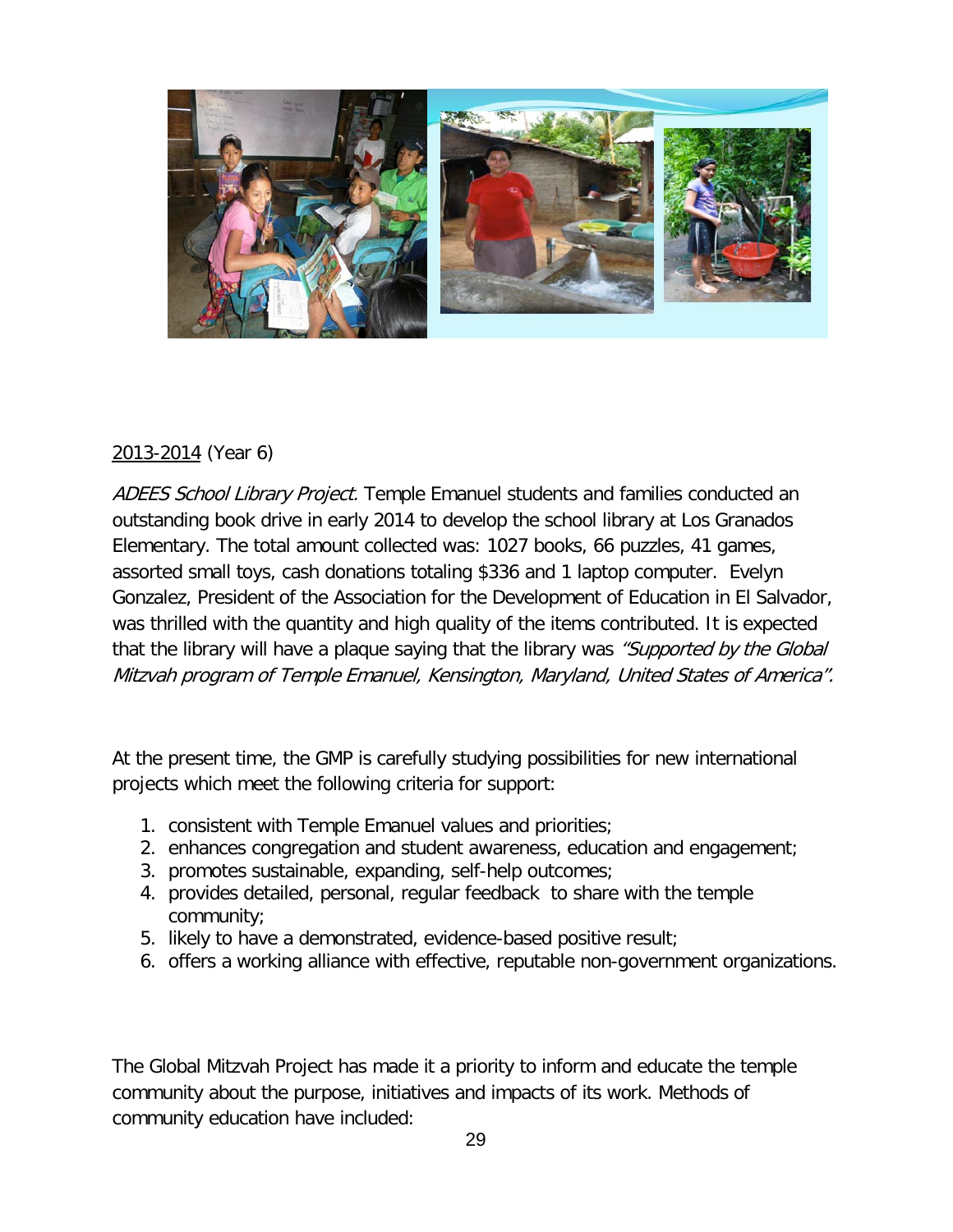

#### 2013-2014 (Year 6)

ADEES School Library Project. Temple Emanuel students and families conducted an outstanding book drive in early 2014 to develop the school library at Los Granados Elementary. The total amount collected was: 1027 books, 66 puzzles, 41 games, assorted small toys, cash donations totaling \$336 and 1 laptop computer. Evelyn Gonzalez, President of the Association for the Development of Education in El Salvador, was thrilled with the quantity and high quality of the items contributed. It is expected that the library will have a plaque saying that the library was "Supported by the Global Mitzvah program of Temple Emanuel, Kensington, Maryland, United States of America".

At the present time, the GMP is carefully studying possibilities for new international projects which meet the following criteria for support:

- 1. consistent with Temple Emanuel values and priorities;
- 2. enhances congregation and student awareness, education and engagement;
- 3. promotes sustainable, expanding, self-help outcomes;
- 4. provides detailed, personal, regular feedback to share with the temple community;
- 5. likely to have a demonstrated, evidence-based positive result;
- 6. offers a working alliance with effective, reputable non-government organizations.

The Global Mitzvah Project has made it a priority to inform and educate the temple community about the purpose, initiatives and impacts of its work. Methods of community education have included: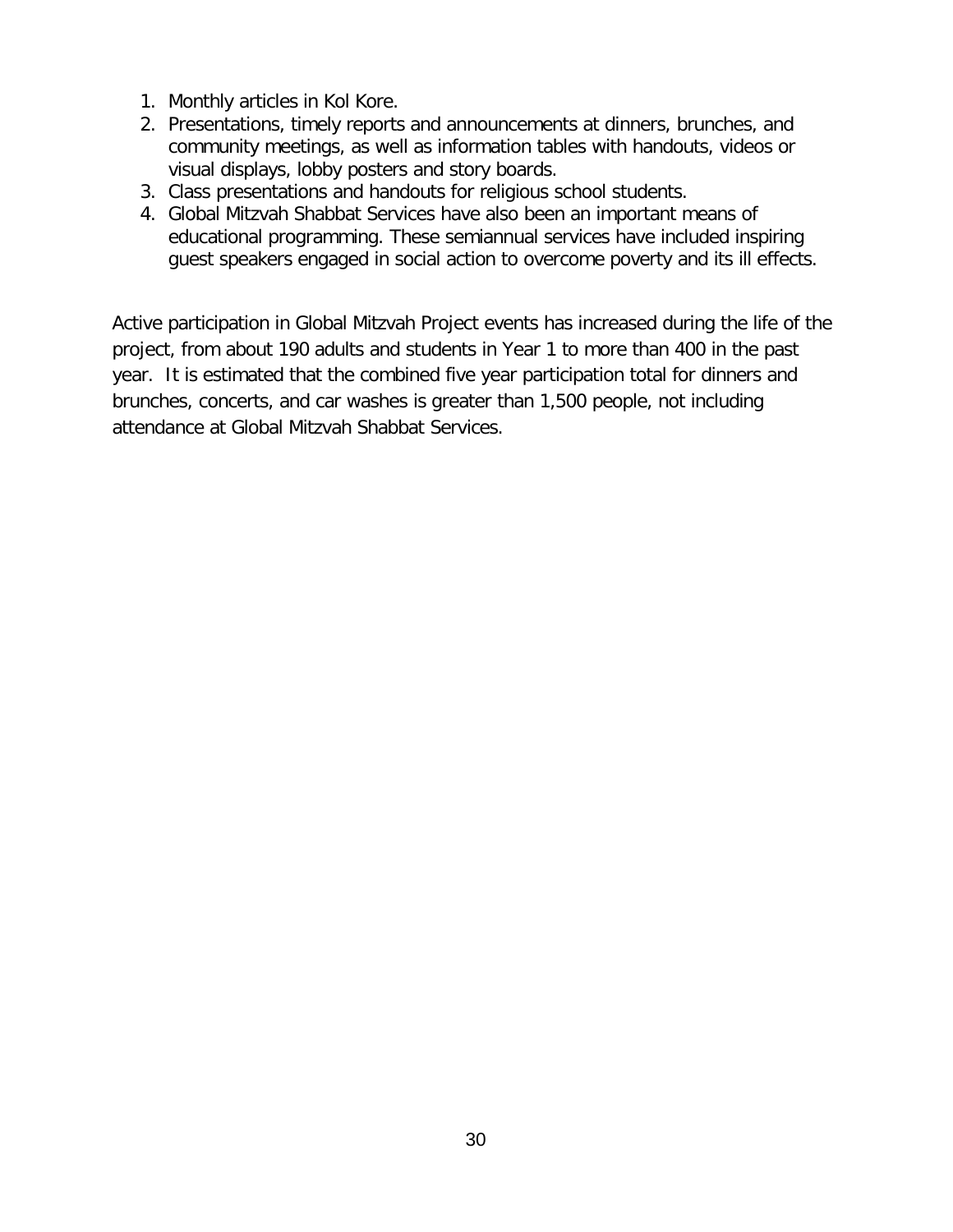- 1. Monthly articles in Kol Kore.
- 2. Presentations, timely reports and announcements at dinners, brunches, and community meetings, as well as information tables with handouts, videos or visual displays, lobby posters and story boards.
- 3. Class presentations and handouts for religious school students.
- 4. Global Mitzvah Shabbat Services have also been an important means of educational programming. These semiannual services have included inspiring guest speakers engaged in social action to overcome poverty and its ill effects.

Active participation in Global Mitzvah Project events has increased during the life of the project, from about 190 adults and students in Year 1 to more than 400 in the past year. It is estimated that the combined five year participation total for dinners and brunches, concerts, and car washes is greater than 1,500 people, not including attendance at Global Mitzvah Shabbat Services.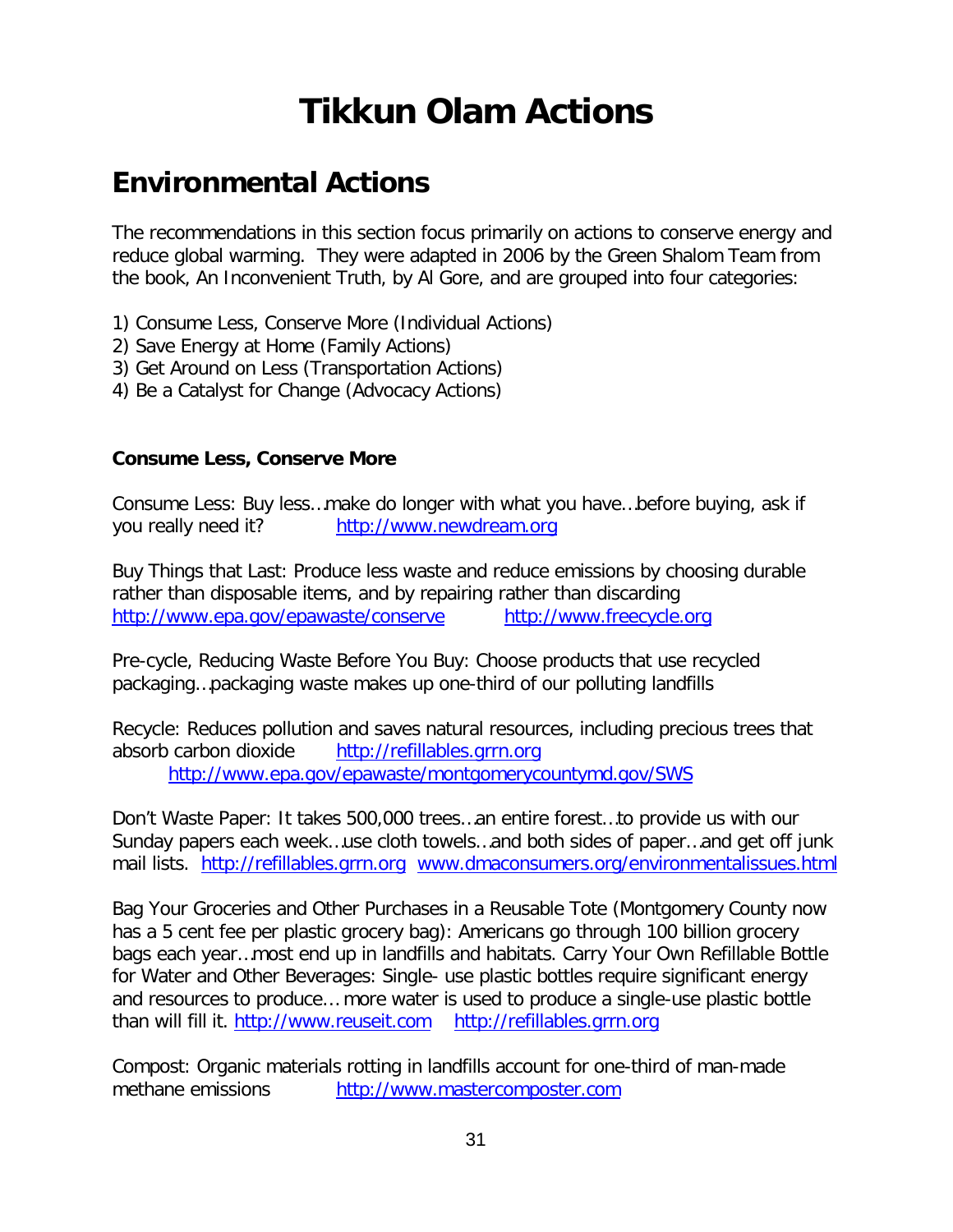# **Tikkun Olam Actions**

## **Environmental Actions**

The recommendations in this section focus primarily on actions to conserve energy and reduce global warming. They were adapted in 2006 by the Green Shalom Team from the book, An Inconvenient Truth, by Al Gore, and are grouped into four categories:

- 1) Consume Less, Conserve More (Individual Actions)
- 2) Save Energy at Home (Family Actions)
- 3) Get Around on Less (Transportation Actions)
- 4) Be a Catalyst for Change (Advocacy Actions)

#### **Consume Less, Conserve More**

Consume Less: Buy less…make do longer with what you have…before buying, ask if you really need it? [http://www.newdream.org](http://www.newdream.org/)

Buy Things that Last: Produce less waste and reduce emissions by choosing durable rather than disposable items, and by repairing rather than discarding <http://www.epa.gov/epawaste/conserve> [http://www.freecycle.org](http://www.freecycle.org/)

Pre-cycle, Reducing Waste Before You Buy: Choose products that use recycled packaging…packaging waste makes up one-third of our polluting landfills

Recycle: Reduces pollution and saves natural resources, including precious trees that absorb carbon dioxide [http://refillables.grrn.org](http://refillables.grrn.org/) <http://www.epa.gov/epawaste/montgomerycountymd.gov/SWS>

Don't Waste Paper: It takes 500,000 trees…an entire forest…to provide us with our Sunday papers each week…use cloth towels…and both sides of paper…and get off junk mail lists. [http://refillables.grrn.org](http://refillables.grrn.org/) www.dmaconsumers.org/environmentalissues.html

Bag Your Groceries and Other Purchases in a Reusable Tote (Montgomery County now has a 5 cent fee per plastic grocery bag): Americans go through 100 billion grocery bags each year…most end up in landfills and habitats. Carry Your Own Refillable Bottle for Water and Other Beverages: Single- use plastic bottles require significant energy and resources to produce… more water is used to produce a single-use plastic bottle than will fill it. [http://www.reuseit.com](http://www.reuseit.com/) [http://refillables.grrn.org](http://refillables.grrn.org/)

Compost: Organic materials rotting in landfills account for one-third of man-made methane emissions [http://www.mastercomposter.com](http://www.mastercomposter.com/)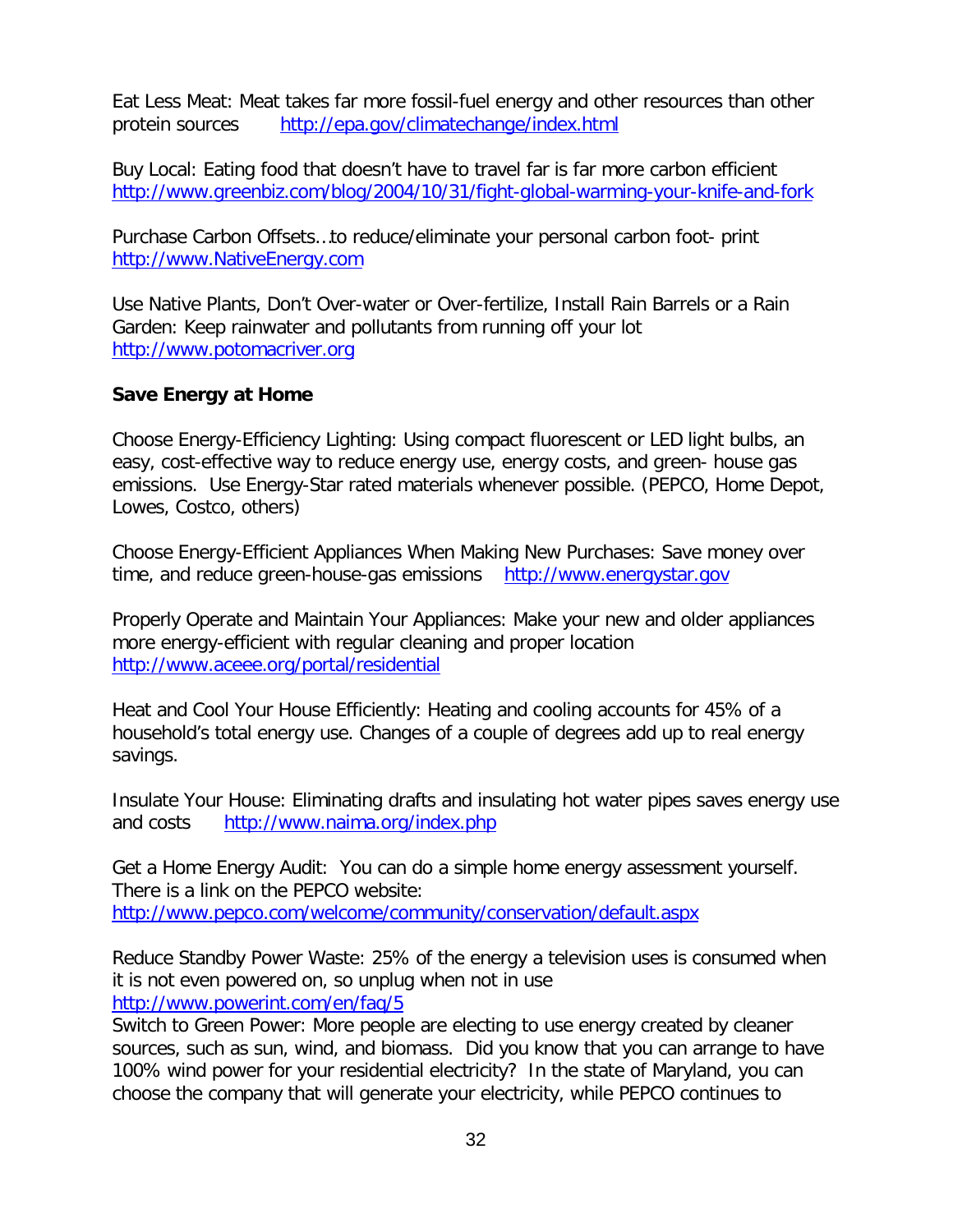Eat Less Meat: Meat takes far more fossil-fuel energy and other resources than other protein sources <http://epa.gov/climatechange/index.html>

Buy Local: Eating food that doesn't have to travel far is far more carbon efficient <http://www.greenbiz.com/blog/2004/10/31/fight-global-warming-your-knife-and-fork>

Purchase Carbon Offsets…to reduce/eliminate your personal carbon foot- print [http://www.NativeEnergy.com](http://www.nativeenergy.com/)

Use Native Plants, Don't Over-water or Over-fertilize, Install Rain Barrels or a Rain Garden: Keep rainwater and pollutants from running off your lot [http://www.potomacriver.org](http://www.potomacriver.org/)

#### **Save Energy at Home**

Choose Energy-Efficiency Lighting: Using compact fluorescent or LED light bulbs, an easy, cost-effective way to reduce energy use, energy costs, and green- house gas emissions. Use Energy-Star rated materials whenever possible. (PEPCO, Home Depot, Lowes, Costco, others)

Choose Energy-Efficient Appliances When Making New Purchases: Save money over time, and reduce green-house-gas emissions [http://www.energystar.gov](http://www.energystar.gov/)

Properly Operate and Maintain Your Appliances: Make your new and older appliances more energy-efficient with regular cleaning and proper location <http://www.aceee.org/portal/residential>

Heat and Cool Your House Efficiently: Heating and cooling accounts for 45% of a household's total energy use. Changes of a couple of degrees add up to real energy savings.

Insulate Your House: Eliminating drafts and insulating hot water pipes saves energy use and costs <http://www.naima.org/index.php>

Get a Home Energy Audit: You can do a simple home energy assessment yourself. There is a link on the PEPCO website: <http://www.pepco.com/welcome/community/conservation/default.aspx>

Reduce Standby Power Waste: 25% of the energy a television uses is consumed when it is not even powered on, so unplug when not in use <http://www.powerint.com/en/faq/5>

Switch to Green Power: More people are electing to use energy created by cleaner sources, such as sun, wind, and biomass. Did you know that you can arrange to have 100% wind power for your residential electricity? In the state of Maryland, you can choose the company that will generate your electricity, while PEPCO continues to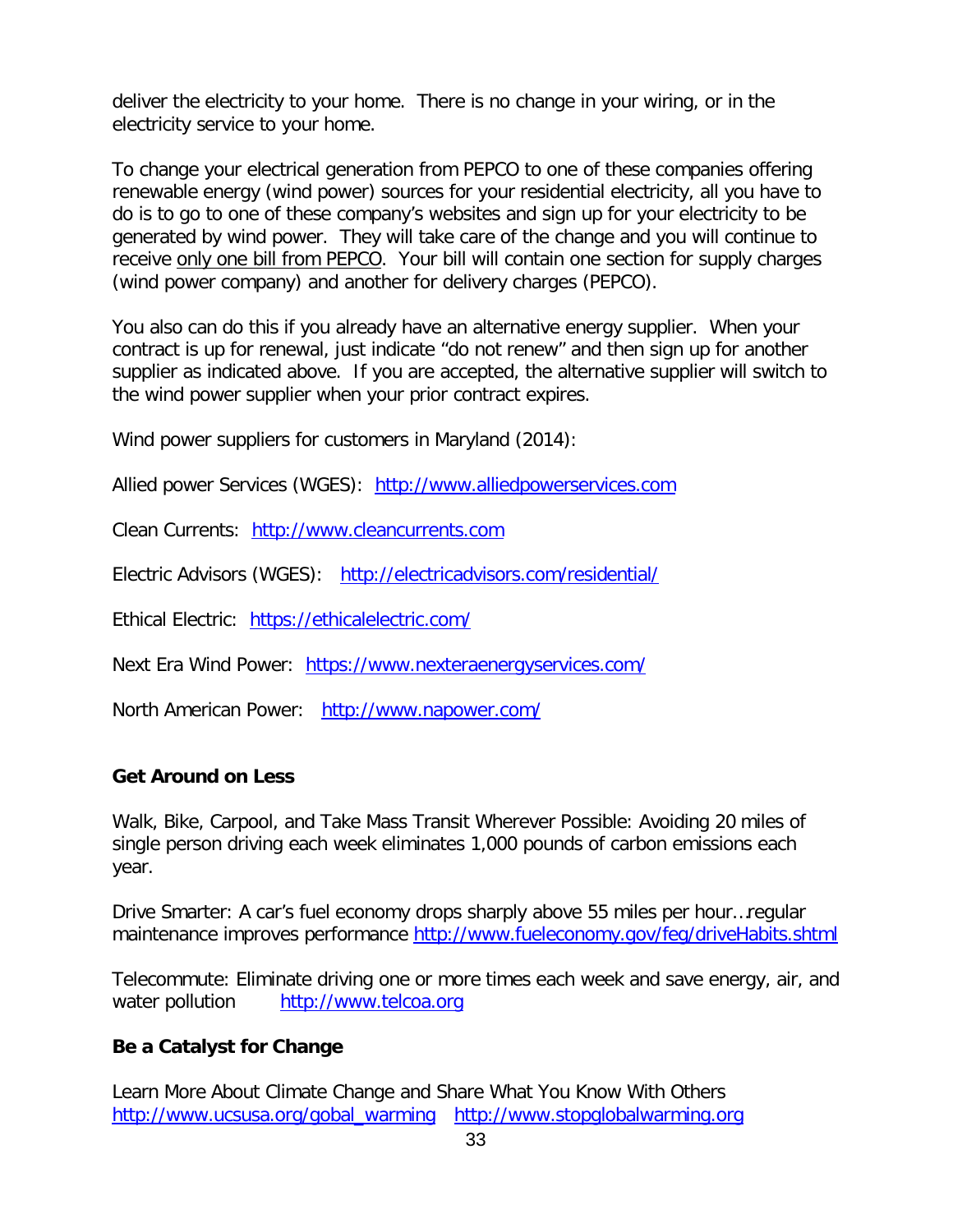deliver the electricity to your home. There is no change in your wiring, or in the electricity service to your home.

To change your electrical generation from PEPCO to one of these companies offering renewable energy (wind power) sources for your residential electricity, all you have to do is to go to one of these company's websites and sign up for your electricity to be generated by wind power. They will take care of the change and you will continue to receive only one bill from PEPCO. Your bill will contain one section for supply charges (wind power company) and another for delivery charges (PEPCO).

You also can do this if you already have an alternative energy supplier. When your contract is up for renewal, just indicate "do not renew" and then sign up for another supplier as indicated above. If you are accepted, the alternative supplier will switch to the wind power supplier when your prior contract expires.

Wind power suppliers for customers in Maryland (2014):

Allied power Services (WGES): [http://www.alliedpowerservices.com](http://www.alliedpowerservices.com/)

Clean Currents: [http://www.cleancurrents.com](http://www.cleancurrents.com/)

Electric Advisors (WGES): <http://electricadvisors.com/residential/>

Ethical Electric: <https://ethicalelectric.com/>

Next Era Wind Power: <https://www.nexteraenergyservices.com/>

North American Power: <http://www.napower.com/>

#### **Get Around on Less**

Walk, Bike, Carpool, and Take Mass Transit Wherever Possible: Avoiding 20 miles of single person driving each week eliminates 1,000 pounds of carbon emissions each year.

Drive Smarter: A car's fuel economy drops sharply above 55 miles per hour…regular maintenance improves performance<http://www.fueleconomy.gov/feg/driveHabits.shtml>

Telecommute: Eliminate driving one or more times each week and save energy, air, and water pollution [http://www.telcoa.org](http://www.telcoa.org/)

#### **Be a Catalyst for Change**

Learn More About Climate Change and Share What You Know With Others [http://www.ucsusa.org/gobal\\_warming](http://www.ucsusa.org/gobal_warming) [http://www.stopglobalwarming.org](http://www.stopglobalwarming.org/)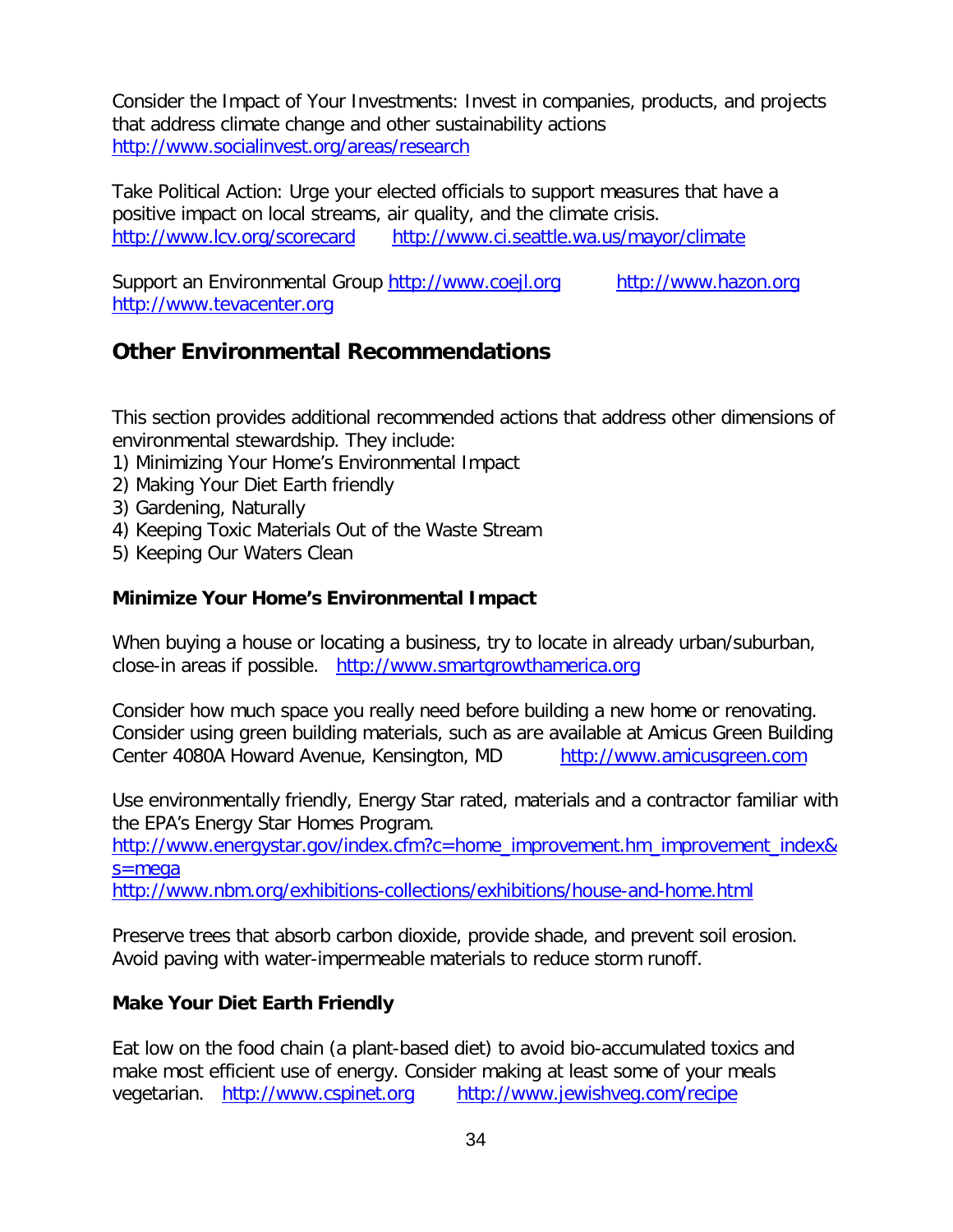Consider the Impact of Your Investments: Invest in companies, products, and projects that address climate change and other sustainability actions <http://www.socialinvest.org/areas/research>

Take Political Action: Urge your elected officials to support measures that have a positive impact on local streams, air quality, and the climate crisis. <http://www.lcv.org/scorecard> <http://www.ci.seattle.wa.us/mayor/climate>

Support an Environmental Group [http://www.coejl.org](http://www.coejl.org/) [http://www.hazon.org](http://www.hazon.org/) [http://www.tevacenter.org](http://www.tevacenter.org/)

## **Other Environmental Recommendations**

This section provides additional recommended actions that address other dimensions of environmental stewardship. They include:

- 1) Minimizing Your Home's Environmental Impact
- 2) Making Your Diet Earth friendly
- 3) Gardening, Naturally
- 4) Keeping Toxic Materials Out of the Waste Stream
- 5) Keeping Our Waters Clean

#### **Minimize Your Home's Environmental Impact**

When buying a house or locating a business, try to locate in already urban/suburban, close-in areas if possible. [http://www.smartgrowthamerica.org](http://www.smartgrowthamerica.org/)

Consider how much space you really need before building a new home or renovating. Consider using green building materials, such as are available at Amicus Green Building Center 4080A Howard Avenue, Kensington, MD [http://www.amicusgreen.com](http://www.amicusgreen.com/)

Use environmentally friendly, Energy Star rated, materials and a contractor familiar with the EPA's Energy Star Homes Program.

[http://www.energystar.gov/index.cfm?c=home\\_improvement.hm\\_improvement\\_index&](http://www.energystar.gov/index.cfm?c=home_improvement.hm_improvement_index&s=mega%20) [s=mega](http://www.energystar.gov/index.cfm?c=home_improvement.hm_improvement_index&s=mega%20)

<http://www.nbm.org/exhibitions-collections/exhibitions/house-and-home.html>

Preserve trees that absorb carbon dioxide, provide shade, and prevent soil erosion. Avoid paving with water-impermeable materials to reduce storm runoff.

#### **Make Your Diet Earth Friendly**

Eat low on the food chain (a plant-based diet) to avoid bio-accumulated toxics and make most efficient use of energy. Consider making at least some of your meals vegetarian. [http://www.cspinet.org](http://www.cspinet.org/) <http://www.jewishveg.com/recipe>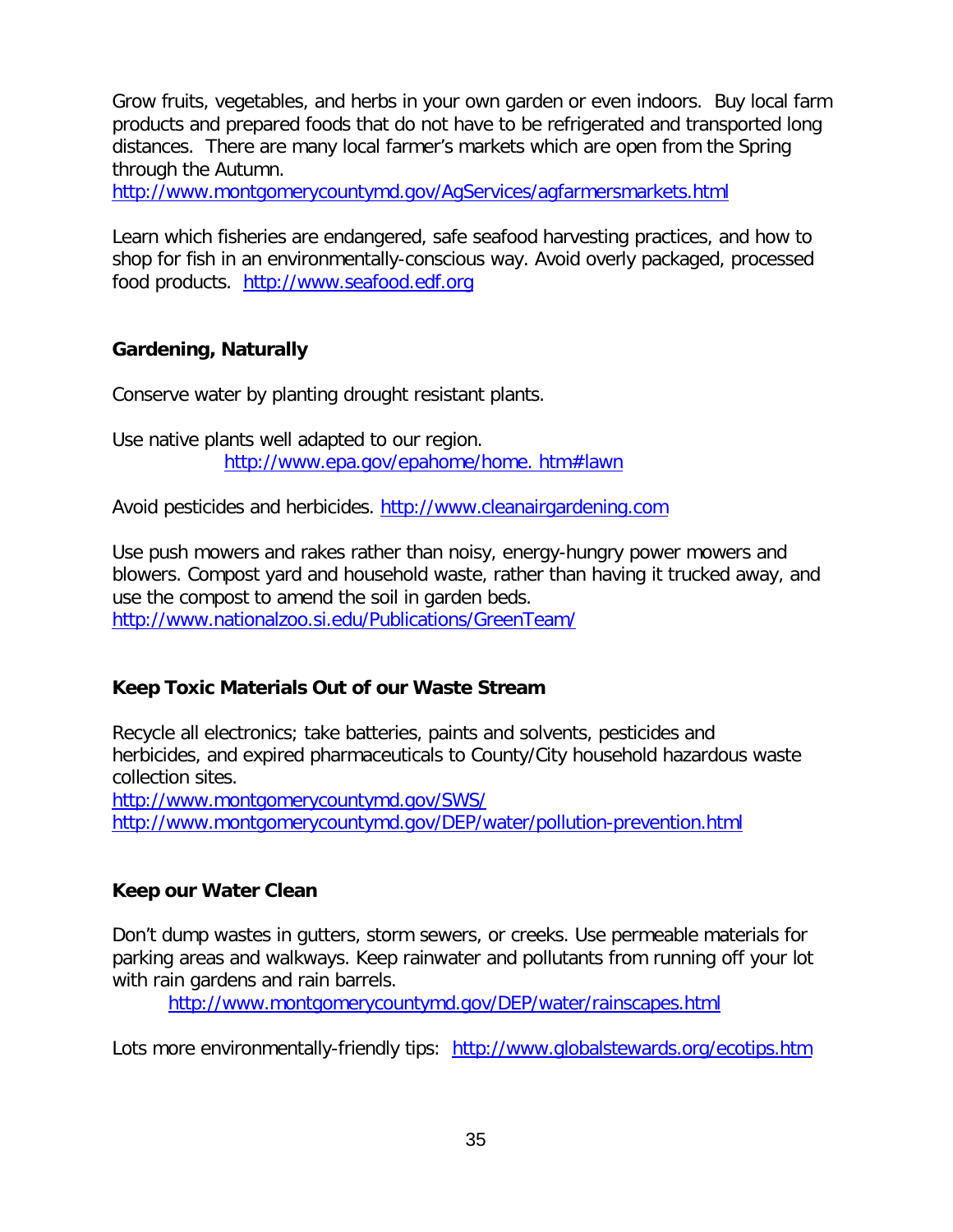Grow fruits, vegetables, and herbs in your own garden or even indoors. Buy local farm products and prepared foods that do not have to be refrigerated and transported long distances. There are many local farmer's markets which are open from the Spring through the Autumn.

<http://www.montgomerycountymd.gov/AgServices/agfarmersmarkets.html>

Learn which fisheries are endangered, safe seafood harvesting practices, and how to shop for fish in an environmentally-conscious way. Avoid overly packaged, processed food products. [http://www.seafood.edf.org](http://www.seafood.edf.org/)

#### **Gardening, Naturally**

Conserve water by planting drought resistant plants.

Use native plants well adapted to our region. [http://www.epa.gov/epahome/home. htm#lawn](http://www.epa.gov/epahome/home.%20htm%23lawn)

Avoid pesticides and herbicides. [http://www.cleanairgardening.com](http://www.cleanairgardening.com/)

Use push mowers and rakes rather than noisy, energy-hungry power mowers and blowers. Compost yard and household waste, rather than having it trucked away, and use the compost to amend the soil in garden beds. <http://www.nationalzoo.si.edu/Publications/GreenTeam/>

#### **Keep Toxic Materials Out of our Waste Stream**

Recycle all electronics; take batteries, paints and solvents, pesticides and herbicides, and expired pharmaceuticals to County/City household hazardous waste collection sites.

<http://www.montgomerycountymd.gov/SWS/> <http://www.montgomerycountymd.gov/DEP/water/pollution-prevention.html>

#### **Keep our Water Clean**

Don't dump wastes in gutters, storm sewers, or creeks. Use permeable materials for parking areas and walkways. Keep rainwater and pollutants from running off your lot with rain gardens and rain barrels.

<http://www.montgomerycountymd.gov/DEP/water/rainscapes.html>

Lots more environmentally-friendly tips: <http://www.globalstewards.org/ecotips.htm>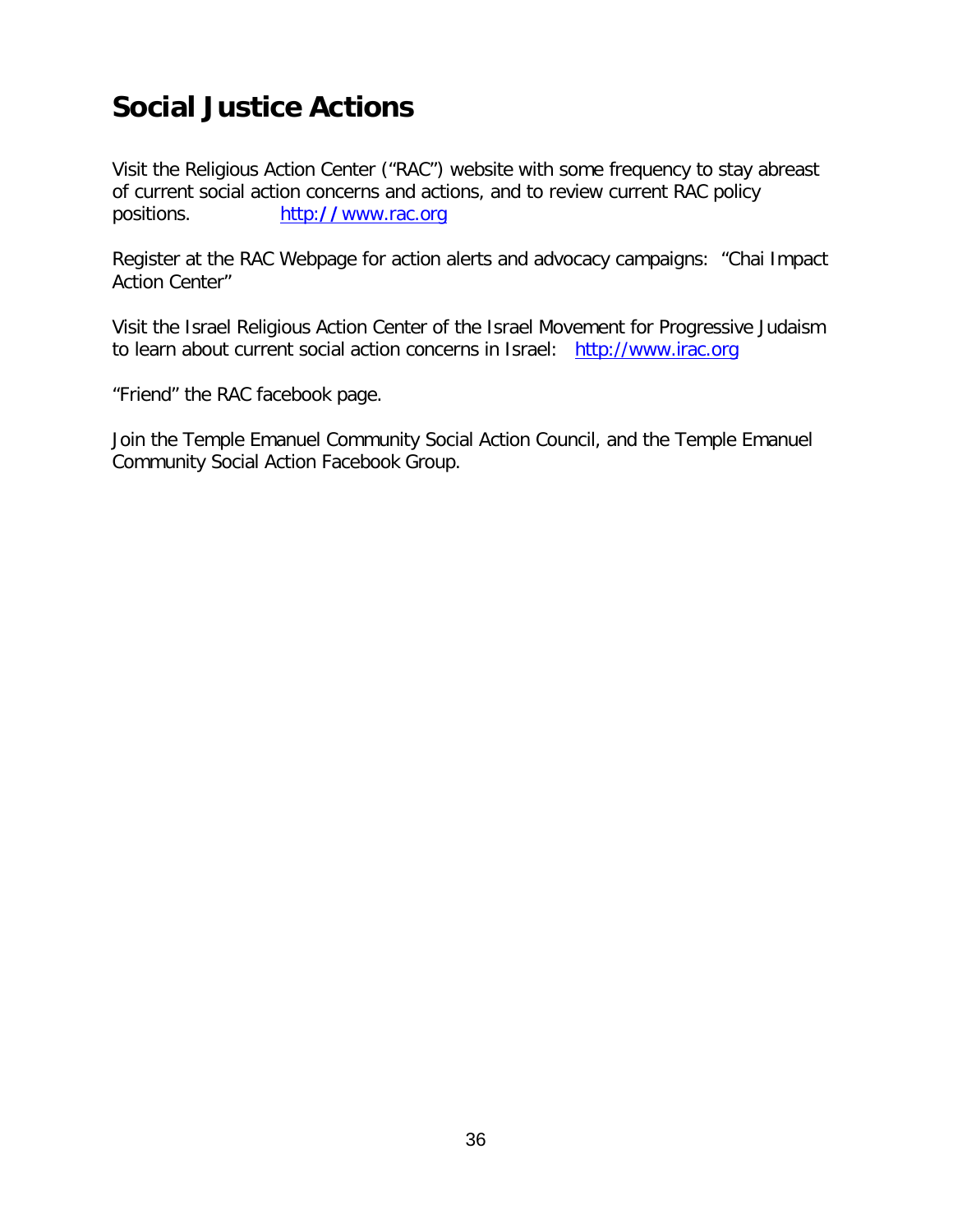## **Social Justice Actions**

Visit the Religious Action Center ("RAC") website with some frequency to stay abreast of current social action concerns and actions, and to review current RAC policy positions.http:**//**[www.rac.org](http://www.rac.org/)

Register at the RAC Webpage for action alerts and advocacy campaigns: "Chai Impact Action Center"

Visit the Israel Religious Action Center of the Israel Movement for Progressive Judaism to learn about current social action concerns in Israel: [http://www.irac.org](http://www.irac.org/)

"Friend" the RAC facebook page.

Join the Temple Emanuel Community Social Action Council, and the Temple Emanuel Community Social Action Facebook Group.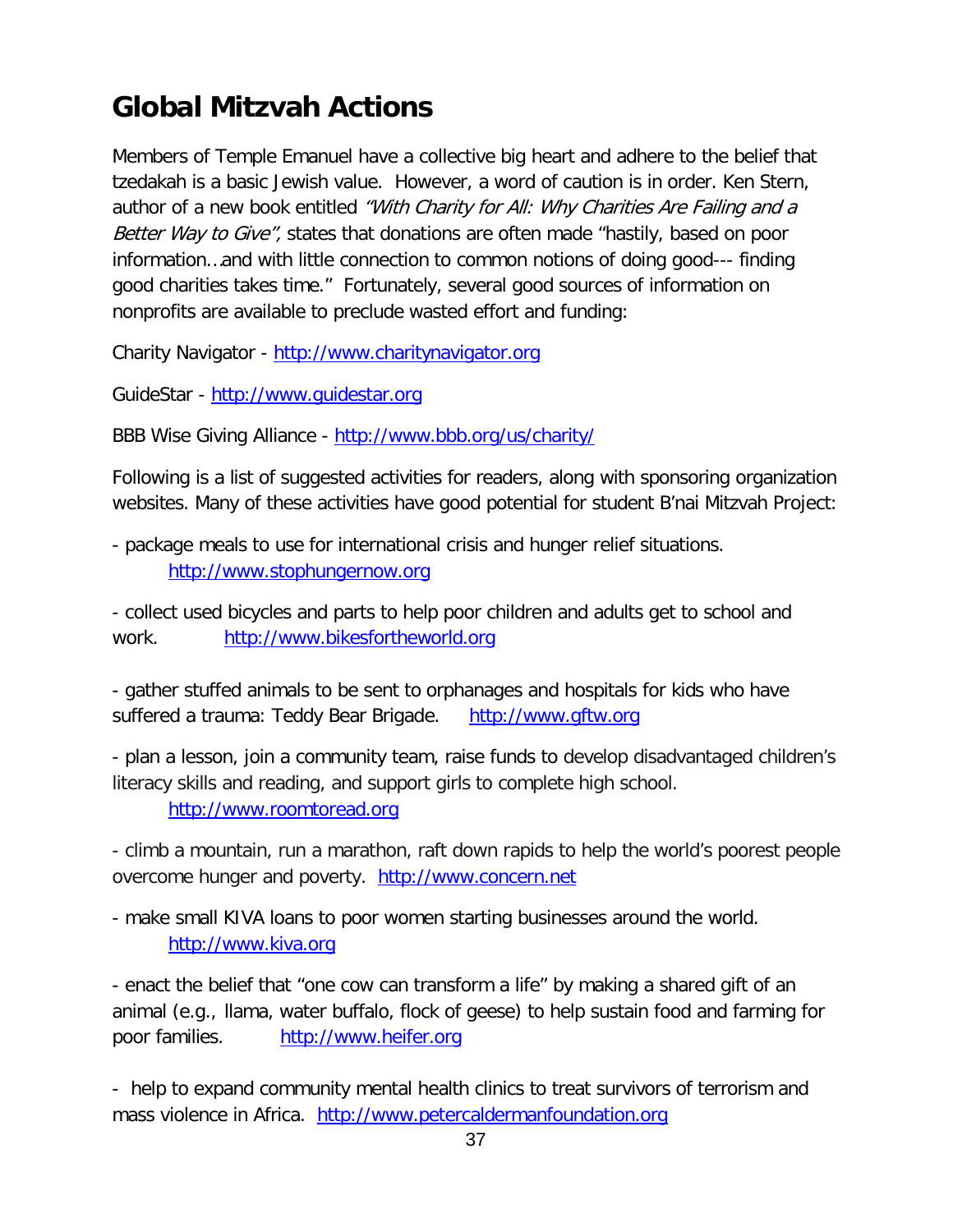## **Global Mitzvah Actions**

Members of Temple Emanuel have a collective big heart and adhere to the belief that tzedakah is a basic Jewish value. However, a word of caution is in order. Ken Stern, author of a new book entitled "With Charity for All: Why Charities Are Failing and a Better Way to Give", states that donations are often made "hastily, based on poor information…and with little connection to common notions of doing good--- finding good charities takes time." Fortunately, several good sources of information on nonprofits are available to preclude wasted effort and funding:

Charity Navigator - [http://www.charitynavigator.org](http://www.charitynavigator.org/)

GuideStar - [http://www.guidestar.org](http://www.guidestar.org/)

BBB Wise Giving Alliance - <http://www.bbb.org/us/charity/>

Following is a list of suggested activities for readers, along with sponsoring organization websites. Many of these activities have good potential for student B'nai Mitzvah Project:

- package meals to use for international crisis and hunger relief situations. [http://www.stophungernow.org](http://www.stophungernow.org/)

- collect used bicycles and parts to help poor children and adults get to school and work. [http://www.bikesfortheworld.org](http://www.bikesfortheworld.org/)

- gather stuffed animals to be sent to orphanages and hospitals for kids who have suffered a trauma: Teddy Bear Brigade. [http://www.gftw.org](http://www.gftw.org/)

- plan a lesson, join a community team, raise funds to develop disadvantaged children's literacy skills and reading, and support girls to complete high school.

[http://www.roomtoread.org](http://www.roomtoread.org/)

- climb a mountain, run a marathon, raft down rapids to help the world's poorest people overcome hunger and poverty. [http://www.concern.net](http://www.concern.net/)

- make small KIVA loans to poor women starting businesses around the world. [http://www.kiva.org](http://www.kiva.org/)

- enact the belief that "one cow can transform a life" by making a shared gift of an animal (e.g., llama, water buffalo, flock of geese) to help sustain food and farming for poor families. [http://www.heifer.org](http://www.heifer.org/)

- help to expand community mental health clinics to treat survivors of terrorism and mass violence in Africa. [http://www.petercaldermanfoundation.org](http://www.petercaldermanfoundation.org/)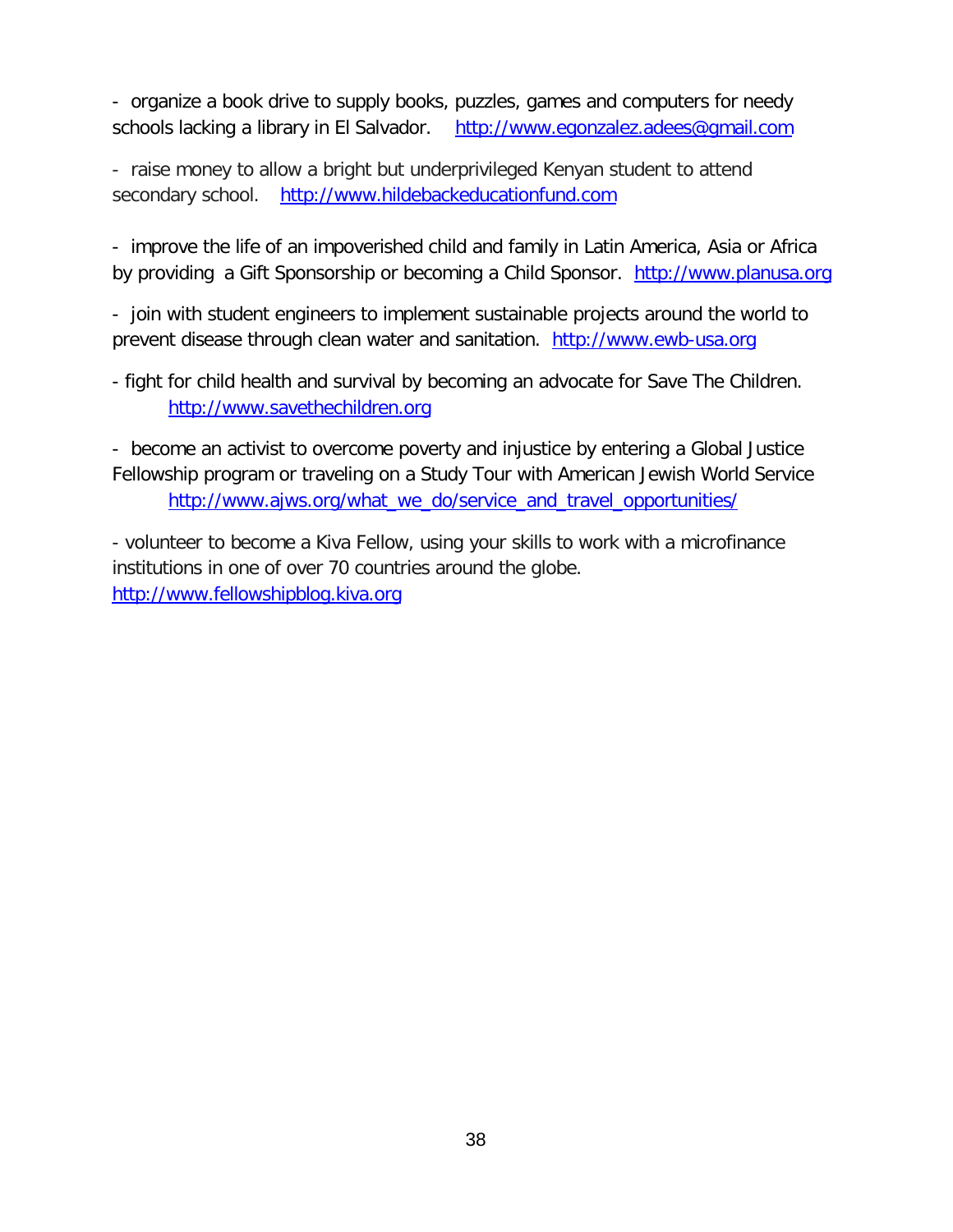- organize a book drive to supply books, puzzles, games and computers for needy schools lacking a library in El Salvador. [http://www.egonzalez.adees@gmail.com](http://www.egonzalez.adees@gmail.com/)

- raise money to allow a bright but underprivileged Kenyan student to attend secondary school. [http://www.hildebackeducationfund.com](http://www.hildebackeducationfund.com/)

- improve the life of an impoverished child and family in Latin America, Asia or Africa by providing a Gift Sponsorship or becoming a Child Sponsor. [http://www.planusa.org](http://www.planusa.org/)

- join with student engineers to implement sustainable projects around the world to prevent disease through clean water and sanitation. [http://www.ewb-usa.org](http://www.ewb-usa.org/)

- fight for child health and survival by becoming an advocate for Save The Children. [http://www.savethechildren.org](http://www.savethechildren.org/)

- become an activist to overcome poverty and injustice by entering a Global Justice Fellowship program or traveling on a Study Tour with American Jewish World Service [http://www.ajws.org/what\\_we\\_do/service\\_and\\_travel\\_opportunities/](http://www.ajws.org/what_we_do/service_and_travel_opportunities/)

- volunteer to become a Kiva Fellow, using your skills to work with a microfinance institutions in one of over 70 countries around the globe. [http://www.fellowshipblog.kiva.org](http://www.fellowshipblog.kiva.org/)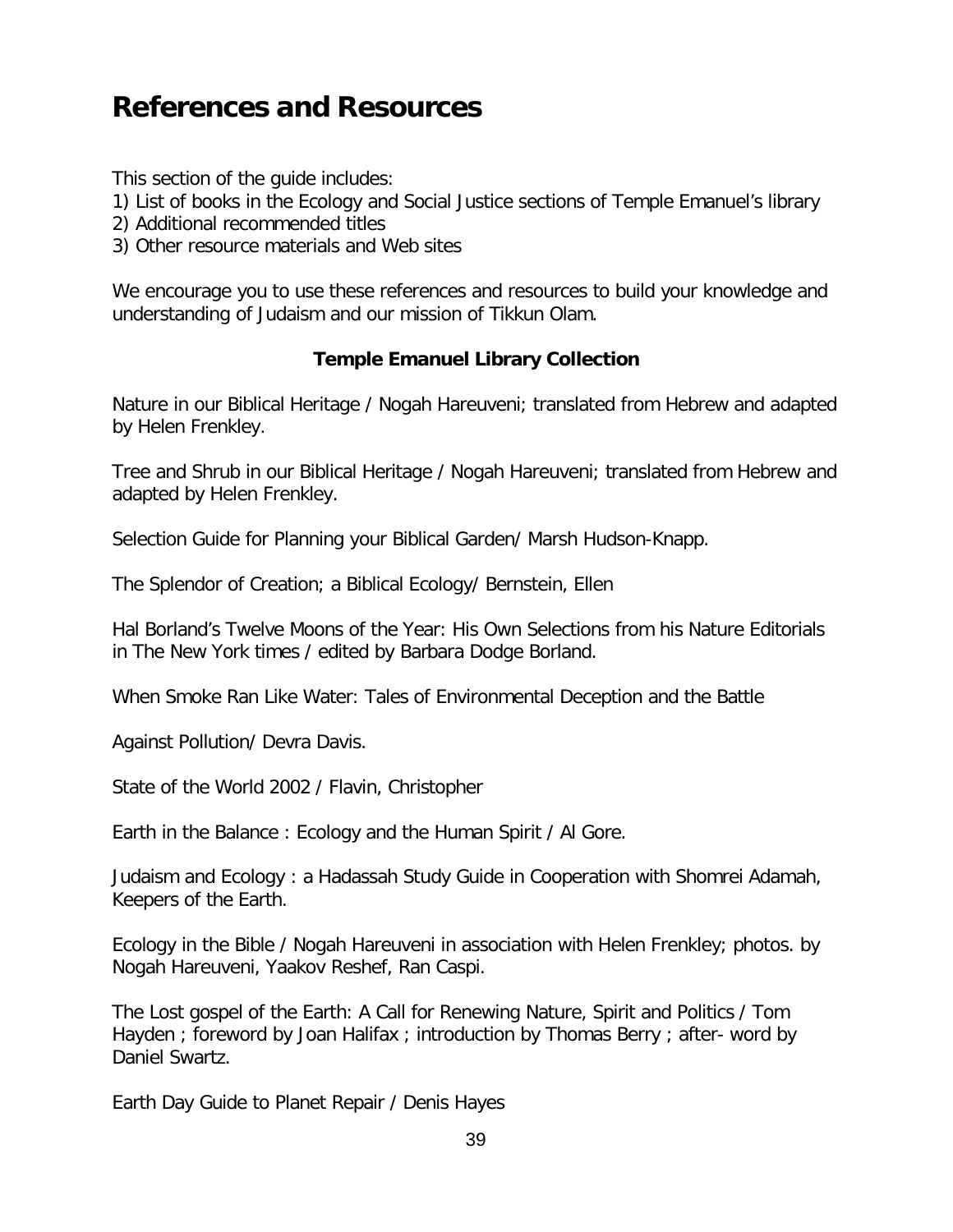## **References and Resources**

This section of the guide includes:

- 1) List of books in the Ecology and Social Justice sections of Temple Emanuel's library
- 2) Additional recommended titles
- 3) Other resource materials and Web sites

We encourage you to use these references and resources to build your knowledge and understanding of Judaism and our mission of Tikkun Olam.

#### **Temple Emanuel Library Collection**

Nature in our Biblical Heritage / Nogah Hareuveni; translated from Hebrew and adapted by Helen Frenkley.

Tree and Shrub in our Biblical Heritage / Nogah Hareuveni; translated from Hebrew and adapted by Helen Frenkley.

Selection Guide for Planning your Biblical Garden/ Marsh Hudson-Knapp.

The Splendor of Creation; a Biblical Ecology/ Bernstein, Ellen

Hal Borland's Twelve Moons of the Year: His Own Selections from his Nature Editorials in The New York times / edited by Barbara Dodge Borland.

When Smoke Ran Like Water: Tales of Environmental Deception and the Battle

Against Pollution/ Devra Davis.

State of the World 2002 / Flavin, Christopher

Earth in the Balance : Ecology and the Human Spirit / Al Gore.

Judaism and Ecology : a Hadassah Study Guide in Cooperation with Shomrei Adamah, Keepers of the Earth.

Ecology in the Bible / Nogah Hareuveni in association with Helen Frenkley; photos. by Nogah Hareuveni, Yaakov Reshef, Ran Caspi.

The Lost gospel of the Earth: A Call for Renewing Nature, Spirit and Politics / Tom Hayden ; foreword by Joan Halifax ; introduction by Thomas Berry ; after- word by Daniel Swartz.

Earth Day Guide to Planet Repair / Denis Hayes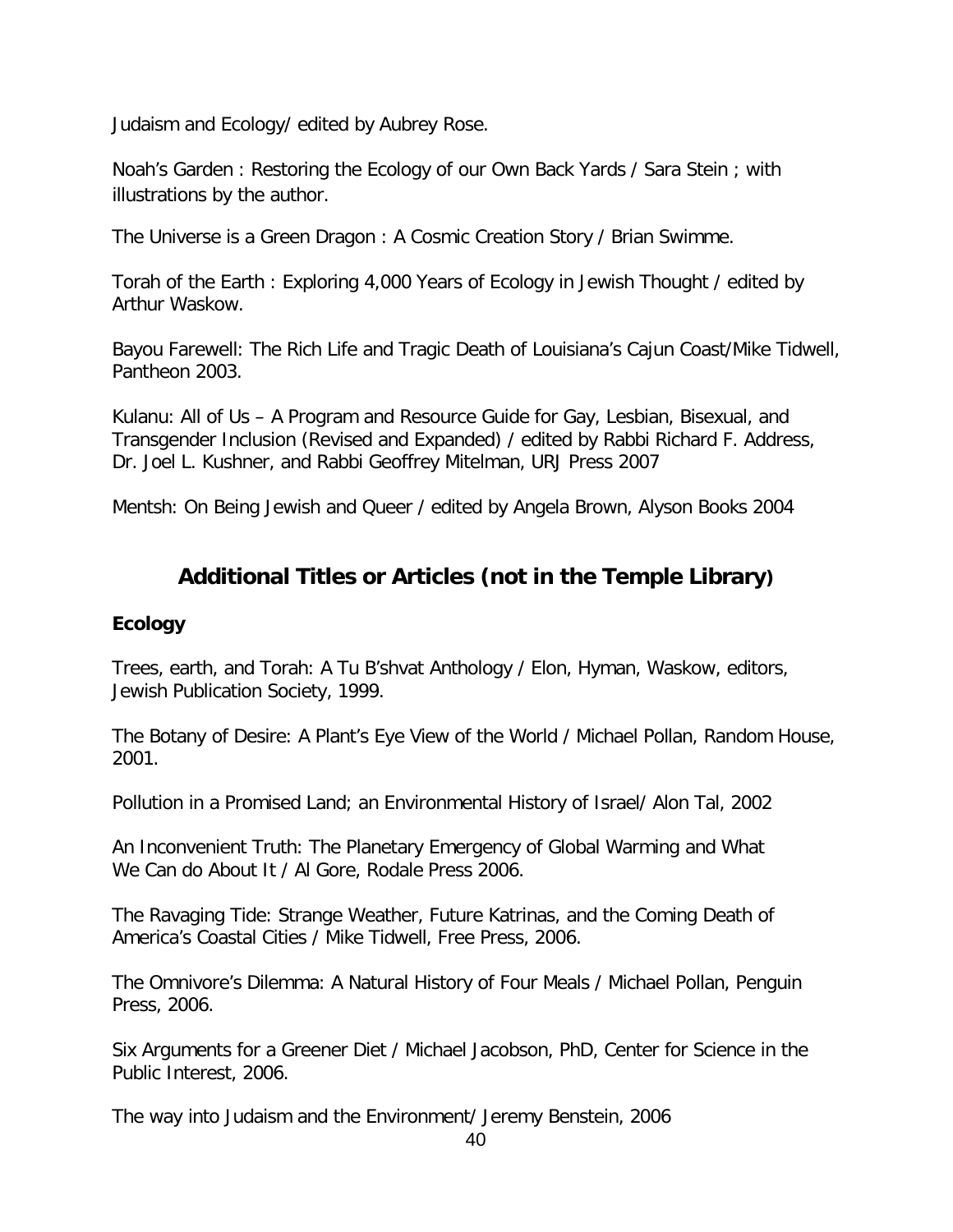Judaism and Ecology/ edited by Aubrey Rose.

Noah's Garden : Restoring the Ecology of our Own Back Yards / Sara Stein ; with illustrations by the author.

The Universe is a Green Dragon : A Cosmic Creation Story / Brian Swimme.

Torah of the Earth : Exploring 4,000 Years of Ecology in Jewish Thought / edited by Arthur Waskow.

Bayou Farewell: The Rich Life and Tragic Death of Louisiana's Cajun Coast/Mike Tidwell, Pantheon 2003.

Kulanu: All of Us – A Program and Resource Guide for Gay, Lesbian, Bisexual, and Transgender Inclusion (Revised and Expanded) / edited by Rabbi Richard F. Address, Dr. Joel L. Kushner, and Rabbi Geoffrey Mitelman, URJ Press 2007

Mentsh: On Being Jewish and Queer / edited by Angela Brown, Alyson Books 2004

## **Additional Titles or Articles (not in the Temple Library)**

#### **Ecology**

Trees, earth, and Torah: A Tu B'shvat Anthology / Elon, Hyman, Waskow, editors, Jewish Publication Society, 1999.

The Botany of Desire: A Plant's Eye View of the World / Michael Pollan, Random House, 2001.

Pollution in a Promised Land; an Environmental History of Israel/ Alon Tal, 2002

An Inconvenient Truth: The Planetary Emergency of Global Warming and What We Can do About It / Al Gore, Rodale Press 2006.

The Ravaging Tide: Strange Weather, Future Katrinas, and the Coming Death of America's Coastal Cities / Mike Tidwell, Free Press, 2006.

The Omnivore's Dilemma: A Natural History of Four Meals / Michael Pollan, Penguin Press, 2006.

Six Arguments for a Greener Diet / Michael Jacobson, PhD, Center for Science in the Public Interest, 2006.

The way into Judaism and the Environment/ Jeremy Benstein, 2006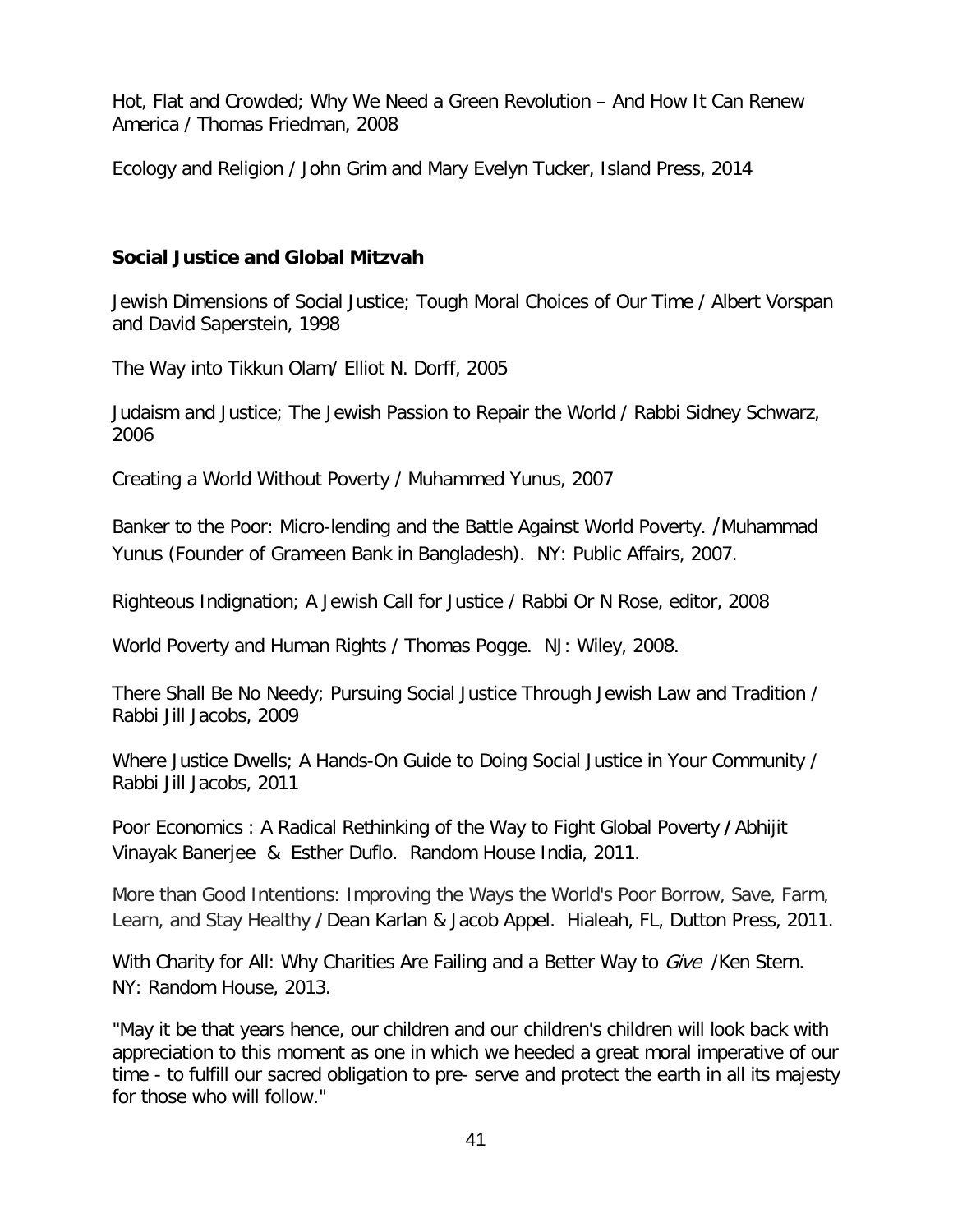Hot, Flat and Crowded; Why We Need a Green Revolution – And How It Can Renew America / Thomas Friedman, 2008

Ecology and Religion / John Grim and Mary Evelyn Tucker, Island Press, 2014

#### **Social Justice and Global Mitzvah**

Jewish Dimensions of Social Justice; Tough Moral Choices of Our Time / Albert Vorspan and David Saperstein, 1998

The Way into Tikkun Olam/ Elliot N. Dorff, 2005

Judaism and Justice; The Jewish Passion to Repair the World / Rabbi Sidney Schwarz, 2006

Creating a World Without Poverty / Muhammed Yunus, 2007

Banker to the Poor: Micro-lending and the Battle Against World Poverty. /Muhammad Yunus (Founder of Grameen Bank in Bangladesh). NY: Public Affairs, 2007.

Righteous Indignation; A Jewish Call for Justice / Rabbi Or N Rose, editor, 2008

World Poverty and Human Rights / Thomas Pogge. NJ: Wiley, 2008.

There Shall Be No Needy; Pursuing Social Justice Through Jewish Law and Tradition / Rabbi Jill Jacobs, 2009

Where Justice Dwells; A Hands-On Guide to Doing Social Justice in Your Community / Rabbi Jill Jacobs, 2011

Poor Economics : A Radical Rethinking of the Way to Fight Global Poverty **/**Abhijit Vinayak Banerjee & Esther Duflo. Random House India, 2011.

More than Good Intentions: Improving the Ways the World's Poor Borrow, Save, Farm, Learn, and Stay Healthy **/**Dean Karlan & Jacob Appel. Hialeah, FL, Dutton Press, 2011.

With Charity for All: Why Charities Are Failing and a Better Way to Give /Ken Stern. NY: Random House, 2013.

"May it be that years hence, our children and our children's children will look back with appreciation to this moment as one in which we heeded a great moral imperative of our time - to fulfill our sacred obligation to pre- serve and protect the earth in all its majesty for those who will follow."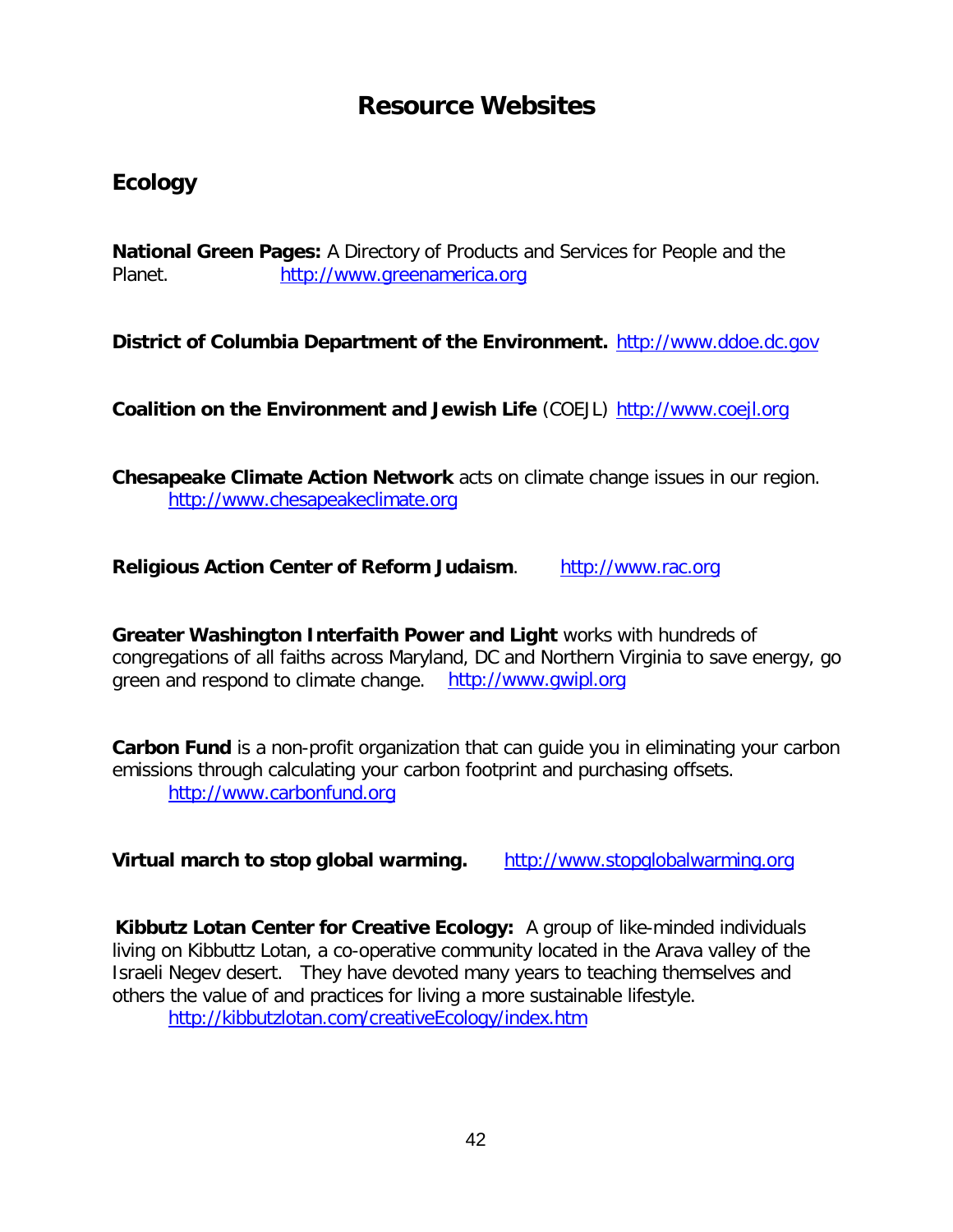## **Resource Websites**

## **Ecology**

**National Green Pages:** A Directory of Products and Services for People and the Planet. [http://www.greenamerica.org](http://www.greenamerica.org/)

**District of Columbia Department of the Environment.** [http://www.ddoe.dc.gov](http://www.ddoe.dc.gov/)

**Coalition on the Environment and Jewish Life** (COEJL) [http://www.coejl.org](http://www.coejl.org/)

**Chesapeake Climate Action Network** acts on climate change issues in our region. [http://www.chesapeakeclimate.org](http://www.chesapeakeclimate.org/)

**Religious Action Center of Reform Judaism.** [http://www.rac.org](http://www.rac.org/)

**Greater Washington Interfaith Power and Light** works with hundreds of congregations of all faiths across Maryland, DC and Northern Virginia to save energy, go green and respond to climate change. [http://www.gwipl.org](http://www.gwipl.org/)

**Carbon Fund** is a non-profit organization that can guide you in eliminating your carbon emissions through calculating your carbon footprint and purchasing offsets. [http://www.carbonfund.org](http://www.carbonfund.org/)

**Virtual march to stop global warming.** [http://www.stopglobalwarming.org](http://www.stopglobalwarming.org/)

**Kibbutz Lotan Center for Creative Ecology:** A group of like-minded individuals living on Kibbuttz Lotan, a co-operative community located in the Arava valley of the Israeli Negev desert. They have devoted many years to teaching themselves and others the value of and practices for living a more sustainable lifestyle. <http://kibbutzlotan.com/creativeEcology/index.htm>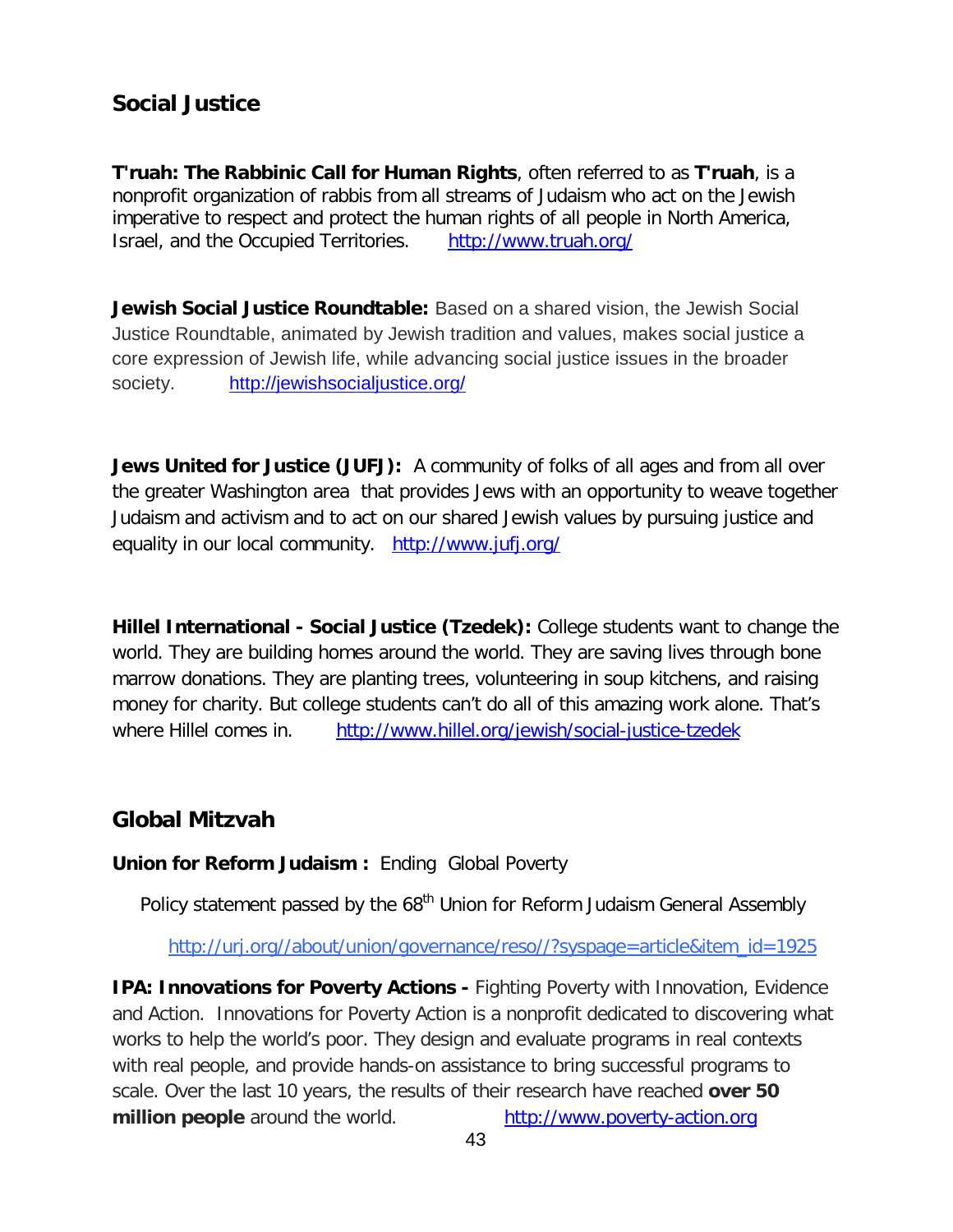## **Social Justice**

**T'ruah: The Rabbinic Call for Human Rights**, often referred to as **T'ruah**, is a nonprofit organization of rabbis from all streams of Judaism who act on the Jewish imperative to respect and protect the human rights of all people in North America, Israel, and the Occupied Territories. <http://www.truah.org/>

**Jewish Social Justice Roundtable:** Based on a shared vision, the Jewish Social Justice Roundtable, animated by Jewish tradition and values, makes social justice a core expression of Jewish life, while advancing social justice issues in the broader society. <http://jewishsocialjustice.org/>

**Jews United for Justice (JUFJ):** A community of folks of all ages and from all over the greater Washington area that provides Jews with an opportunity to weave together Judaism and activism and to act on our shared Jewish values by pursuing justice and equality in our local community. <http://www.jufj.org/>

**Hillel International - Social Justice (Tzedek):** College students want to change the world. They are building homes around the world. They are saving lives through bone marrow donations. They are planting trees, volunteering in soup kitchens, and raising money for charity. But college students can't do all of this amazing work alone. That's where Hillel comes in. <http://www.hillel.org/jewish/social-justice-tzedek>

## **Global Mitzvah**

**Union for Reform Judaism :** Ending Global Poverty

Policy statement passed by the 68<sup>th</sup> Union for Reform Judaism General Assembly

#### [http://urj.org//about/union/governance/reso//?syspage=article&item\\_id=1925](http://urj.org/about/union/governance/reso/?syspage=article&item_id=1925)

**IPA: Innovations for Poverty Actions - Fighting Poverty with Innovation, Evidence** and Action. Innovations for Poverty Action is a nonprofit dedicated to discovering what works to help the world's poor. They design and evaluate programs in real contexts with real people, and provide hands-on assistance to bring successful programs to scale. Over the last 10 years, the results of their research have reached **over 50 million people** around the world. [http://www.poverty-action.org](http://www.poverty-action.org/)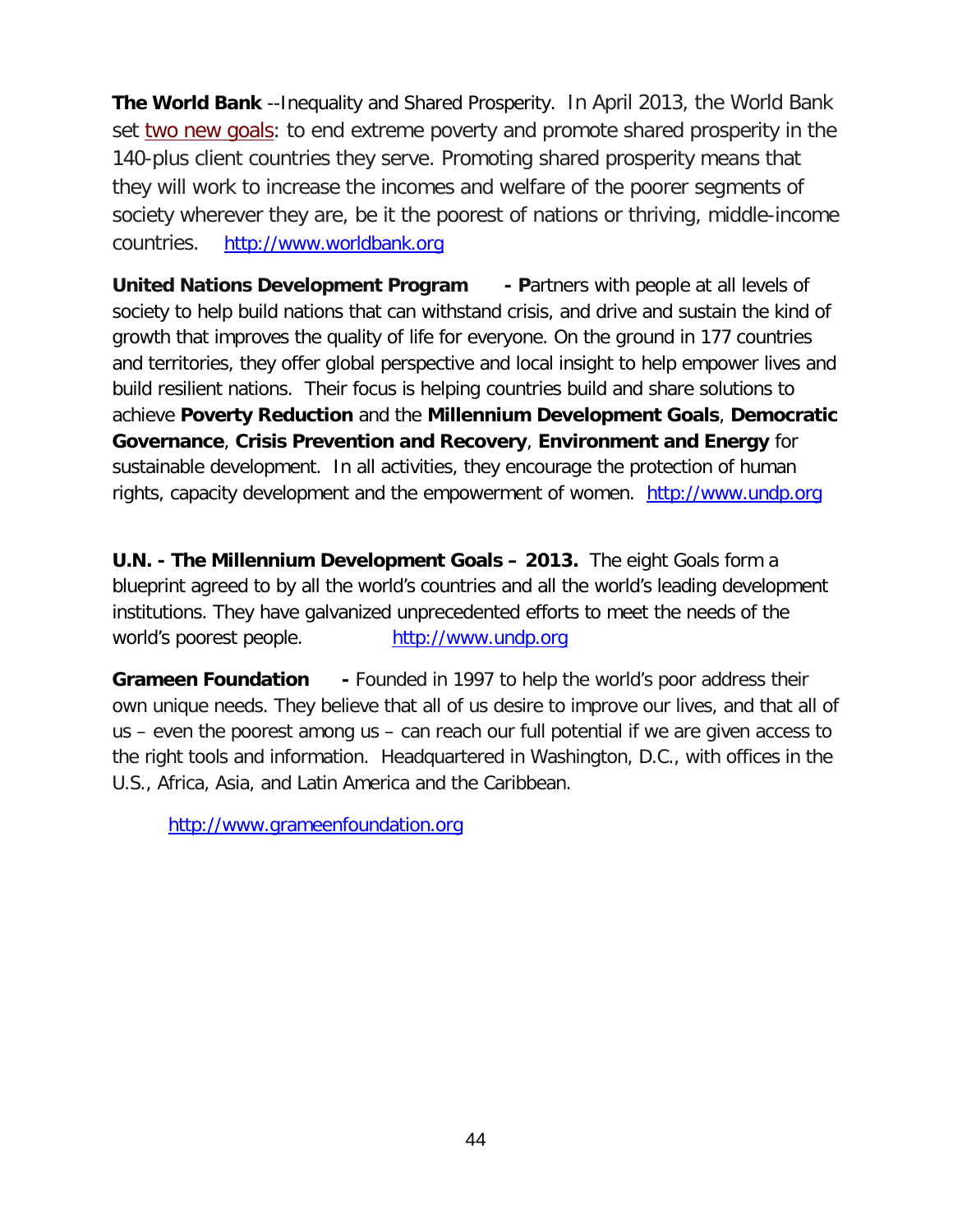**The World Bank** --Inequality and Shared Prosperity. In April 2013, the World Bank set [two new goals:](http://www.worldbank.org/en/news/feature/2013/05/08/shared-prosperity-goal-for-changing-world) to end extreme poverty and promote shared prosperity in the 140-plus client countries they serve. Promoting shared prosperity means that they will work to increase the incomes and welfare of the poorer segments of society wherever they are, be it the poorest of nations or thriving, middle-income countries. [http://www.worldbank.org](http://www.worldbank.org/)

**United Nations Development Program - P**artners with people at all levels of society to help build nations that can withstand crisis, and drive and sustain the kind of growth that improves the quality of life for everyone. On the ground in 177 countries and territories, they offer global perspective and local insight to help empower lives and build resilient nations. Their focus is helping countries build and share solutions to achieve **Poverty Reduction** and the **Millennium Development Goals**, **Democratic Governance**, **Crisis Prevention and Recovery**, **Environment and Energy** for sustainable development. In all activities, they encourage the protection of human rights, capacity development and the empowerment of women. [http://www.undp.org](http://www.undp.org/)

**U.N. - The Millennium Development Goals – 2013.** The eight Goals form a blueprint agreed to by all the world's countries and all the world's leading development institutions. They have galvanized unprecedented efforts to meet the needs of the world's poorest people. [http://www.undp.org](http://www.undp.org/)

**Grameen Foundation -** Founded in 1997 to help the world's poor address their own unique needs. They believe that all of us desire to improve our lives, and that all of us – even the poorest among us – can reach our full potential if we are given access to the right tools and information. Headquartered in Washington, D.C., with offices in the U.S., Africa, Asia, and Latin America and the Caribbean.

[http://www.grameenfoundation.org](http://www.grameenfoundation.org/)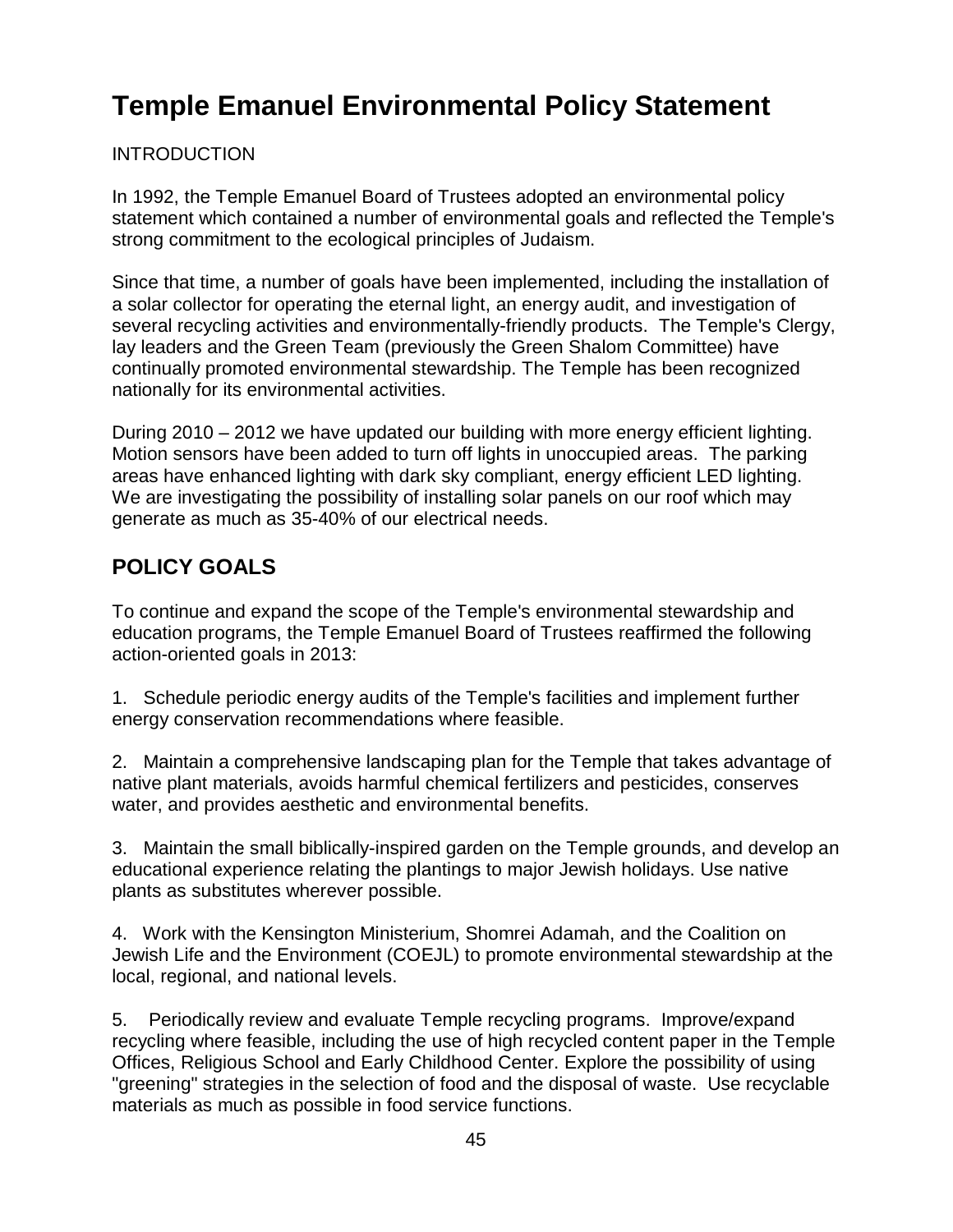## **Temple Emanuel Environmental Policy Statement**

#### **INTRODUCTION**

In 1992, the Temple Emanuel Board of Trustees adopted an environmental policy statement which contained a number of environmental goals and reflected the Temple's strong commitment to the ecological principles of Judaism.

Since that time, a number of goals have been implemented, including the installation of a solar collector for operating the eternal light, an energy audit, and investigation of several recycling activities and environmentally-friendly products. The Temple's Clergy, lay leaders and the Green Team (previously the Green Shalom Committee) have continually promoted environmental stewardship. The Temple has been recognized nationally for its environmental activities.

During 2010 – 2012 we have updated our building with more energy efficient lighting. Motion sensors have been added to turn off lights in unoccupied areas. The parking areas have enhanced lighting with dark sky compliant, energy efficient LED lighting. We are investigating the possibility of installing solar panels on our roof which may generate as much as 35-40% of our electrical needs.

## **POLICY GOALS**

To continue and expand the scope of the Temple's environmental stewardship and education programs, the Temple Emanuel Board of Trustees reaffirmed the following action-oriented goals in 2013:

1. Schedule periodic energy audits of the Temple's facilities and implement further energy conservation recommendations where feasible.

2. Maintain a comprehensive landscaping plan for the Temple that takes advantage of native plant materials, avoids harmful chemical fertilizers and pesticides, conserves water, and provides aesthetic and environmental benefits.

3. Maintain the small biblically-inspired garden on the Temple grounds, and develop an educational experience relating the plantings to major Jewish holidays. Use native plants as substitutes wherever possible.

4. Work with the Kensington Ministerium, Shomrei Adamah, and the Coalition on Jewish Life and the Environment (COEJL) to promote environmental stewardship at the local, regional, and national levels.

5. Periodically review and evaluate Temple recycling programs. Improve/expand recycling where feasible, including the use of high recycled content paper in the Temple Offices, Religious School and Early Childhood Center. Explore the possibility of using "greening" strategies in the selection of food and the disposal of waste. Use recyclable materials as much as possible in food service functions.